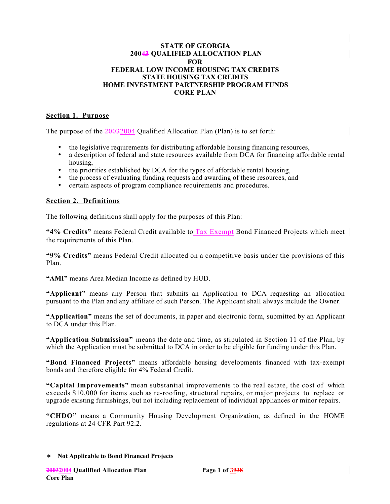### **STATE OF GEORGIA 20043 QUALIFIED ALLOCATION PLAN FOR FEDERAL LOW INCOME HOUSING TAX CREDITS STATE HOUSING TAX CREDITS HOME INVESTMENT PARTNERSHIP PROGRAM FUNDS CORE PLAN**

# **Section 1. Purpose**

The purpose of the  $\frac{20032004}{2001}$  Qualified Allocation Plan (Plan) is to set forth:

- the legislative requirements for distributing affordable housing financing resources,
- a description of federal and state resources available from DCA for financing affordable rental housing,
- the priorities established by DCA for the types of affordable rental housing,
- the process of evaluating funding requests and awarding of these resources, and
- certain aspects of program compliance requirements and procedures.

# **Section 2. Definitions**

The following definitions shall apply for the purposes of this Plan:

**"4% Credits"** means Federal Credit available to **Tax Exempt Bond Financed Projects which meet** the requirements of this Plan.

**"9% Credits"** means Federal Credit allocated on a competitive basis under the provisions of this Plan.

**"AMI"** means Area Median Income as defined by HUD.

**"Applicant"** means any Person that submits an Application to DCA requesting an allocation pursuant to the Plan and any affiliate of such Person. The Applicant shall always include the Owner.

**"Application"** means the set of documents, in paper and electronic form, submitted by an Applicant to DCA under this Plan.

**"Application Submission"** means the date and time, as stipulated in Section 11 of the Plan, by which the Application must be submitted to DCA in order to be eligible for funding under this Plan.

**"Bond Financed Projects"** means affordable housing developments financed with tax-exempt bonds and therefore eligible for 4% Federal Credit.

**"Capital Improvements"** mean substantial improvements to the real estate, the cost of which exceeds \$10,000 for items such as re-roofing, structural repairs, or major projects to replace or upgrade existing furnishings, but not including replacement of individual appliances or minor repairs.

**"CHDO"** means a Community Housing Development Organization, as defined in the HOME regulations at 24 CFR Part 92.2.

**Not Applicable to Bond Financed Projects**

 $\mathsf{l}$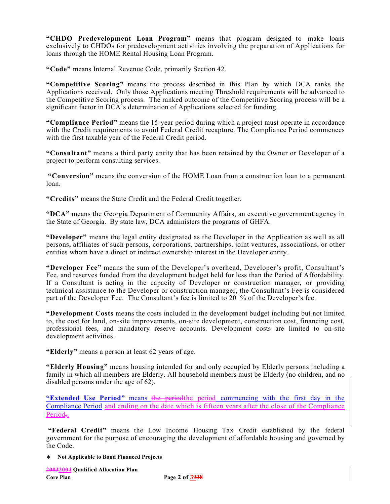**"CHDO Predevelopment Loan Program"** means that program designed to make loans exclusively to CHDOs for predevelopment activities involving the preparation of Applications for loans through the HOME Rental Housing Loan Program.

**"Code"** means Internal Revenue Code, primarily Section 42.

**"Competitive Scoring"** means the process described in this Plan by which DCA ranks the Applications received. Only those Applications meeting Threshold requirements will be advanced to the Competitive Scoring process. The ranked outcome of the Competitive Scoring process will be a significant factor in DCA's determination of Applications selected for funding.

**"Compliance Period"** means the 15-year period during which a project must operate in accordance with the Credit requirements to avoid Federal Credit recapture. The Compliance Period commences with the first taxable year of the Federal Credit period.

**"Consultant"** means a third party entity that has been retained by the Owner or Developer of a project to perform consulting services.

**"Conversion"** means the conversion of the HOME Loan from a construction loan to a permanent loan.

**"Credits"** means the State Credit and the Federal Credit together.

**"DCA"** means the Georgia Department of Community Affairs, an executive government agency in the State of Georgia. By state law, DCA administers the programs of GHFA.

**"Developer"** means the legal entity designated as the Developer in the Application as well as all persons, affiliates of such persons, corporations, partnerships, joint ventures, associations, or other entities whom have a direct or indirect ownership interest in the Developer entity.

**"Developer Fee"** means the sum of the Developer's overhead, Developer's profit, Consultant's Fee, and reserves funded from the development budget held for less than the Period of Affordability. If a Consultant is acting in the capacity of Developer or construction manager, or providing technical assistance to the Developer or construction manager, the Consultant's Fee is considered part of the Developer Fee. The Consultant's fee is limited to 20 % of the Developer's fee.

**"Development Costs** means the costs included in the development budget including but not limited to, the cost for land, on-site improvements, on-site development, construction cost, financing cost, professional fees, and mandatory reserve accounts. Development costs are limited to on-site development activities.

**"Elderly"** means a person at least 62 years of age.

**"Elderly Housing"** means housing intended for and only occupied by Elderly persons including a family in which all members are Elderly. All household members must be Elderly (no children, and no disabled persons under the age of 62).

**"Extended Use Period"** means the period the period commencing with the first day in the Compliance Period and ending on the date which is fifteen years after the close of the Compliance Period..

 **"Federal Credit"** means the Low Income Housing Tax Credit established by the federal government for the purpose of encouraging the development of affordable housing and governed by the Code.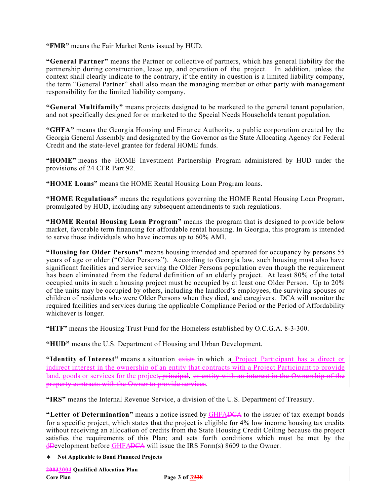**"FMR"** means the Fair Market Rents issued by HUD.

**"General Partner"** means the Partner or collective of partners, which has general liability for the partnership during construction, lease up, and operation of the project. In addition, unless the context shall clearly indicate to the contrary, if the entity in question is a limited liability company, the term "General Partner" shall also mean the managing member or other party with management responsibility for the limited liability company.

**"General Multifamily"** means projects designed to be marketed to the general tenant population, and not specifically designed for or marketed to the Special Needs Households tenant population.

**"GHFA"** means the Georgia Housing and Finance Authority, a public corporation created by the Georgia General Assembly and designated by the Governor as the State Allocating Agency for Federal Credit and the state-level grantee for federal HOME funds.

**"HOME"** means the HOME Investment Partnership Program administered by HUD under the provisions of 24 CFR Part 92.

**"HOME Loans"** means the HOME Rental Housing Loan Program loans.

**"HOME Regulations"** means the regulations governing the HOME Rental Housing Loan Program, promulgated by HUD, including any subsequent amendments to such regulations.

**"HOME Rental Housing Loan Program"** means the program that is designed to provide below market, favorable term financing for affordable rental housing. In Georgia, this program is intended to serve those individuals who have incomes up to 60% AMI.

**"Housing for Older Persons"** means housing intended and operated for occupancy by persons 55 years of age or older ("Older Persons"). According to Georgia law, such housing must also have significant facilities and service serving the Older Persons population even though the requirement has been eliminated from the federal definition of an elderly project. At least 80% of the total occupied units in such a housing project must be occupied by at least one Older Person. Up to 20% of the units may be occupied by others, including the landlord's employees, the surviving spouses or children of residents who were Older Persons when they died, and caregivers. DCA will monitor the required facilities and services during the applicable Compliance Period or the Period of Affordability whichever is longer.

**"HTF"** means the Housing Trust Fund for the Homeless established by O.C.G.A. 8-3-300.

**"HUD"** means the U.S. Department of Housing and Urban Development.

**"Identity of Interest"** means a situation exists in which a Project Participant has a direct or indirect interest in the ownership of an entity that contracts with a Project Participant to provide land, goods or services for the project, principal, or entity with an interest in the Ownership of the property contracts with the Owner to provide services.

**"IRS"** means the Internal Revenue Service, a division of the U.S. Department of Treasury.

**"Letter of Determination"** means a notice issued by GHFA<del>DCA</del> to the issuer of tax exempt bonds for a specific project, which states that the project is eligible for 4% low income housing tax credits without receiving an allocation of credits from the State Housing Credit Ceiling because the project satisfies the requirements of this Plan; and sets forth conditions which must be met by the dDevelopment before GHFADCA will issue the IRS Form(s) 8609 to the Owner.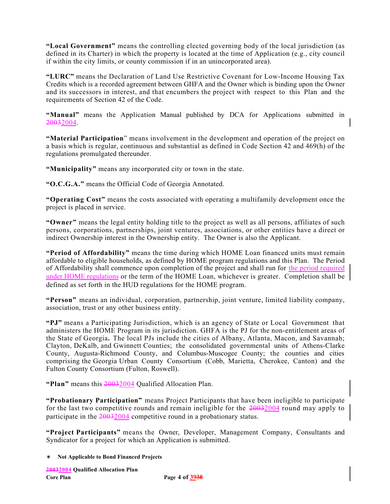**"Local Government"** means the controlling elected governing body of the local jurisdiction (as defined in its Charter) in which the property is located at the time of Application (e.g., city council if within the city limits, or county commission if in an unincorporated area).

**"LURC"** means the Declaration of Land Use Restrictive Covenant for Low-Income Housing Tax Credits which is a recorded agreement between GHFA and the Owner which is binding upon the Owner and its successors in interest, and that encumbers the project with respect to this Plan and the requirements of Section 42 of the Code.

**"Manual"** means the Application Manual published by DCA for Applications submitted in 20032004.

**"Material Participation**" means involvement in the development and operation of the project on a basis which is regular, continuous and substantial as defined in Code Section 42 and 469(h) of the regulations promulgated thereunder.

**"Municipality"** means any incorporated city or town in the state.

**"O.C.G.A."** means the Official Code of Georgia Annotated.

**"Operating Cost"** means the costs associated with operating a multifamily development once the project is placed in service.

**"Owner"** means the legal entity holding title to the project as well as all persons, affiliates of such persons, corporations, partnerships, joint ventures, associations, or other entities have a direct or indirect Ownership interest in the Ownership entity. The Owner is also the Applicant.

**"Period of Affordability"** means the time during which HOME Loan financed units must remain affordable to eligible households, as defined by HOME program regulations and this Plan. The Period of Affordability shall commence upon completion of the project and shall run for the period required under HOME regulations or the term of the HOME Loan, whichever is greater. Completion shall be defined as set forth in the HUD regulations for the HOME program.

**"Person"** means an individual, corporation, partnership, joint venture, limited liability company, association, trust or any other business entity.

**"PJ"** means a Participating Jurisdiction, which is an agency of State or Local Government that administers the HOME Program in its jurisdiction. GHFA is the PJ for the non-entitlement areas of the State of Georgia**.** The local PJs include the cities of Albany, Atlanta, Macon, and Savannah; Clayton, DeKalb, and Gwinnett Counties; the consolidated governmental units of Athens-Clarke County, Augusta-Richmond County, and Columbus-Muscogee County; the counties and cities comprising the Georgia Urban County Consortium (Cobb, Marietta, Cherokee, Canton) and the Fulton County Consortium (Fulton, Roswell).

**"Plan"** means this 20032004 Qualified Allocation Plan.

**"Probationary Participation"** means Project Participants that have been ineligible to participate for the last two competitive rounds and remain ineligible for the 20032004 round may apply to participate in the 20032004 competitive round in a probationary status.

**"Project Participants"** means the Owner, Developer, Management Company, Consultants and Syndicator for a project for which an Application is submitted.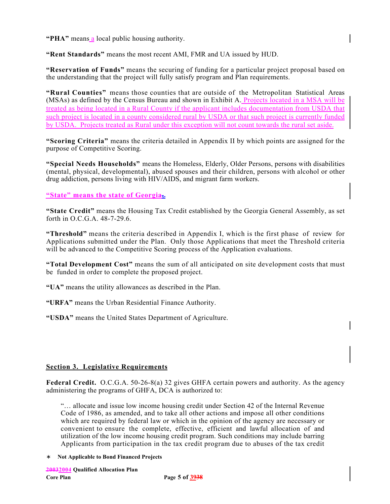**"PHA"** means a local public housing authority.

**"Rent Standards"** means the most recent AMI, FMR and UA issued by HUD.

**"Reservation of Funds"** means the securing of funding for a particular project proposal based on the understanding that the project will fully satisfy program and Plan requirements.

**"Rural Counties"** means those counties that are outside of the Metropolitan Statistical Areas (MSAs) as defined by the Census Bureau and shown in Exhibit A. Projects located in a MSA will be treated as being located in a Rural County if the applicant includes documentation from USDA that such project is located in a county considered rural by USDA or that such project is currently funded by USDA. Projects treated as Rural under this exception will not count towards the rural set aside.

**"Scoring Criteria"** means the criteria detailed in Appendix II by which points are assigned for the purpose of Competitive Scoring.

**"Special Needs Households"** means the Homeless, Elderly, Older Persons, persons with disabilities (mental, physical, developmental), abused spouses and their children, persons with alcohol or other drug addiction, persons living with HIV/AIDS, and migrant farm workers.

### **"State" means the state of Georgia,.**

**"State Credit"** means the Housing Tax Credit established by the Georgia General Assembly, as set forth in O.C.G.A. 48-7-29.6.

**"Threshold"** means the criteria described in Appendix I, which is the first phase of review for Applications submitted under the Plan. Only those Applications that meet the Threshold criteria will be advanced to the Competitive Scoring process of the Application evaluations.

**"Total Development Cost"** means the sum of all anticipated on site development costs that must be funded in order to complete the proposed project.

**"UA"** means the utility allowances as described in the Plan.

**"URFA"** means the Urban Residential Finance Authority.

**"USDA"** means the United States Department of Agriculture.

### **Section 3. Legislative Requirements**

**Federal Credit.** O.C.G.A. 50-26-8(a) 32 gives GHFA certain powers and authority. As the agency administering the programs of GHFA, DCA is authorized to:

"… allocate and issue low income housing credit under Section 42 of the Internal Revenue Code of 1986, as amended, and to take all other actions and impose all other conditions which are required by federal law or which in the opinion of the agency are necessary or convenient to ensure the complete, effective, efficient and lawful allocation of and utilization of the low income housing credit program. Such conditions may include barring Applicants from participation in the tax credit program due to abuses of the tax credit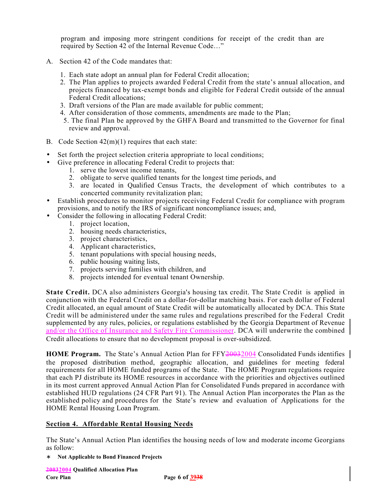program and imposing more stringent conditions for receipt of the credit than are required by Section 42 of the Internal Revenue Code…"

- A. Section 42 of the Code mandates that:
	- 1. Each state adopt an annual plan for Federal Credit allocation;
	- 2. The Plan applies to projects awarded Federal Credit from the state's annual allocation, and projects financed by tax-exempt bonds and eligible for Federal Credit outside of the annual Federal Credit allocations;
	- 3. Draft versions of the Plan are made available for public comment;
	- 4. After consideration of those comments, amendments are made to the Plan;
	- 5. The final Plan be approved by the GHFA Board and transmitted to the Governor for final review and approval.
- B. Code Section 42(m)(1) requires that each state:
- Set forth the project selection criteria appropriate to local conditions;
- Give preference in allocating Federal Credit to projects that:
	- 1. serve the lowest income tenants,
	- 2. obligate to serve qualified tenants for the longest time periods, and
	- 3. are located in Qualified Census Tracts, the development of which contributes to a concerted community revitalization plan;
- Establish procedures to monitor projects receiving Federal Credit for compliance with program provisions, and to notify the IRS of significant noncompliance issues; and,
- Consider the following in allocating Federal Credit:
	- 1. project location,
	- 2. housing needs characteristics,
	- 3. project characteristics,
	- 4. Applicant characteristics,
	- 5. tenant populations with special housing needs,
	- 6. public housing waiting lists,
	- 7. projects serving families with children, and
	- 8. projects intended for eventual tenant Ownership.

**State Credit.** DCA also administers Georgia's housing tax credit. The State Credit is applied in conjunction with the Federal Credit on a dollar-for-dollar matching basis. For each dollar of Federal Credit allocated, an equal amount of State Credit will be automatically allocated by DCA. This State Credit will be administered under the same rules and regulations prescribed for the Federal Credit supplemented by any rules, policies, or regulations established by the Georgia Department of Revenue and/or the Office of Insurance and Safety Fire Commissioner. DCA will underwrite the combined Credit allocations to ensure that no development proposal is over-subsidized.

**HOME Program.** The State's Annual Action Plan for FFY20032004 Consolidated Funds identifies the proposed distribution method, geographic allocation, and guidelines for meeting federal requirements for all HOME funded programs of the State. The HOME Program regulations require that each PJ distribute its HOME resources in accordance with the priorities and objectives outlined in its most current approved Annual Action Plan for Consolidated Funds prepared in accordance with established HUD regulations (24 CFR Part 91). The Annual Action Plan incorporates the Plan as the established policy and procedures for the State's review and evaluation of Applications for the HOME Rental Housing Loan Program.

### **Section 4. Affordable Rental Housing Needs**

The State's Annual Action Plan identifies the housing needs of low and moderate income Georgians as follow: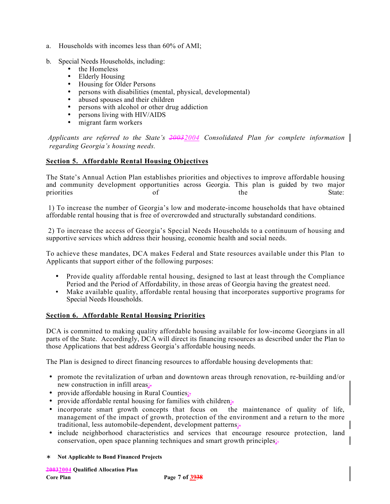- a. Households with incomes less than 60% of AMI;
- b. Special Needs Households, including:
	- the Homeless
	- Elderly Housing
	- Housing for Older Persons
	- persons with disabilities (mental, physical, developmental)
	- abused spouses and their children
	- persons with alcohol or other drug addiction
	- persons living with HIV/AIDS<br>• migrant form workers
	- migrant farm workers

 *Applicants are referred to the State's 20032004 Consolidated Plan for complete information regarding Georgia's housing needs.*

### **Section 5. Affordable Rental Housing Objectives**

The State's Annual Action Plan establishes priorities and objectives to improve affordable housing and community development opportunities across Georgia. This plan is guided by two major priorities of the State:

 1) To increase the number of Georgia's low and moderate-income households that have obtained affordable rental housing that is free of overcrowded and structurally substandard conditions.

 2) To increase the access of Georgia's Special Needs Households to a continuum of housing and supportive services which address their housing, economic health and social needs.

To achieve these mandates, DCA makes Federal and State resources available under this Plan to Applicants that support either of the following purposes:

- Provide quality affordable rental housing, designed to last at least through the Compliance Period and the Period of Affordability, in those areas of Georgia having the greatest need.
- Make available quality, affordable rental housing that incorporates supportive programs for Special Needs Households.

### **Section 6. Affordable Rental Housing Priorities**

DCA is committed to making quality affordable housing available for low-income Georgians in all parts of the State. Accordingly, DCA will direct its financing resources as described under the Plan to those Applications that best address Georgia's affordable housing needs.

The Plan is designed to direct financing resources to affordable housing developments that:

- promote the revitalization of urban and downtown areas through renovation, re-building and/or new construction in infill areas;-
- provide affordable housing in Rural Counties;
- provide affordable rental housing for families with children;
- incorporate smart growth concepts that focus on the maintenance of quality of life, management of the impact of growth, protection of the environment and a return to the more traditional, less automobile-dependent, development patterns;.
- include neighborhood characteristics and services that encourage resource protection, land conservation, open space planning techniques and smart growth principles;

#### **Not Applicable to Bond Financed Projects**

**20032004 Qualified Allocation Plan Core Plan Page 7 of 3938**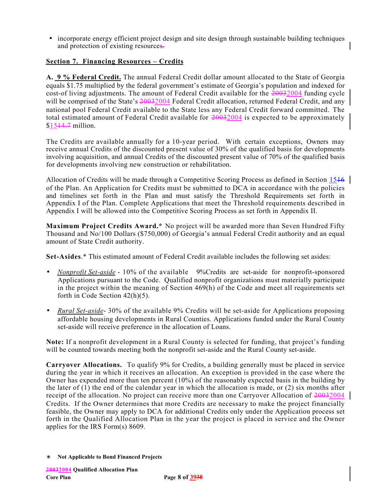• incorporate energy efficient project design and site design through sustainable building techniques and protection of existing resources.

# **Section 7. Financing Resources – Credits**

**A. 9 % Federal Credit.** The annual Federal Credit dollar amount allocated to the State of Georgia equals \$1.75 multiplied by the federal government's estimate of Georgia's population and indexed for cost-of living adjustments. The amount of Federal Credit available for the  $\frac{20032004}{4}$  funding cycle will be comprised of the State's 20032004 Federal Credit allocation, returned Federal Credit, and any national pool Federal Credit available to the State less any Federal Credit forward committed. The total estimated amount of Federal Credit available for  $20032004$  is expected to be approximately \$1544.7 million.

The Credits are available annually for a 10-year period. With certain exceptions, Owners may receive annual Credits of the discounted present value of 30% of the qualified basis for developments involving acquisition, and annual Credits of the discounted present value of 70% of the qualified basis for developments involving new construction or rehabilitation.

Allocation of Credits will be made through a Competitive Scoring Process as defined in Section 1546 of the Plan. An Application for Credits must be submitted to DCA in accordance with the policies and timelines set forth in the Plan and must satisfy the Threshold Requirements set forth in Appendix I of the Plan. Complete Applications that meet the Threshold requirements described in Appendix I will be allowed into the Competitive Scoring Process as set forth in Appendix II.

**Maximum Project Credits Award.\*** No project will be awarded more than Seven Hundred Fifty Thousand and No/100 Dollars (\$750,000) of Georgia's annual Federal Credit authority and an equal amount of State Credit authority.

**Set-Asides**.\* This estimated amount of Federal Credit available includes the following set asides:

- *Nonprofit Set-aside* 10% of the available 9%Credits are set-aside for nonprofit-sponsored Applications pursuant to the Code. Qualified nonprofit organizations must materially participate in the project within the meaning of Section 469(h) of the Code and meet all requirements set forth in Code Section 42(h)(5).
- *Rural Set-aside* 30% of the available 9% Credits will be set-aside for Applications proposing affordable housing developments in Rural Counties. Applications funded under the Rural County set-aside will receive preference in the allocation of Loans.

**Note:** If a nonprofit development in a Rural County is selected for funding, that project's funding will be counted towards meeting both the nonprofit set-aside and the Rural County set-aside.

**Carryover Allocations.** To qualify 9% for Credits, a building generally must be placed in service during the year in which it receives an allocation. An exception is provided in the case where the Owner has expended more than ten percent (10%) of the reasonably expected basis in the building by the later of  $(1)$  the end of the calendar year in which the allocation is made, or  $(2)$  six months after receipt of the allocation. No project can receive more than one Carryover Allocation of 20032004 Credits. If the Owner determines that more Credits are necessary to make the project financially feasible, the Owner may apply to DCA for additional Credits only under the Application process set forth in the Qualified Allocation Plan in the year the project is placed in service and the Owner applies for the IRS Form(s) 8609.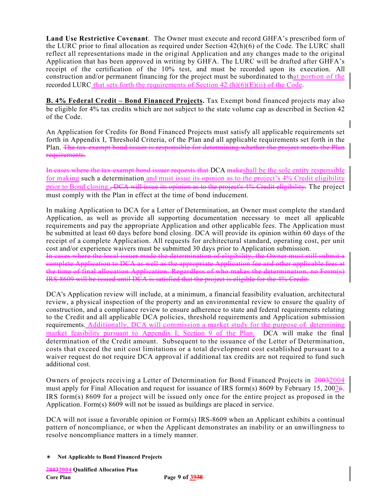**Land Use Restrictive Covenant**. The Owner must execute and record GHFA's prescribed form of the LURC prior to final allocation as required under Section 42(h)(6) of the Code. The LURC shall reflect all representations made in the original Application and any changes made to the original Application that has been approved in writing by GHFA. The LURC will be drafted after GHFA's receipt of the certification of the 10% test, and must be recorded upon its execution. All construction and/or permanent financing for the project must be subordinated to that portion of the recorded LURC that sets forth the requirements of Section 42  $(h)(6)(E)(ii)$  of the Code.

**B. 4% Federal Credit – Bond Financed Projects.** Tax Exempt bond financed projects may also be eligible for 4% tax credits which are not subject to the state volume cap as described in Section 42 of the Code.

An Application for Credits for Bond Financed Projects must satisfy all applicable requirements set forth in Appendix I, Threshold Criteria, of the Plan and all applicable requirements set forth in the Plan. The tax-exempt bond issuer is responsible for determining whether the project meets the Plan requirements.

In cases where the tax-exempt bond issuer requests that DCA makeshall be the sole entity responsible for making such a determination and must issue its opinion as to the project's 4% Credit eligibility prior to Bond closing. DCA will issue its opinion as to the project's 4% Credit eligibility. The project must comply with the Plan in effect at the time of bond inducement.

In making Application to DCA for a Letter of Determination, an Owner must complete the standard Application, as well as provide all supporting documentation necessary to meet all applicable requirements and pay the appropriate Application and other applicable fees. The Application must be submitted at least 60 days before bond closing. DCA will provide its opinion within 60 days of the receipt of a complete Application. All requests for architectural standard, operating cost, per unit cost and/or experience waivers must be submitted 30 days prior to Application submission. In cases where the local issuer made the determination of eligibility, the Owner must still complete Application to DCA as well as the appropriate Application fee and other applicable fees at the time of final allocation Application. Regardless of who makes the determination, no IRS-8609 will be issued until DCA is satisfied that the project is eligible for the 4% Credit.

DCA's Application review will include, at a minimum, a financial feasibility evaluation, architectural review, a physical inspection of the property and an environmental review to ensure the quality of construction, and a compliance review to ensure adherence to state and federal requirements relating to the Credit and all applicable DCA policies, threshold requirements and Application submission requirements. Additionally, DCA will commission a market study for the purpose of determining market feasibility pursuant to Appendix I, Section 9 of the Plan. DCA will make the final determination of the Credit amount. Subsequent to the issuance of the Letter of Determination, costs that exceed the unit cost limitations or a total development cost established pursuant to a waiver request do not require DCA approval if additional tax credits are not required to fund such additional cost.

Owners of projects receiving a Letter of Determination for Bond Financed Projects in 20032004 must apply for Final Allocation and request for issuance of IRS form(s) 8609 by February 15, 20076. IRS form(s) 8609 for a project will be issued only once for the entire project as proposed in the Application. Form(s) 8609 will not be issued as buildings are placed in service.

DCA will not issue a favorable opinion or Form(s) IRS-8609 when an Applicant exhibits a continual pattern of noncompliance, or when the Applicant demonstrates an inability or an unwillingness to resolve noncompliance matters in a timely manner.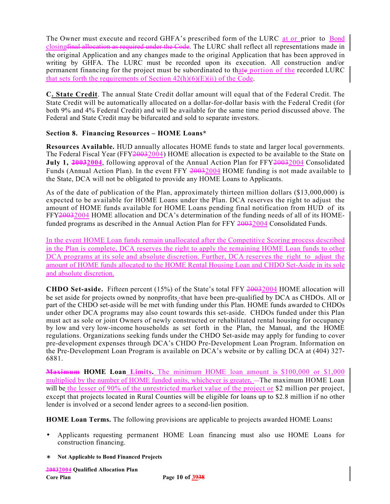The Owner must execute and record GHFA's prescribed form of the LURC at or prior to Bond closingfinal allocation as required under the Code. The LURC shall reflect all representations made in the original Application and any changes made to the original Application that has been approved in writing by GHFA. The LURC must be recorded upon its execution. All construction and/or permanent financing for the project must be subordinated to that eportion of the recorded LURC that sets forth the requirements of Section  $42(h)(6)(E)(ii)$  of the Code.

**C. State Credit**. The annual State Credit dollar amount will equal that of the Federal Credit. The State Credit will be automatically allocated on a dollar-for-dollar basis with the Federal Credit (for both 9% and 4% Federal Credit) and will be available for the same time period discussed above. The Federal and State Credit may be bifurcated and sold to separate investors.

# **Section 8. Financing Resources – HOME Loans\***

**Resources Available.** HUD annually allocates HOME funds to state and larger local governments. The Federal Fiscal Year (FFY20032004) HOME allocation is expected to be available to the State on **July 1, 20032004**, following approval of the Annual Action Plan for FFY20032004 Consolidated Funds (Annual Action Plan). In the event FFY 20032004 HOME funding is not made available to the State, DCA will not be obligated to provide any HOME Loans to Applicants.

As of the date of publication of the Plan, approximately thirteen million dollars (\$13,000,000) is expected to be available for HOME Loans under the Plan. DCA reserves the right to adjust the amount of HOME funds available for HOME Loans pending final notification from HUD of its FFY20032004 HOME allocation and DCA's determination of the funding needs of all of its HOMEfunded programs as described in the Annual Action Plan for FFY 20032004 Consolidated Funds.

In the event HOME Loan funds remain unallocated after the Competitive Scoring process described in the Plan is complete, DCA reserves the right to apply the remaining HOME Loan funds to other DCA programs at its sole and absolute discretion. Further, DCA reserves the right to adjust the amount of HOME funds allocated to the HOME Rental Housing Loan and CHDO Set-Aside in its sole and absolute discretion.

**CHDO Set-aside.** Fifteen percent (15%) of the State's total FFY 20032004 HOME allocation will be set aside for projects owned by nonprofits -that have been pre-qualified by DCA as CHDOs. All or part of the CHDO set-aside will be met with funding under this Plan. HOME funds awarded to CHDOs under other DCA programs may also count towards this set-aside. CHDOs funded under this Plan must act as sole or joint Owners of newly constructed or rehabilitated rental housing for occupancy by low and very low-income households as set forth in the Plan, the Manual, and the HOME regulations. Organizations seeking funds under the CHDO Set-aside may apply for funding to cover pre-development expenses through DCA's CHDO Pre-Development Loan Program. Information on the Pre-Development Loan Program is available on DCA's website or by calling DCA at (404) 327- 6881.

**Maximum HOME Loan Limits.** The minimum HOME loan amount is \$100,000 or \$1,000 multiplied by the number of HOME funded units, whichever is greater**.** The maximum HOME Loan will be the lesser of 90% of the unrestricted market value of the project or \$2 million per project, except that projects located in Rural Counties will be eligible for loans up to \$2.8 million if no other lender is involved or a second lender agrees to a second-lien position.

**HOME Loan Terms.** The following provisions are applicable to projects awarded HOME Loans**:**

• Applicants requesting permanent HOME Loan financing must also use HOME Loans for construction financing.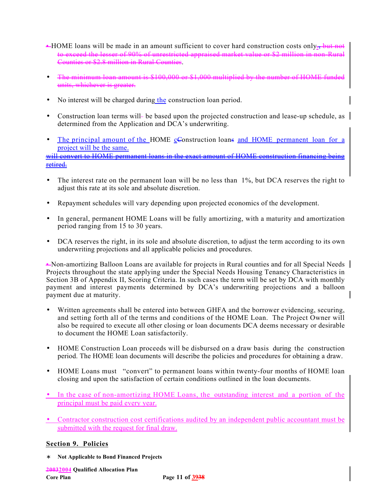- $\rightarrow$  HOME loans will be made in an amount sufficient to cover hard construction costs only. to exceed the lesser of 90% of unrestricted appraised market value or \$2 million in non-Ru Counties or \$2.8 million in Rural Counties.
- $\frac{1}{18}$  \$100,000 or \$1,000 multiplied by units, whichever is greater.
- No interest will be charged during the construction loan period.
- Construction loan terms will- be based upon the projected construction and lease-up schedule, as  $\vert$ determined from the Application and DCA's underwriting.
- The principal amount of the HOME cConstruction loans and HOME permanent loan for a project will be the same.

will convert to HOME permanent loans in the exact amount of HOME construction financing being retired.

- The interest rate on the permanent loan will be no less than 1%, but DCA reserves the right to adjust this rate at its sole and absolute discretion.
- Repayment schedules will vary depending upon projected economics of the development.
- In general, permanent HOME Loans will be fully amortizing, with a maturity and amortization period ranging from 15 to 30 years.
- DCA reserves the right, in its sole and absolute discretion, to adjust the term according to its own underwriting projections and all applicable policies and procedures.

• Non-amortizing Balloon Loans are available for projects in Rural counties and for all Special Needs Projects throughout the state applying under the Special Needs Housing Tenancy Characteristics in Section 3B of Appendix II, Scoring Criteria. In such cases the term will be set by DCA with monthly payment and interest payments determined by DCA's underwriting projections and a balloon payment due at maturity.

- Written agreements shall be entered into between GHFA and the borrower evidencing, securing, and setting forth all of the terms and conditions of the HOME Loan. The Project Owner will also be required to execute all other closing or loan documents DCA deems necessary or desirable to document the HOME Loan satisfactorily.
- HOME Construction Loan proceeds will be disbursed on a draw basis during the construction period. The HOME loan documents will describe the policies and procedures for obtaining a draw.
- HOME Loans must "convert" to permanent loans within twenty-four months of HOME loan closing and upon the satisfaction of certain conditions outlined in the loan documents.
- In the case of non-amortizing HOME Loans, the outstanding interest and a portion of the principal must be paid every year.
- Contractor construction cost certifications audited by an independent public accountant must be submitted with the request for final draw.

### **Section 9. Policies**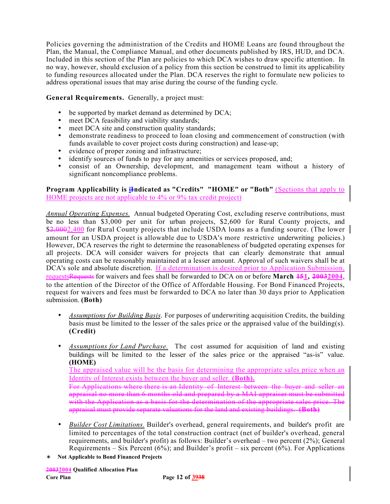Policies governing the administration of the Credits and HOME Loans are found throughout the Plan, the Manual, the Compliance Manual, and other documents published by IRS, HUD, and DCA. Included in this section of the Plan are policies to which DCA wishes to draw specific attention. In no way, however, should exclusion of a policy from this section be construed to limit its applicability to funding resources allocated under the Plan. DCA reserves the right to formulate new policies to address operational issues that may arise during the course of the funding cycle.

**General Requirements.** Generally, a project must:

- be supported by market demand as determined by DCA;
- meet  $\overline{D}CA$  feasibility and viability standards;
- meet DCA site and construction quality standards;
- demonstrate readiness to proceed to loan closing and commencement of construction (with funds available to cover project costs during construction) and lease-up;
- evidence of proper zoning and infrastructure;
- identify sources of funds to pay for any amenities or services proposed, and;
- consist of an Ownership, development, and management team without a history of significant noncompliance problems.

**Program Applicability is** *i***Indicated as "Credits" "HOME" or "Both"** (Sections that apply to HOME projects are not applicable to 4% or 9% tax credit project)

*Annual Operating Expenses.* Annual budgeted Operating Cost, excluding reserve contributions, must be no less than \$3,000 per unit for urban projects, \$2,600 for Rural County projects, and  $\frac{$2,0002,400}{2}$  for Rural County projects that include USDA loans as a funding source. (The lower amount for an USDA project is allowable due to USDA's more restrictive underwriting policies.) However, DCA reserves the right to determine the reasonableness of budgeted operating expenses for all projects. DCA will consider waivers for projects that can clearly demonstrate that annual operating costs can be reasonably maintained at a lesser amount. Approval of such waivers shall be at DCA's sole and absolute discretion. If a determination is desired prior to Application Submission, requestsRequests for waivers and fees shall be forwarded to DCA on or before **March 151, 20032004**, to the attention of the Director of the Office of Affordable Housing. For Bond Financed Projects, request for waivers and fees must be forwarded to DCA no later than 30 days prior to Application submission. **(Both)**

- *Assumptions for Building Basis*. For purposes of underwriting acquisition Credits, the building basis must be limited to the lesser of the sales price or the appraised value of the building(s). **(Credit)**
- *Assumptions for Land Purchase.*The cost assumed for acquisition of land and existing buildings will be limited to the lesser of the sales price or the appraised "as-is" value. **(HOME)**

The appraised value will be the basis for determining the appropriate sales price when an Identity of Interest exists between the buyer and seller. **(Both).**

For Applications where there is an Identity of Interest between appraisal no more than 6 months old and prepared by a MAI appraiser must be submitted with the Application as a basis for the determination of the appropriate sales price. The appraisal must provide separate valuations for the land and existing buildings. **(Both)**

• *Builder Cost Limitations.* Builder's overhead, general requirements, and builder's profit are limited to percentages of the total construction contract (net of builder's overhead, general requirements, and builder's profit) as follows: Builder's overhead – two percent (2%); General Requirements – Six Percent (6%); and Builder's profit – six percent (6%). For Applications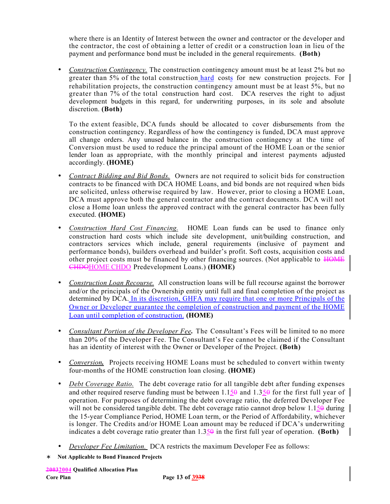where there is an Identity of Interest between the owner and contractor or the developer and the contractor, the cost of obtaining a letter of credit or a construction loan in lieu of the payment and performance bond must be included in the general requirements. **(Both)**

• *Construction Contingency.* The construction contingency amount must be at least 2% but no greater than 5% of the total construction hard costs for new construction projects. For rehabilitation projects, the construction contingency amount must be at least 5%, but no greater than 7% of the total construction hard cost. DCA reserves the right to adjust development budgets in this regard, for underwriting purposes, in its sole and absolute discretion. **(Both)**

To the extent feasible, DCA funds should be allocated to cover disbursements from the construction contingency. Regardless of how the contingency is funded, DCA must approve all change orders. Any unused balance in the construction contingency at the time of Conversion must be used to reduce the principal amount of the HOME Loan or the senior lender loan as appropriate, with the monthly principal and interest payments adjusted accordingly. **(HOME)**

- *Contract Bidding and Bid Bonds.* Owners are not required to solicit bids for construction contracts to be financed with DCA HOME Loans, and bid bonds are not required when bids are solicited, unless otherwise required by law. However, prior to closing a HOME Loan, DCA must approve both the general contractor and the contract documents. DCA will not close a Home loan unless the approved contract with the general contractor has been fully executed. **(HOME)**
- *Construction Hard Cost Financing.* HOME Loan funds can be used to finance only construction hard costs which include site development, unit/building construction, and contractors services which include, general requirements (inclusive of payment and performance bonds), builders overhead and builder's profit. Soft costs, acquisition costs and other project costs must be financed by other financing sources. (Not applicable to HOME CHDOHOME CHDO Predevelopment Loans.) **(HOME)**
- *Construction Loan Recourse.* All construction loans will be full recourse against the borrower and/or the principals of the Ownership entity until full and final completion of the project as determined by DCA. In its discretion, GHFA may require that one or more Principals of the Owner or Developer guarantee the completion of construction and payment of the HOME Loan until completion of construction. **(HOME)**
- *Consultant Portion of the Developer Fee.* The Consultant's Fees will be limited to no more than 20% of the Developer Fee. The Consultant's Fee cannot be claimed if the Consultant has an identity of interest with the Owner or Developer of the Project. **(Both)**
- *Conversion.*Projects receiving HOME Loans must be scheduled to convert within twenty four-months of the HOME construction loan closing. **(HOME)**
- *Debt Coverage Ratio.* The debt coverage ratio for all tangible debt after funding expenses and other required reserve funding must be between  $1.150$  and  $1.350$  for the first full year of operation. For purposes of determining the debt coverage ratio, the deferred Developer Fee will not be considered tangible debt. The debt coverage ratio cannot drop below 1.150 during the 15-year Compliance Period, HOME Loan term, or the Period of Affordability, whichever is longer. The Credits and/or HOME Loan amount may be reduced if DCA's underwriting indicates a debt coverage ratio greater than  $1.35\theta$  in the first full year of operation. **(Both)**
- *Developer Fee Limitation.* DCA restricts the maximum Developer Fee as follows: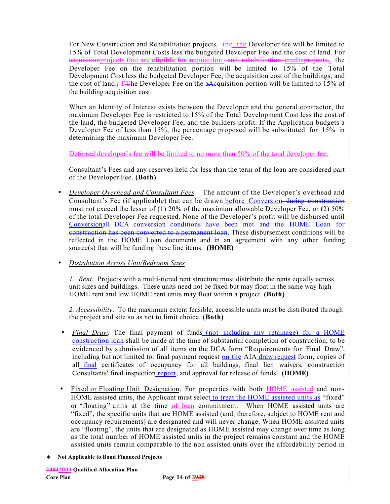For New Construction and Rehabilitation projects, the, the Developer fee will be limited to 15% of Total Development Costs less the budgeted Developer Fee and the cost of land. For  $a$  equisition projects that are eligible for acquisition - and rehabilitation credits projects, the Developer Fee on the rehabilitation portion will be limited to 15% of the Total Development Cost less the budgeted Developer Fee, the acquisition cost of the buildings, and the cost of land.; T<sub>T</sub>he Developer Fee on the a<sub>A</sub>cquisition portion will be limited to 15% of the building acquisition cost.

When an Identity of Interest exists between the Developer and the general contractor, the maximum Developer Fee is restricted to 15% of the Total Development Cost less the cost of the land, the budgeted Developer Fee, and the builders profit. If the Application budgets a Developer Fee of less than 15%, the percentage proposed will be substituted for 15% in determining the maximum Developer Fee.

Deferred developer's fee will be limited to no more than 50% of the total developer fee.

Consultant's Fees and any reserves held for less than the term of the loan are considered part of the Developer Fee. **(Both)**

• *Developer Overhead and Consultant Fees.*The amount of the Developer's overhead and Consultant's Fee (if applicable) that can be drawn before Conversion–during construction must not exceed the lesser of (1) 20% of the maximum allowable Developer Fee, or (2) 50% of the total Developer Fee requested. None of the Developer's profit will be disbursed until Conversionall DCA conversion conditions have been met and the HOME Loan for **construction has been converted to a permanent loan**. These disbursement conditions will be reflected in the HOME Loan documents and in an agreement with any other funding source(s) that will be funding these line items. **(HOME)**

• *Distribution Across Unit/Bedroom Sizes*

*1. Rent.* Projects with a multi-tiered rent structure must distribute the rents equally across unit sizes and buildings. These units need not be fixed but may float in the same way high HOME rent and low HOME rent units may float within a project. **(Both)**

*2. Accessibility*. To the maximum extent feasible, accessible units must be distributed through the project and site so as not to limit choice. **(Both)**

- *Final Draw.* The final payment of funds (not including any retainage) for a HOME construction loan shall be made at the time of substantial completion of construction, to be evidenced by submission of all items on the DCA form "Requirements for Final Draw", including but not limited to: final payment request on the AIA draw request form, copies of all final certificates of occupancy for all buildings, final lien waivers, construction Consultants' final inspection report, and approval for release of funds. **(HOME)**
- Fixed or Floating Unit Designation. For properties with both HOME assisted and non-HOME assisted units, the Applicant must select to treat the HOME assisted units as "fixed" or "floating" units at the time of loan commitment. When HOME assisted units are "fixed", the specific units that are HOME assisted (and, therefore, subject to HOME rent and occupancy requirements) are designated and will never change. When HOME assisted units are "floating", the units that are designated as HOME assisted may change over time as long as the total number of HOME assisted units in the project remains constant and the HOME assisted units remain comparable to the non assisted units over the affordability period in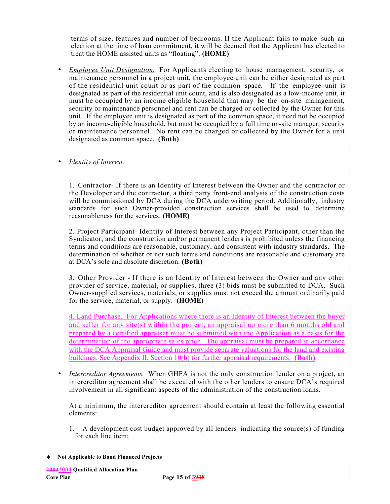terms of size, features and number of bedrooms. If the Applicant fails to make such an election at the time of loan commitment, it will be deemed that the Applicant has elected to treat the HOME assisted units as "floating". **(HOME)**

• *Employee Unit Designation.* For Applicants electing to house management, security, or maintenance personnel in a project unit, the employee unit can be either designated as part of the residential unit count or as part of the common space. If the employee unit is designated as part of the residential unit count, and is also designated as a low-income unit, it must be occupied by an income eligible household that may be the on-site management, security or maintenance personnel and rent can be charged or collected by the Owner for this unit. If the employee unit is designated as part of the common space, it need not be occupied by an income-eligible household, but must be occupied by a full time on-site manager, security or maintenance personnel. No rent can be charged or collected by the Owner for a unit designated as common space. **(Both)**

### • *Identity of Interest.*

1. Contractor- If there is an Identity of Interest between the Owner and the contractor or the Developer and the contractor, a third party front-end analysis of the construction costs will be commissioned by DCA during the DCA underwriting period. Additionally, industry standards for such Owner-provided construction services shall be used to determine reasonableness for the services. **(HOME)**

 $\mathsf{l}$ 

2. Project Participant- Identity of Interest between any Project Participant, other than the Syndicator, and the construction and/or permanent lenders is prohibited unless the financing terms and conditions are reasonable, customary, and consistent with industry standards. The determination of whether or not such terms and conditions are reasonable and customary are at DCA's sole and absolute discretion. **(Both)**

3. Other Provider - If there is an Identity of Interest between the Owner and any other provider of service, material, or supplies, three (3) bids must be submitted to DCA. Such Owner-supplied services, materials, or supplies must not exceed the amount ordinarily paid for the service, material, or supply. **(HOME)**

4. Land Purchase. For Applications where there is an Identity of Interest between the buyer and seller for any site(s) within the project, an appraisal no more than 6 months old and prepared by a certified appraiser must be submitted with the Application as a basis for the determination of the appropriate sales price. The appraisal must be prepared in accordance with the DCA Appraisal Guide and must provide separate valuations for the land and existing buildings. See Appendix II, Section 10(b) for further appraisal requirements. **(Both)**

• *Intercreditor Agreements*. When GHFA is not the only construction lender on a project, an intercreditor agreement shall be executed with the other lenders to ensure DCA's required involvement in all significant aspects of the administration of the construction loans.

At a minimum, the intercreditor agreement should contain at least the following essential elements:

1. A development cost budget approved by all lenders indicating the source(s) of funding for each line item;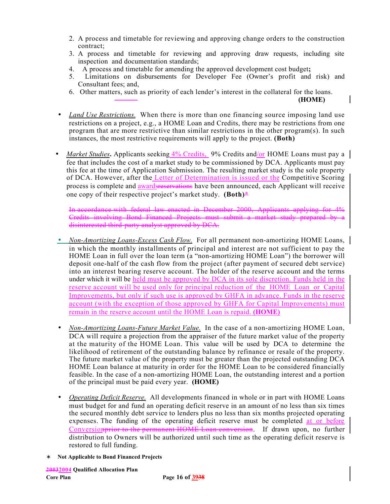- 2. A process and timetable for reviewing and approving change orders to the construction contract;
- 3. A process and timetable for reviewing and approving draw requests, including site inspection and documentation standards;
- 4. A process and timetable for amending the approved development cost budget**;**
- 5. Limitations on disbursements for Developer Fee (Owner's profit and risk) and Consultant fees; and,
- 6. Other matters, such as priority of each lender's interest in the collateral for the loans.

### **(HOME)**

 $\mathsf{l}$ 

- *Land Use Restrictions.* When there is more than one financing source imposing land use restrictions on a project, e.g., a HOME Loan and Credits, there may be restrictions from one program that are more restrictive than similar restrictions in the other program(s). In such instances, the most restrictive requirements will apply to the project. **(Both)**
- *Market Studies*. Applicants seeking 4% Credits, 9% Credits and/or HOME Loans must pay a fee that includes the cost of a market study to be commissioned by DCA. Applicants must pay this fee at the time of Application Submission. The resulting market study is the sole property of DCA. However, after the Letter of Determination is issued or the Competitive Scoring process is complete and awardsreservations have been announced, each Applicant will receive one copy of their respective project's market study. **(Both)\***

In accordance with federal law enacted in December 2000, Applicants Credits involving Bond Financed Projects must submit a market disinterested third-party analyst approved by DCA.

- *Non-Amortizing Loans-Excess Cash Flow.* For all permanent non-amortizing HOME Loans, in which the monthly installments of principal and interest are not sufficient to pay the HOME Loan in full over the loan term (a "non-amortizing HOME Loan") the borrower will deposit one-half of the cash flow from the project (after payment of secured debt service) into an interest bearing reserve account. The holder of the reserve account and the terms under which it will be held must be approved by DCA in its sole discretion. Funds held in the reserve account will be used only for principal reduction of the HOME Loan or Capital Improvements, but only if such use is approved by GHFA in advance. Funds in the reserve account (with the exception of those approved by GHFA for Capital Improvements) must remain in the reserve account until the HOME Loan is repaid. **(HOME)**
- *Non-Amortizing Loans-Future Market Value.* In the case of a non-amortizing HOME Loan, DCA will require a projection from the appraiser of the future market value of the property at the maturity of the HOME Loan. This value will be used by DCA to determine the likelihood of retirement of the outstanding balance by refinance or resale of the property. The future market value of the property must be greater than the projected outstanding DCA HOME Loan balance at maturity in order for the HOME Loan to be considered financially feasible. In the case of a non-amortizing HOME Loan, the outstanding interest and a portion of the principal must be paid every year. **(HOME)**
- *Operating Deficit Reserve.* All developments financed in whole or in part with HOME Loans must budget for and fund an operating deficit reserve in an amount of no less than six times the secured monthly debt service to lenders plus no less than six months projected operating expenses. The funding of the operating deficit reserve must be completed at or before Conversionprior to the permanent HOME Loan conversion. If drawn upon, no further distribution to Owners will be authorized until such time as the operating deficit reserve is restored to full funding.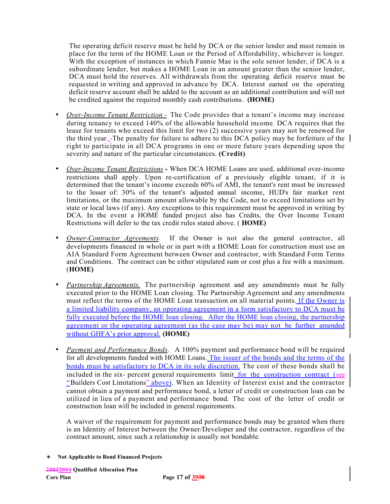The operating deficit reserve must be held by DCA or the senior lender and must remain in place for the term of the HOME Loan or the Period of Affordability, whichever is longer. With the exception of instances in which Fannie Mae is the sole senior lender, if DCA is a subordinate lender, but makes a HOME Loan in an amount greater than the senior lender, DCA must hold the reserves. All withdrawals from the operating deficit reserve must be requested in writing and approved in advance by DCA. Interest earned on the operating deficit reserve account shall be added to the account as an additional contribution and will not be credited against the required monthly cash contributions. **(HOME)**

- *Over-Income Tenant Restriction -* The Code provides that a tenant's income may increase during tenancy to exceed 140% of the allowable household income. DCA requires that the lease for tenants who exceed this limit for two (2) successive years may not be renewed for the third year. The penalty for failure to adhere to this DCA policy may be forfeiture of the right to participate in all DCA programs in one or more future years depending upon the severity and nature of the particular circumstances. **(Credit)**
- *Over-Income Tenant Restrictions*When DCA HOME Loans are used, additional over-income restrictions shall apply. Upon re-certification of a previously eligible tenant, if it is determined that the tenant's income exceeds 60% of AMI, the tenant's rent must be increased to the lesser of: 30% of the tenant's adjusted annual income, HUD's fair market rent limitations, or the maximum amount allowable by the Code, not to exceed limitations set by state or local laws (if any). Any exceptions to this requirement must be approved in writing by DCA. In the event a HOME funded project also has Credits, the Over Income Tenant Restrictions will defer to the tax credit rules stated above. ( **HOME)**
- *Owner-Contractor Agreements.* If the Owner is not also the general contractor, all developments financed in whole or in part with a HOME Loan for construction must use an AIA Standard Form Agreement between Owner and contractor, with Standard Form Terms and Conditions. The contract can be either stipulated sum or cost plus a fee with a maximum. (**HOME)**
- *Partnership Agreements.* The partnership agreement and any amendments must be fully executed prior to the HOME Loan closing. The Partnership Agreement and any amendments must reflect the terms of the HOME Loan transaction on all material points. If the Owner is a limited liability company, an operating agreement in a form satisfactory to DCA must be fully executed before the HOME loan closing. After the HOME loan closing, the partnership agreement or the operating agreement (as the case may be) may not be further amended without GHFA's prior approval. **(HOME)**
- *Payment and Performance Bonds.*A 100% payment and performance bond will be required for all developments funded with HOME Loans. The issuer of the bonds and the terms of the bonds must be satisfactory to DCA in its sole discretion. The cost of these bonds shall be included in the six- percent general requirements limit for the construction contract (see "Builders Cost Limitations" above). When an Identity of Interest exist and the contractor cannot obtain a payment and performance bond, a letter of credit or construction loan can be utilized in lieu of a payment and performance bond. The cost of the letter of credit or construction loan will be included in general requirements.

A waiver of the requirement for payment and performance bonds may be granted when there is an Identity of Interest between the Owner/Developer and the contractor, regardless of the contract amount, since such a relationship is usually not bondable.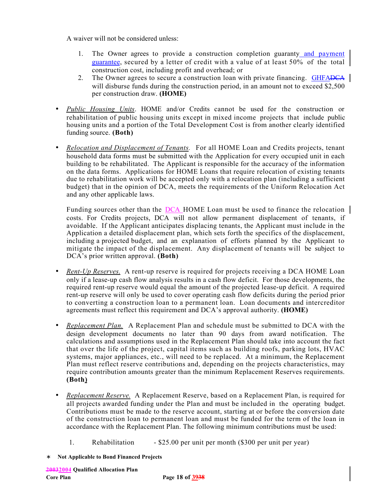A waiver will not be considered unless:

- 1. The Owner agrees to provide a construction completion guaranty and payment guarantee, secured by a letter of credit with a value of at least 50% of the total construction cost, including profit and overhead; or
- 2. The Owner agrees to secure a construction loan with private financing. GHFADCA will disburse funds during the construction period, in an amount not to exceed \$2.500 per construction draw. **(HOME)**
- *Public Housing Units*. HOME and/or Credits cannot be used for the construction or rehabilitation of public housing units except in mixed income projects that include public housing units and a portion of the Total Development Cost is from another clearly identified funding source. **(Both)**
- *Relocation and Displacement of Tenants.*For all HOME Loan and Credits projects, tenant household data forms must be submitted with the Application for every occupied unit in each building to be rehabilitated. The Applicant is responsible for the accuracy of the information on the data forms. Applications for HOME Loans that require relocation of existing tenants due to rehabilitation work will be accepted only with a relocation plan (including a sufficient budget) that in the opinion of DCA, meets the requirements of the Uniform Relocation Act and any other applicable laws.

Funding sources other than the  $DCA$  HOME Loan must be used to finance the relocation  $\parallel$ costs. For Credits projects, DCA will not allow permanent displacement of tenants, if avoidable. If the Applicant anticipates displacing tenants, the Applicant must include in the Application a detailed displacement plan, which sets forth the specifics of the displacement, including a projected budget, and an explanation of efforts planned by the Applicant to mitigate the impact of the displacement. Any displacement of tenants will be subject to DCA's prior written approval. **(Both)**

- *Rent-Up Reserves.* A rent-up reserve is required for projects receiving a DCA HOME Loan only if a lease-up cash flow analysis results in a cash flow deficit. For those developments, the required rent-up reserve would equal the amount of the projected lease-up deficit. A required rent-up reserve will only be used to cover operating cash flow deficits during the period prior to converting a construction loan to a permanent loan. Loan documents and intercreditor agreements must reflect this requirement and DCA's approval authority. **(HOME)**
- *Replacement Plan.*A Replacement Plan and schedule must be submitted to DCA with the design development documents no later than 90 days from award notification. The calculations and assumptions used in the Replacement Plan should take into account the fact that over the life of the project, capital items such as building roofs, parking lots, HVAC systems, major appliances, etc., will need to be replaced. At a minimum, the Replacement Plan must reflect reserve contributions and, depending on the projects characteristics, may require contribution amounts greater than the minimum Replacement Reserves requirements. **(Both)**
- *Replacement Reserve.* A Replacement Reserve, based on a Replacement Plan, is required for all projects awarded funding under the Plan and must be included in the operating budget. Contributions must be made to the reserve account, starting at or before the conversion date of the construction loan to permanent loan and must be funded for the term of the loan in accordance with the Replacement Plan. The following minimum contributions must be used:
	- 1. Rehabilitation \$25.00 per unit per month (\$300 per unit per year)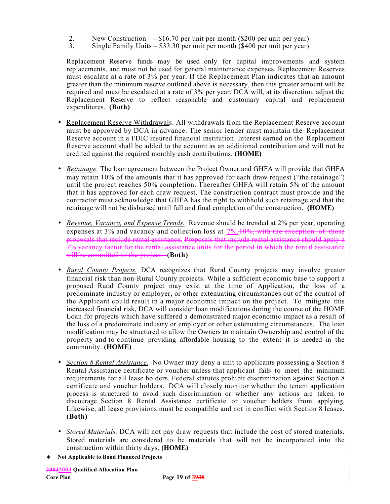- 2. New Construction \$16.70 per unit per month (\$200 per unit per year)
- 3. Single Family Units \$33.30 per unit per month (\$400 per unit per year)

Replacement Reserve funds may be used only for capital improvements and system replacements, and must not be used for general maintenance expenses. Replacement Reserves must escalate at a rate of 3% per year. If the Replacement Plan indicates that an amount greater than the minimum reserve outlined above is necessary, then this greater amount will be required and must be escalated at a rate of 3% per year. DCA will, at its discretion, adjust the Replacement Reserve to reflect reasonable and customary capital and replacement expenditures. **(Both)**

- Replacement Reserve Withdrawals. All withdrawals from the Replacement Reserve account must be approved by DCA in advance. The senior lender must maintain the Replacement Reserve account in a FDIC insured financial institution. Interest earned on the Replacement Reserve account shall be added to the account as an additional contribution and will not be credited against the required monthly cash contributions. **(HOME)**
- *Retainage.* The loan agreement between the Project Owner and GHFA will provide that GHFA may retain 10% of the amounts that it has approved for each draw request ("the retainage") until the project reaches 50% completion. Thereafter GHFA will retain 5% of the amount that it has approved for each draw request. The construction contract must provide and the contractor must acknowledge that GHFA has the right to withhold such retainage and that the retainage will not be disbursed until full and final completion of the construction. **(HOME)**
- *Revenue, Vacancy, and Expense Trends.* Revenue should be trended at 2% per year, operating expenses at 3% and vacancy and collection loss at  $7\%$ ,  $10\%$ , with the exception of those proposals that include rental assistance. Proposals that include rental assistance should a factor for the rental assistance units for the period in which the rental will be committed to the project. **(Both)**
- *Rural County Projects.* DCA recognizes that Rural County projects may involve greater financial risk than non-Rural County projects. While a sufficient economic base to support a proposed Rural County project may exist at the time of Application, the loss of a predominate industry or employer, or other extenuating circumstances out of the control of the Applicant could result in a major economic impact on the project. To mitigate this increased financial risk, DCA will consider loan modifications during the course of the HOME Loan for projects which have suffered a demonstrated major economic impact as a result of the loss of a predominate industry or employer or other extenuating circumstances. The loan modification may be structured to allow the Owners to maintain Ownership and control of the property and to continue providing affordable housing to the extent it is needed in the community. **(HOME)**
- *Section 8 Rental Assistance.* No Owner may deny a unit to applicants possessing a Section 8 Rental Assistance certificate or voucher unless that applicant fails to meet the minimum requirements for all lease holders. Federal statutes prohibit discrimination against Section 8 certificate and voucher holders. DCA will closely monitor whether the tenant application process is structured to avoid such discrimination or whether any actions are taken to discourage Section 8 Rental Assistance certificate or voucher holders from applying. Likewise, all lease provisions must be compatible and not in conflict with Section 8 leases. **(Both)**
- *Stored Materials.* DCA will not pay draw requests that include the cost of stored materials. Stored materials are considered to be materials that will not be incorporated into the construction within thirty days. **(HOME)**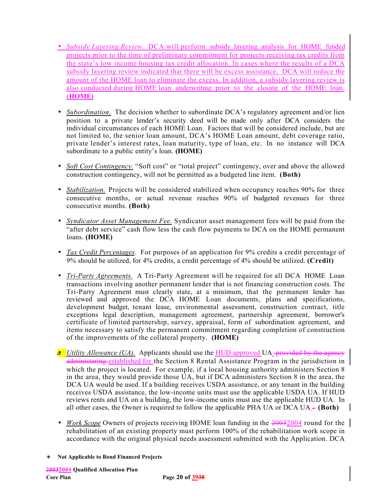- *Subsidy Layering Review.* DCA will perform subsidy layering analysis for HOME funded projects prior to the time of preliminary commitment for projects receiving tax credits from the state's low income housing tax credit allocation. In cases where the results of a DCA subsidy layering review indicated that there will be excess assistance, DCA will reduce the amount of the HOME loan to eliminate the excess. In addition, a subsidy layering review is also conducted during HOME loan underwriting prior to the closing of the HOME loan. (**HOME)**
- *Subordination*. The decision whether to subordinate DCA's regulatory agreement and/or lien position to a private lender's security deed will be made only after DCA considers the individual circumstances of each HOME Loan. Factors that will be considered include, but are not limited to, the senior loan amount, DCA's HOME Loan amount, debt coverage ratio, private lender's interest rates, loan maturity, type of loan, etc. In no instance will DCA subordinate to a public entity's loan. **(HOME)**
- *Soft Cost Contingency*. "Soft cost" or "total project" contingency, over and above the allowed construction contingency, will not be permitted as a budgeted line item. **(Both)**
- *Stabilization.* Projects will be considered stabilized when occupancy reaches 90% for three consecutive months, or actual revenue reaches 90% of budgeted revenues for three consecutive months. **(Both)**
- *Syndicator Asset Management Fee.* Syndicator asset management fees will be paid from the "after debt service" cash flow less the cash flow payments to DCA on the HOME permanent loans. **(HOME)**
- *Tax Credit Percentages*. For purposes of an application for 9% credits a credit percentage of 9% should be utilized, for 4% credits, a credit percentage of 4% should be utilized. **(Credit)**
- *Tri-Party Agreements.* A Tri-Party Agreement will be required for all DCA HOME Loan transactions involving another permanent lender that is not financing construction costs. The Tri-Party Agreement must clearly state, at a minimum, that the permanent lender has reviewed and approved the DCA HOME Loan documents, plans and specifications, development budget, tenant lease, environmental assessment, construction contract, title exceptions legal description, management agreement, partnership agreement, borrower's certificate of limited partnership, survey, appraisal, form of subordination agreement, and items necessary to satisfy the permanent commitment regarding completion of construction of the improvements of the collateral property. **(HOME)**
- **•** *Utility Allowance (UA).* Applicants should use the HUD approved UA provided by the agency administering established for the Section 8 Rental Assistance Program in the jurisdiction in which the project is located. For example, if a local housing authority administers Section 8 in the area, they would provide those UA, but if DCA administers Section 8 in the area, the DCA UA would be used. If a building receives USDA assistance, or any tenant in the building receives USDA assistance, the low-income units must use the applicable USDA UA. If HUD reviews rents and UA on a building, the low-income units must use the applicable HUD UA. In all other cases, the Owner is required to follow the applicable PHA UA or  $DCA \cup A - (Both)$
- *Work Scope* Owners of projects receiving HOME loan funding in the  $\frac{20032004}{20032004}$  round for the rehabilitation of an existing property must perform 100% of the rehabilitation work scope in accordance with the original physical needs assessment submitted with the Application. DCA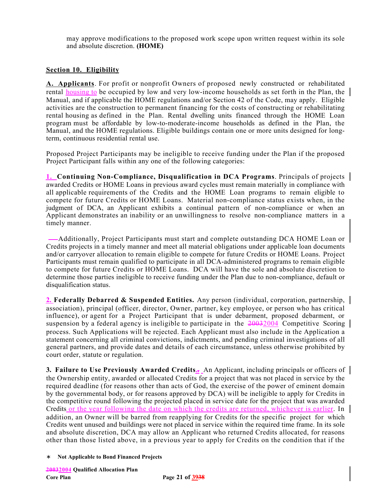may approve modifications to the proposed work scope upon written request within its sole and absolute discretion. **(HOME)**

### **Section 10. Eligibility**

**A. Applicants**. For profit or nonprofit Owners of proposed newly constructed or rehabilitated rental housing to be occupied by low and very low-income households as set forth in the Plan, the Manual, and if applicable the HOME regulations and/or Section 42 of the Code, may apply. Eligible activities are the construction to permanent financing for the costs of constructing or rehabilitating rental housing as defined in the Plan. Rental dwelling units financed through the HOME Loan program must be affordable by low-to-moderate-income households as defined in the Plan, the Manual, and the HOME regulations. Eligible buildings contain one or more units designed for longterm, continuous residential rental use.

Proposed Project Participants may be ineligible to receive funding under the Plan if the proposed Project Participant falls within any one of the following categories:

**1. Continuing Non-Compliance, Disqualification in DCA Programs**. Principals of projects awarded Credits or HOME Loans in previous award cycles must remain materially in compliance with all applicable requirements of the Credits and the HOME Loan programs to remain eligible to compete for future Credits or HOME Loans. Material non-compliance status exists when, in the judgment of DCA, an Applicant exhibits a continual pattern of non-compliance or when an Applicant demonstrates an inability or an unwillingness to resolve non-compliance matters in a timely manner.

 Additionally, Project Participants must start and complete outstanding DCA HOME Loan or Credits projects in a timely manner and meet all material obligations under applicable loan documents and/or carryover allocation to remain eligible to compete for future Credits or HOME Loans. Project Participants must remain qualified to participate in all DCA-administered programs to remain eligible to compete for future Credits or HOME Loans. DCA will have the sole and absolute discretion to determine those parties ineligible to receive funding under the Plan due to non-compliance, default or disqualification status.

**2. Federally Debarred & Suspended Entities.** Any person (individual, corporation, partnership, association), principal (officer, director, Owner, partner, key employee, or person who has critical influence), or agent for a Project Participant that is under debarment, proposed debarment, or suspension by a federal agency is ineligible to participate in the 20032004 Competitive Scoring process. Such Applications will be rejected. Each Applicant must also include in the Application a statement concerning all criminal convictions, indictments, and pending criminal investigations of all general partners, and provide dates and details of each circumstance, unless otherwise prohibited by court order, statute or regulation.

**3. Failure to Use Previously Awarded Credits...** An Applicant, including principals or officers of the Ownership entity, awarded or allocated Credits for a project that was not placed in service by the required deadline (for reasons other than acts of God, the exercise of the power of eminent domain by the governmental body, or for reasons approved by DCA) will be ineligible to apply for Credits in the competitive round following the projected placed in service date for the project that was awarded Credits or the year following the date on which the credits are returned, whichever is earlier. In addition, an Owner will be barred from reapplying for Credits for the specific project for which Credits went unused and buildings were not placed in service within the required time frame. In its sole and absolute discretion, DCA may allow an Applicant who returned Credits allocated, for reasons other than those listed above, in a previous year to apply for Credits on the condition that if the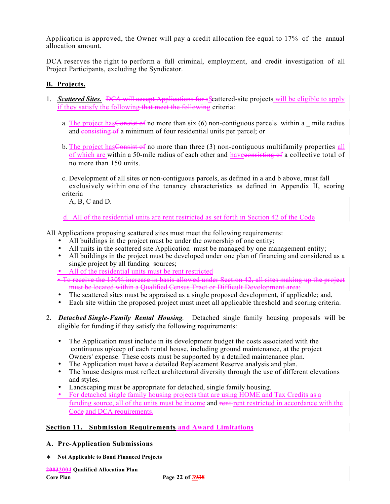Application is approved, the Owner will pay a credit allocation fee equal to 17% of the annual allocation amount.

DCA reserves the right to perform a full criminal, employment, and credit investigation of all Project Participants, excluding the Syndicator.

# **B. Projects.**

- 1. *Scattered Sites.* DCA will accept Applications for sScattered-site projects will be eligible to apply if they satisfy the following that meet the following criteria:
	- a. The project has Consist of no more than six  $(6)$  non-contiguous parcels within a \_ mile radius and consisting of a minimum of four residential units per parcel; or
	- b. The project has Consist of no more than three (3) non-contiguous multifamily properties all of which are within a 50-mile radius of each other and haveconsisting of a collective total of no more than 150 units.
	- c. Development of all sites or non-contiguous parcels, as defined in a and b above, must fall exclusively within one of the tenancy characteristics as defined in Appendix II, scoring criteria

A, B, C and D.

d. All of the residential units are rent restricted as set forth in Section 42 of the Code

All Applications proposing scattered sites must meet the following requirements:

- All buildings in the project must be under the ownership of one entity;
- All units in the scattered site Application must be managed by one management entity;
- All buildings in the project must be developed under one plan of financing and considered as a single project by all funding sources;

• All of the residential units must be rent restricted

 $\overline{\text{o}}$  receive the 130% increase in basis allowed under must be located within a Qualified Census Tract or Difficult Developm

- The scattered sites must be appraised as a single proposed development, if applicable; and,
- Each site within the proposed project must meet all applicable threshold and scoring criteria.
- 2. *Detached Single-Family Rental Housing.* Detached single family housing proposals will be eligible for funding if they satisfy the following requirements:
	- The Application must include in its development budget the costs associated with the continuous upkeep of each rental house, including ground maintenance, at the project Owners' expense. These costs must be supported by a detailed maintenance plan.
	- The Application must have a detailed Replacement Reserve analysis and plan.
	- The house designs must reflect architectural diversity through the use of different elevations and styles.
	- Landscaping must be appropriate for detached, single family housing.
	- For detached single family housing projects that are using HOME and Tax Credits as a funding source, all of the units must be income and rent-rent restricted in accordance with the Code and DCA requirements.

# **Section 11. Submission Requirements and Award Limitations**

# **A. Pre-Application Submissions**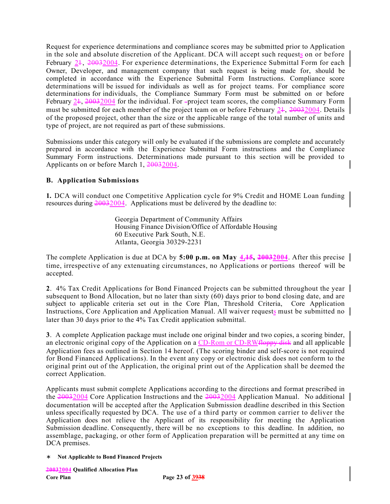Request for experience determinations and compliance scores may be submitted prior to Application in the sole and absolute discretion of the Applicant. DCA will accept such requests on or before February 24, 20032004. For experience determinations, the Experience Submittal Form for each Owner, Developer, and management company that such request is being made for, should be completed in accordance with the Experience Submittal Form Instructions. Compliance score determinations will be issued for individuals as well as for project teams. For compliance score determinations for individuals, the Compliance Summary Form must be submitted on or before February  $2+$ ,  $20032004$  for the individual. For -project team scores, the compliance Summary Form must be submitted for each member of the project team on or before February  $2\frac{1}{2}$ ,  $\frac{20032004}{20032004}$ . Details of the proposed project, other than the size or the applicable range of the total number of units and type of project, are not required as part of these submissions.

Submissions under this category will only be evaluated if the submissions are complete and accurately prepared in accordance with the Experience Submittal Form instructions and the Compliance Summary Form instructions. Determinations made pursuant to this section will be provided to Applicants on or before March 1, 20032004.

# **B. Application Submissions**

**1.** DCA will conduct one Competitive Application cycle for 9% Credit and HOME Loan funding resources during 20032004. Applications must be delivered by the deadline to:

> Georgia Department of Community Affairs Housing Finance Division/Office of Affordable Housing 60 Executive Park South, N.E. Atlanta, Georgia 30329-2231

The complete Application is due at DCA by 5:00 p.m. on May 4.45, 20032004. After this precise time, irrespective of any extenuating circumstances, no Applications or portions thereof will be accepted.

**2**. 4% Tax Credit Applications for Bond Financed Projects can be submitted throughout the year subsequent to Bond Allocation, but no later than sixty (60) days prior to bond closing date, and are subject to applicable criteria set out in the Core Plan, Threshold Criteria, Core Application Instructions, Core Application and Application Manual. All waiver requests must be submitted no later than 30 days prior to the 4% Tax Credit application submittal.

**3**. A complete Application package must include one original binder and two copies, a scoring binder, an electronic original copy of the Application on a CD-Rom or CD-RW floppy disk and all applicable Application fees as outlined in Section 14 hereof. (The scoring binder and self-score is not required for Bond Financed Applications). In the event any copy or electronic disk does not conform to the original print out of the Application, the original print out of the Application shall be deemed the correct Application.

Applicants must submit complete Applications according to the directions and format prescribed in the 20032004 Core Application Instructions and the 20032004 Application Manual.No additional documentation will be accepted after the Application Submission deadline described in this Section unless specifically requested by DCA. The use of a third party or common carrier to deliver the Application does not relieve the Applicant of its responsibility for meeting the Application Submission deadline. Consequently, there will be no exceptions to this deadline. In addition, no assemblage, packaging, or other form of Application preparation will be permitted at any time on DCA premises.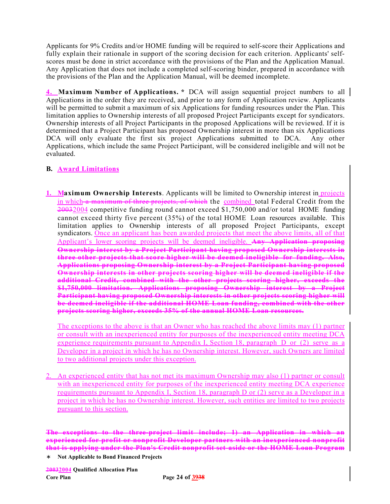Applicants for 9% Credits and/or HOME funding will be required to self-score their Applications and fully explain their rationale in support of the scoring decision for each criterion. Applicants' selfscores must be done in strict accordance with the provisions of the Plan and the Application Manual. Any Application that does not include a completed self-scoring binder, prepared in accordance with the provisions of the Plan and the Application Manual, will be deemed incomplete.

**4. Maximum Number of Applications. \*** DCA will assign sequential project numbers to all Applications in the order they are received, and prior to any form of Application review. Applicants will be permitted to submit a maximum of six Applications for funding resources under the Plan. This limitation applies to Ownership interests of all proposed Project Participants except for syndicators. Ownership interests of all Project Participants in the proposed Applications will be reviewed. If it is determined that a Project Participant has proposed Ownership interest in more than six Applications DCA will only evaluate the first six project Applications submitted to DCA. Any other Applications, which include the same Project Participant, will be considered ineligible and will not be evaluated.

# **B. Award Limitations**

**1. Maximum Ownership Interests**. Applicants will be limited to Ownership interest in projects in which a maximum of three projects, of which the combined total Federal Credit from the 20032004 competitive funding round cannot exceed \$1,750,000 and/or total HOME funding cannot exceed thirty five percent (35%) of the total HOME Loan resources available. This limitation applies to Ownership interests of all proposed Project Participants, except syndicators. Once an applicant has been awarded projects that meet the above limits, all of that Applicant's lower scoring projects will be deemed ineligible. **Any Application proposing Ownership interest by a Project Participant having proposed Ownership interests in three other projects that score higher will be deemed ineligible for funding. Also, Applications proposing Ownership interest by a Project Participant having proposed Ownership interests in other projects scoring higher will be deemed ineligible if the additional Credit, combined with the other projects scoring higher, exceeds the \$1,750,000 limitation. Applications proposing Ownership interest by a Project Participant having proposed Ownership interests in other projects scoring higher will be deemed ineligible if the additional HOME Loan funding, combined with the other projects scoring higher, exceeds 35% of the annual HOME Loan resources.**

The exceptions to the above is that an Owner who has reached the above limits may (1) partner or consult with an inexperienced entity for purposes of the inexperienced entity meeting DCA experience requirements pursuant to Appendix I, Section 18, paragraph D or (2) serve as a Developer in a project in which he has no Ownership interest. However, such Owners are limited to two additional projects under this exception.

2. An experienced entity that has not met its maximum Ownership may also (1) partner or consult with an inexperienced entity for purposes of the inexperienced entity meeting DCA experience requirements pursuant to Appendix I, Section 18, paragraph D or (2) serve as a Developer in a project in which he has no Ownership interest. However, such entities are limited to two projects pursuant to this section.

**The exceptions to the three-project limit include; 1) an Application in which an experienced for profit or nonprofit Developer partners with an inexperienced nonprofit that is applying under the Plan's Credit nonprofit set-aside or the HOME Loan Program**

**Not Applicable to Bond Financed Projects**

**20032004 Qualified Allocation Plan Core Plan Page 24 of 3938**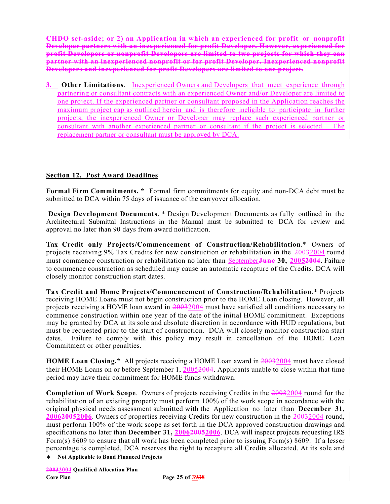**CHDO** set-aside; or 2) an Application in which an experienced for profit **Developer partners with an inexperienced for profit Developer. However, experienced for profit Developers or nonprofit Developers are limited to two projects for which they can partner with an inexperienced nonprofit or for profit Developer. Inexperienced nonprofit Developers and inexperienced for profit Developers are limited to one project.**

**3.** Other Limitations. Inexperienced Owners and Developers that meet experience through partnering or consultant contracts with an experienced Owner and/or Developer are limited to one project. If the experienced partner or consultant proposed in the Application reaches the maximum project cap as outlined herein and is therefore ineligible to participate in further projects, the inexperienced Owner or Developer may replace such experienced partner or consultant with another experienced partner or consultant if the project is selected. The replacement partner or consultant must be approved by DCA.

# **Section 12. Post Award Deadlines**

**Formal Firm Commitments. \*** Formal firm commitments for equity and non-DCA debt must be submitted to DCA within 75 days of issuance of the carryover allocation.

 **Design Development Documents**. \* Design Development Documents as fully outlined in the Architectural Submittal Instructions in the Manual must be submitted to DCA for review and approval no later than 90 days from award notification.

**Tax Credit only Projects/Commencement of Construction/Rehabilitation**.\* Owners of projects receiving 9% Tax Credits for new construction or rehabilitation in the 20032004 round must commence construction or rehabilitation no later than September**June 30, 20052004**. Failure to commence construction as scheduled may cause an automatic recapture of the Credits. DCA will closely monitor construction start dates.

**Tax Credit and Home Projects/Commencement of Construction/Rehabilitation**.\* Projects receiving HOME Loans must not begin construction prior to the HOME Loan closing. However, all projects receiving a HOME loan award in  $20032004$  must have satisfied all conditions necessary to commence construction within one year of the date of the initial HOME commitment. Exceptions may be granted by DCA at its sole and absolute discretion in accordance with HUD regulations, but must be requested prior to the start of construction. DCA will closely monitor construction start dates. Failure to comply with this policy may result in cancellation of the HOME Loan Commitment or other penalties.

**HOME Loan Closing.\*** All projects receiving a HOME Loan award in 20032004 must have closed their HOME Loans on or before September 1, 20052004. Applicants unable to close within that time period may have their commitment for HOME funds withdrawn.

**Completion of Work Scope.** Owners of projects receiving Credits in the 20032004 round for the rehabilitation of an existing property must perform 100% of the work scope in accordance with the original physical needs assessment submitted with the Application no later than **December 31, 200620052006**. Owners of properties receiving Credits for new construction in the 20032004 round, must perform 100% of the work scope as set forth in the DCA approved construction drawings and specifications no later than **December 31, 200620052006**. DCA will inspect projects requesting IRS | Form(s) 8609 to ensure that all work has been completed prior to issuing Form(s) 8609. If a lesser percentage is completed, DCA reserves the right to recapture all Credits allocated. At its sole and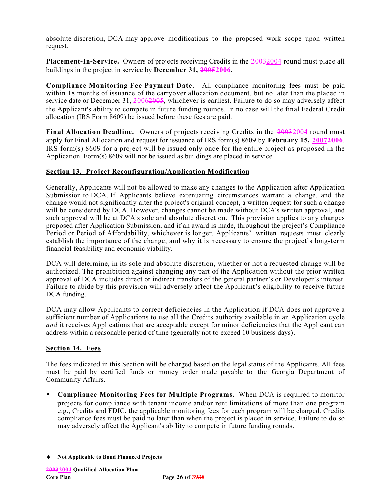absolute discretion, DCA may approve modifications to the proposed work scope upon written request.

**Placement-In-Service.** Owners of projects receiving Credits in the 20032004 round must place all buildings in the project in service by **December 31, 20052006.**

**Compliance Monitoring Fee Payment Date.** All compliance monitoring fees must be paid within 18 months of issuance of the carryover allocation document, but no later than the placed in service date or December 31, 20062005, whichever is earliest. Failure to do so may adversely affect the Applicant's ability to compete in future funding rounds. In no case will the final Federal Credit allocation (IRS Form 8609) be issued before these fees are paid.

**Final Allocation Deadline.** Owners of projects receiving Credits in the 20032004 round must apply for Final Allocation and request for issuance of IRS form(s) 8609 by **February 15, 20072006**. IRS form(s) 8609 for a project will be issued only once for the entire project as proposed in the Application. Form(s) 8609 will not be issued as buildings are placed in service.

# **Section 13. Project Reconfiguration/Application Modification**

Generally, Applicants will not be allowed to make any changes to the Application after Application Submission to DCA. If Applicants believe extenuating circumstances warrant a change, and the change would not significantly alter the project's original concept, a written request for such a change will be considered by DCA. However, changes cannot be made without DCA's written approval, and such approval will be at DCA's sole and absolute discretion. This provision applies to any changes proposed after Application Submission, and if an award is made, throughout the project's Compliance Period or Period of Affordability, whichever is longer. Applicants' written requests must clearly establish the importance of the change, and why it is necessary to ensure the project's long-term financial feasibility and economic viability.

DCA will determine, in its sole and absolute discretion, whether or not a requested change will be authorized. The prohibition against changing any part of the Application without the prior written approval of DCA includes direct or indirect transfers of the general partner's or Developer's interest. Failure to abide by this provision will adversely affect the Applicant's eligibility to receive future DCA funding.

DCA may allow Applicants to correct deficiencies in the Application if DCA does not approve a sufficient number of Applications to use all the Credits authority available in an Application cycle *and* it receives Applications that are acceptable except for minor deficiencies that the Applicant can address within a reasonable period of time (generally not to exceed 10 business days).

### **Section 14. Fees**

The fees indicated in this Section will be charged based on the legal status of the Applicants. All fees must be paid by certified funds or money order made payable to the Georgia Department of Community Affairs.

• **Compliance Monitoring Fees for Multiple Programs.** When DCA is required to monitor projects for compliance with tenant income and/or rent limitations of more than one program e.g., Credits and FDIC, the applicable monitoring fees for each program will be charged. Credits compliance fees must be paid no later than when the project is placed in service. Failure to do so may adversely affect the Applicant's ability to compete in future funding rounds.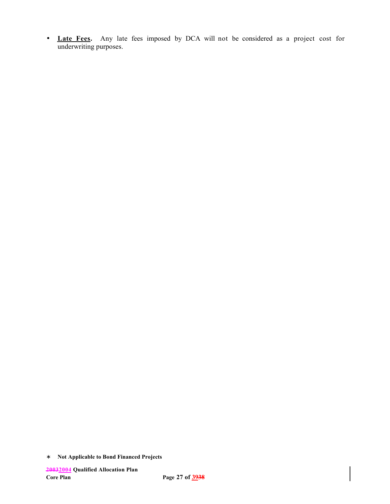• **Late Fees.** Any late fees imposed by DCA will not be considered as a project cost for underwriting purposes.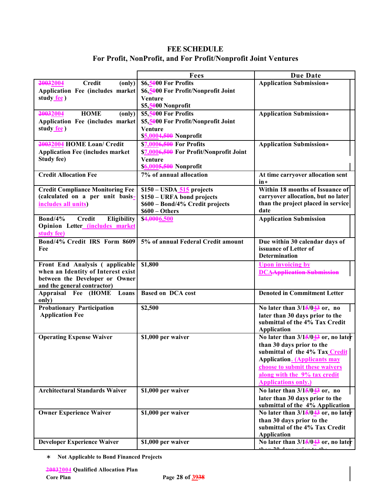# **FEE SCHEDULE For Profit, NonProfit, and For Profit/Nonprofit Joint Ventures**

|                                            | Fees                                                          | Due Date                                                                 |
|--------------------------------------------|---------------------------------------------------------------|--------------------------------------------------------------------------|
| 20032004<br><b>Credit</b><br>(only)        | \$6,5000 For Profits                                          | <b>Application Submission*</b>                                           |
| Application Fee (includes market           | \$6,5000 For Profit/Nonprofit Joint                           |                                                                          |
| study <u>fee</u> )                         | Venture                                                       |                                                                          |
|                                            | \$5,5000 Nonprofit                                            |                                                                          |
| <b>HOME</b><br>20032004<br>(only)          | \$5,5000 For Profits                                          | <b>Application Submission*</b>                                           |
| Application Fee (includes market           | \$5,5000 For Profit/Nonprofit Joint                           |                                                                          |
| study <u>fee</u> )                         | Venture                                                       |                                                                          |
|                                            | \$5,0004,500 Nonprofit                                        |                                                                          |
| 20032004 HOME Loan/ Credit                 | \$7,000 <del>6,500</del> For Profits                          | <b>Application Submission*</b>                                           |
| <b>Application Fee (includes market</b>    | \$7,0006,500 For Profit/Nonprofit Joint                       |                                                                          |
| Study fee)                                 | Venture                                                       |                                                                          |
|                                            | \$6,0005,500 Nonprofit                                        |                                                                          |
| <b>Credit Allocation Fee</b>               | 7% of annual allocation                                       | At time carryover allocation sent                                        |
|                                            |                                                               | $in*$                                                                    |
| <b>Credit Compliance Monitoring Fee</b>    | $$150 - USDA$ 515 projects                                    | Within 18 months of Issuance of                                          |
| (calculated on a per unit basis-           | \$150 - URFA bond projects<br>\$600 - Bond/4% Credit projects | carryover allocation, but no later<br>than the project placed in service |
| includes all units)                        | $$600 - Others$                                               | date                                                                     |
| Eligibility<br>Bond/4 $%$<br><b>Credit</b> | \$4,0006,500                                                  | <b>Application Submission</b>                                            |
| Opinion Letter_(includes market            |                                                               |                                                                          |
| study fee)                                 |                                                               |                                                                          |
| Bond/4% Credit IRS Form 8609               | 5% of annual Federal Credit amount                            | Due within 30 calendar days of                                           |
| Fee                                        |                                                               | issuance of Letter of                                                    |
|                                            |                                                               | <b>Determination</b>                                                     |
| Front End Analysis (applicable             | \$1,800                                                       | <b>Upon invoicing by</b>                                                 |
| when an Identity of Interest exist         |                                                               | <b>DCA<del>Application Submissia</del></b>                               |
| between the Developer or Owner             |                                                               |                                                                          |
| and the general contractor)                |                                                               |                                                                          |
| Appraisal Fee (HOME<br>Loans               | <b>Based on DCA cost</b>                                      | <b>Denoted in Commitment Letter</b>                                      |
| only)<br><b>Probationary Participation</b> | \$2,500                                                       |                                                                          |
| <b>Application Fee</b>                     |                                                               | No later than $3/15/043$ or, no                                          |
|                                            |                                                               | later than 30 days prior to the<br>submittal of the 4% Tax Credit        |
|                                            |                                                               | <b>Application</b>                                                       |
| <b>Operating Expense Waiver</b>            | \$1,000 per waiver                                            | No later than $3/15/043$ or, no later                                    |
|                                            |                                                               | than 30 days prior to the                                                |
|                                            |                                                               | submittal of the 4% Tax Credit                                           |
|                                            |                                                               | <b>Application.</b> (Applicants may                                      |
|                                            |                                                               | choose to submit these waivers                                           |
|                                            |                                                               | along with the 9% tax credit                                             |
|                                            |                                                               | <b>Applications only.)</b>                                               |
| <b>Architectural Standards Waiver</b>      | \$1,000 per waiver                                            | No later than $3/15/043$ or, no                                          |
|                                            |                                                               | later than 30 days prior to the                                          |
|                                            |                                                               | submittal of the 4% Application                                          |
| <b>Owner Experience Waiver</b>             | \$1,000 per waiver                                            | No later than $3/15/043$ or, no later                                    |
|                                            |                                                               | than 30 days prior to the                                                |
|                                            |                                                               | submittal of the 4% Tax Credit                                           |
|                                            |                                                               | <b>Application</b>                                                       |
| <b>Developer Experience Waiver</b>         | \$1,000 per waiver                                            | No later than $3/15/043$ or, no later<br>$\overline{\phantom{a}}$        |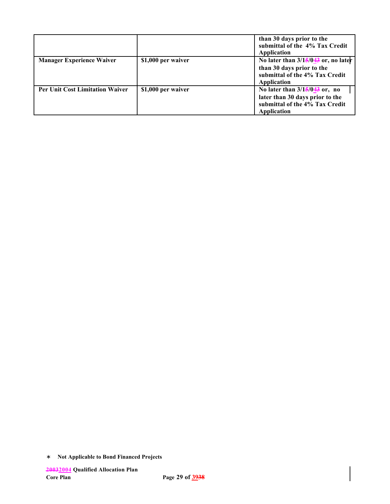|                                        |                    | than 30 days prior to the<br>submittal of the 4% Tax Credit<br>Application                                          |
|----------------------------------------|--------------------|---------------------------------------------------------------------------------------------------------------------|
| <b>Manager Experience Waiver</b>       | \$1,000 per waiver | No later than $3/15/043$ or, no later<br>than 30 days prior to the<br>submittal of the 4% Tax Credit<br>Application |
| <b>Per Unit Cost Limitation Waiver</b> | \$1,000 per waiver | No later than $3/15/043$ or, no<br>later than 30 days prior to the<br>submittal of the 4% Tax Credit<br>Application |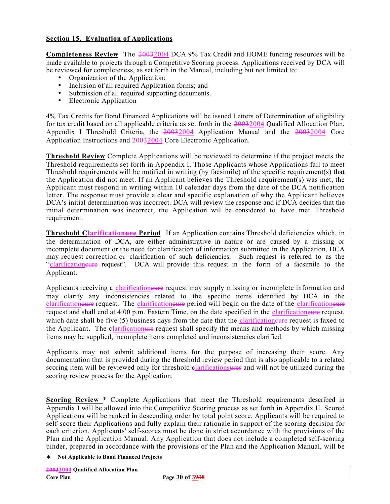### **Section 15. Evaluation of Applications**

**Completeness Review** The 20032004 DCA 9% Tax Credit and HOME funding resources will be made available to projects through a Competitive Scoring process. Applications received by DCA will be reviewed for completeness, as set forth in the Manual, including but not limited to:

- Organization of the Application;
- Inclusion of all required Application forms; and
- Submission of all required supporting documents.
- Electronic Application

4% Tax Credits for Bond Financed Applications will be issued Letters of Determination of eligibility for tax credit based on all applicable criteria as set forth in the 20032004 Qualified Allocation Plan, Appendix I Threshold Criteria, the 20032004 Application Manual and the 20032004 Core Application Instructions and 20032004 Core Electronic Application.

**Threshold Review** Complete Applications will be reviewed to determine if the project meets the Threshold requirements set forth in Appendix I. Those Applicants whose Applications fail to meet Threshold requirements will be notified in writing (by facsimile) of the specific requirement(s) that the Application did not meet. If an Applicant believes the Threshold requirement(s) was met, the Applicant must respond in writing within 10 calendar days from the date of the DCA notification letter. The response must provide a clear and specific explanation of why the Applicant believes DCA's initial determination was incorrect. DCA will review the response and if DCA decides that the initial determination was incorrect, the Application will be considered to have met Threshold requirement.

**Threshold Clarificationure Period** If an Application contains Threshold deficiencies which, in the determination of DCA, are either administrative in nature or are caused by a missing or incomplete document or the need for clarification of information submitted in the Application, DCA may request correction or clarification of such deficiencies. Such request is referred to as the "clarificationeure request". DCA will provide this request in the form of a facsimile to the Applicant.

Applicants receiving a clarification europeust may supply missing or incomplete information and may clarify any inconsistencies related to the specific items identified by DCA in the clarificationeure request. The clarificationeure period will begin on the date of the clarificationeure request and shall end at 4:00 p.m. Eastern Time, on the date specified in the clarification eure request, which date shall be five  $(5)$  business days from the date that the clarification europeust is faxed to the Applicant. The clarificationure request shall specify the means and methods by which missing items may be supplied, incomplete items completed and inconsistencies clarified.

Applicants may not submit additional items for the purpose of increasing their score. Any documentation that is provided during the threshold review period that is also applicable to a related scoring item will be reviewed only for threshold clarificationsures and will not be utilized during the scoring review process for the Application.

**Scoring Review** \* Complete Applications that meet the Threshold requirements described in Appendix I will be allowed into the Competitive Scoring process as set forth in Appendix II. Scored Applications will be ranked in descending order by total point score. Applicants will be required to self-score their Applications and fully explain their rationale in support of the scoring decision for each criterion. Applicants' self-scores must be done in strict accordance with the provisions of the Plan and the Application Manual. Any Application that does not include a completed self-scoring binder, prepared in accordance with the provisions of the Plan and the Application Manual, will be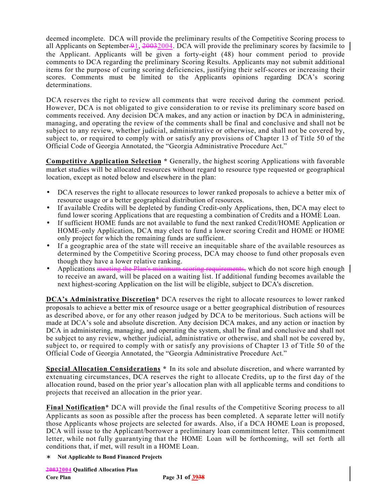deemed incomplete. DCA will provide the preliminary results of the Competitive Scoring process to all Applicants on September 91,  $\frac{20032004}{200000}$  DCA will provide the preliminary scores by facsimile to the Applicant. Applicants will be given a forty-eight (48) hour comment period to provide comments to DCA regarding the preliminary Scoring Results. Applicants may not submit additional items for the purpose of curing scoring deficiencies, justifying their self-scores or increasing their scores. Comments must be limited to the Applicants opinions regarding DCA's scoring determinations.

DCA reserves the right to review all comments that were received during the comment period. However, DCA is not obligated to give consideration to or revise its preliminary score based on comments received. Any decision DCA makes, and any action or inaction by DCA in administering, managing, and operating the review of the comments shall be final and conclusive and shall not be subject to any review, whether judicial, administrative or otherwise, and shall not be covered by, subject to, or required to comply with or satisfy any provisions of Chapter 13 of Title 50 of the Official Code of Georgia Annotated, the "Georgia Administrative Procedure Act."

**Competitive Application Selection \*** Generally, the highest scoring Applications with favorable market studies will be allocated resources without regard to resource type requested or geographical location, except as noted below and elsewhere in the plan:

- DCA reserves the right to allocate resources to lower ranked proposals to achieve a better mix of resource usage or a better geographical distribution of resources.
- If available Credits will be depleted by funding Credit-only Applications, then, DCA may elect to fund lower scoring Applications that are requesting a combination of Credits and a HOME Loan.
- If sufficient HOME funds are not available to fund the next ranked Credit/HOME Application or HOME-only Application, DCA may elect to fund a lower scoring Credit and HOME or HOME only project for which the remaining funds are sufficient.
- If a geographic area of the state will receive an inequitable share of the available resources as determined by the Competitive Scoring process, DCA may choose to fund other proposals even though they have a lower relative ranking.
- Applications meeting the Plan's minimum scoring requirements, which do not score high enough | to receive an award, will be placed on a waiting list. If additional funding becomes available the next highest-scoring Application on the list will be eligible, subject to DCA's discretion.

**DCA's Administrative Discretion\*** DCA reserves the right to allocate resources to lower ranked proposals to achieve a better mix of resource usage or a better geographical distribution of resources as described above, or for any other reason judged by DCA to be meritorious. Such actions will be made at DCA's sole and absolute discretion. Any decision DCA makes, and any action or inaction by DCA in administering, managing, and operating the system, shall be final and conclusive and shall not be subject to any review, whether judicial, administrative or otherwise, and shall not be covered by, subject to, or required to comply with or satisfy any provisions of Chapter 13 of Title 50 of the Official Code of Georgia Annotated, the "Georgia Administrative Procedure Act."

**Special Allocation Considerations \*** In its sole and absolute discretion, and where warranted by extenuating circumstances, DCA reserves the right to allocate Credits, up to the first day of the allocation round, based on the prior year's allocation plan with all applicable terms and conditions to projects that received an allocation in the prior year.

**Final Notification**\* DCA will provide the final results of the Competitive Scoring process to all Applicants as soon as possible after the process has been completed. A separate letter will notify those Applicants whose projects are selected for awards. Also, if a DCA HOME Loan is proposed, DCA will issue to the Applicant/borrower a preliminary loan commitment letter. This commitment letter, while not fully guarantying that the HOME Loan will be forthcoming, will set forth all conditions that, if met, will result in a HOME Loan.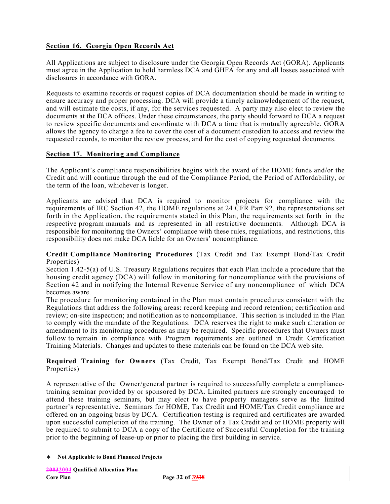# **Section 16. Georgia Open Records Act**

All Applications are subject to disclosure under the Georgia Open Records Act (GORA). Applicants must agree in the Application to hold harmless DCA and GHFA for any and all losses associated with disclosures in accordance with GORA.

Requests to examine records or request copies of DCA documentation should be made in writing to ensure accuracy and proper processing. DCA will provide a timely acknowledgement of the request, and will estimate the costs, if any, for the services requested. A party may also elect to review the documents at the DCA offices. Under these circumstances, the party should forward to DCA a request to review specific documents and coordinate with DCA a time that is mutually agreeable. GORA allows the agency to charge a fee to cover the cost of a document custodian to access and review the requested records, to monitor the review process, and for the cost of copying requested documents.

### **Section 17. Monitoring and Compliance**

The Applicant's compliance responsibilities begins with the award of the HOME funds and/or the Credit and will continue through the end of the Compliance Period, the Period of Affordability, or the term of the loan, whichever is longer.

Applicants are advised that DCA is required to monitor projects for compliance with the requirements of IRC Section 42, the HOME regulations at 24 CFR Part 92, the representations set forth in the Application, the requirements stated in this Plan, the requirements set forth in the respective program manuals and as represented in all restrictive documents. Although DCA is responsible for monitoring the Owners' compliance with these rules, regulations, and restrictions, this responsibility does not make DCA liable for an Owners' noncompliance.

**Credit Compliance Monitoring Procedures** (Tax Credit and Tax Exempt Bond/Tax Credit Properties)

Section 1.42-5(a) of U.S. Treasury Regulations requires that each Plan include a procedure that the housing credit agency (DCA) will follow in monitoring for noncompliance with the provisions of Section 42 and in notifying the Internal Revenue Service of any noncompliance of which DCA becomes aware.

The procedure for monitoring contained in the Plan must contain procedures consistent with the Regulations that address the following areas: record keeping and record retention; certification and review; on-site inspection; and notification as to noncompliance. This section is included in the Plan to comply with the mandate of the Regulations. DCA reserves the right to make such alteration or amendment to its monitoring procedures as may be required. Specific procedures that Owners must follow to remain in compliance with Program requirements are outlined in Credit Certification Training Materials. Changes and updates to these materials can be found on the DCA web site.

**Required Training for Owners** (Tax Credit, Tax Exempt Bond/Tax Credit and HOME Properties)

A representative of the Owner/general partner is required to successfully complete a compliancetraining seminar provided by or sponsored by DCA. Limited partners are strongly encouraged to attend these training seminars, but may elect to have property managers serve as the limited partner's representative. Seminars for HOME, Tax Credit and HOME/Tax Credit compliance are offered on an ongoing basis by DCA. Certification testing is required and certificates are awarded upon successful completion of the training. The Owner of a Tax Credit and or HOME property will be required to submit to DCA a copy of the Certificate of Successful Completion for the training prior to the beginning of lease-up or prior to placing the first building in service.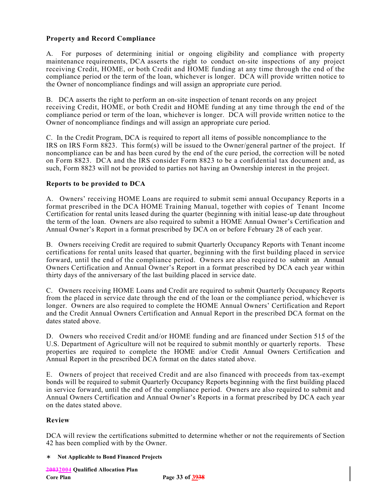# **Property and Record Compliance**

A. For purposes of determining initial or ongoing eligibility and compliance with property maintenance requirements, DCA asserts the right to conduct on-site inspections of any project receiving Credit, HOME, or both Credit and HOME funding at any time through the end of the compliance period or the term of the loan, whichever is longer. DCA will provide written notice to the Owner of noncompliance findings and will assign an appropriate cure period.

B. DCA asserts the right to perform an on-site inspection of tenant records on any project receiving Credit, HOME, or both Credit and HOME funding at any time through the end of the compliance period or term of the loan, whichever is longer. DCA will provide written notice to the Owner of noncompliance findings and will assign an appropriate cure period.

C. In the Credit Program, DCA is required to report all items of possible noncompliance to the IRS on IRS Form 8823. This form(s) will be issued to the Owner/general partner of the project. If noncompliance can be and has been cured by the end of the cure period, the correction will be noted on Form 8823. DCA and the IRS consider Form 8823 to be a confidential tax document and, as such, Form 8823 will not be provided to parties not having an Ownership interest in the project.

# **Reports to be provided to DCA**

A. Owners' receiving HOME Loans are required to submit semi annual Occupancy Reports in a format prescribed in the DCA HOME Training Manual, together with copies of Tenant Income Certification for rental units leased during the quarter (beginning with initial lease-up date throughout the term of the loan. Owners are also required to submit a HOME Annual Owner's Certification and Annual Owner's Report in a format prescribed by DCA on or before February 28 of each year.

B. Owners receiving Credit are required to submit Quarterly Occupancy Reports with Tenant income certifications for rental units leased that quarter, beginning with the first building placed in service forward, until the end of the compliance period. Owners are also required to submit an Annual Owners Certification and Annual Owner's Report in a format prescribed by DCA each year within thirty days of the anniversary of the last building placed in service date.

C. Owners receiving HOME Loans and Credit are required to submit Quarterly Occupancy Reports from the placed in service date through the end of the loan or the compliance period, whichever is longer. Owners are also required to complete the HOME Annual Owners' Certification and Report and the Credit Annual Owners Certification and Annual Report in the prescribed DCA format on the dates stated above.

D. Owners who received Credit and/or HOME funding and are financed under Section 515 of the U.S. Department of Agriculture will not be required to submit monthly or quarterly reports. These properties are required to complete the HOME and/or Credit Annual Owners Certification and Annual Report in the prescribed DCA format on the dates stated above.

E. Owners of project that received Credit and are also financed with proceeds from tax-exempt bonds will be required to submit Quarterly Occupancy Reports beginning with the first building placed in service forward, until the end of the compliance period. Owners are also required to submit and Annual Owners Certification and Annual Owner's Reports in a format prescribed by DCA each year on the dates stated above.

# **Review**

DCA will review the certifications submitted to determine whether or not the requirements of Section 42 has been complied with by the Owner.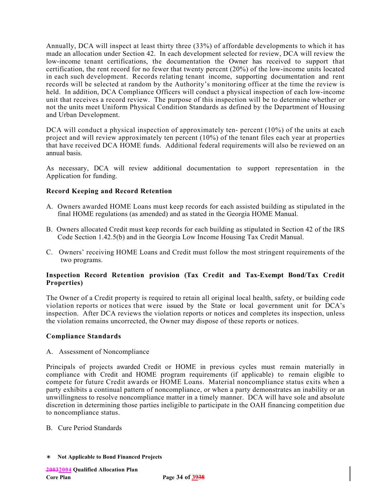Annually, DCA will inspect at least thirty three (33%) of affordable developments to which it has made an allocation under Section 42. In each development selected for review, DCA will review the low-income tenant certifications, the documentation the Owner has received to support that certification, the rent record for no fewer that twenty percent (20%) of the low-income units located in each such development. Records relating tenant income, supporting documentation and rent records will be selected at random by the Authority's monitoring officer at the time the review is held. In addition, DCA Compliance Officers will conduct a physical inspection of each low-income unit that receives a record review. The purpose of this inspection will be to determine whether or not the units meet Uniform Physical Condition Standards as defined by the Department of Housing and Urban Development.

DCA will conduct a physical inspection of approximately ten- percent (10%) of the units at each project and will review approximately ten percent (10%) of the tenant files each year at properties that have received DCA HOME funds. Additional federal requirements will also be reviewed on an annual basis.

As necessary, DCA will review additional documentation to support representation in the Application for funding.

### **Record Keeping and Record Retention**

- A. Owners awarded HOME Loans must keep records for each assisted building as stipulated in the final HOME regulations (as amended) and as stated in the Georgia HOME Manual.
- B. Owners allocated Credit must keep records for each building as stipulated in Section 42 of the IRS Code Section 1.42.5(b) and in the Georgia Low Income Housing Tax Credit Manual.
- C. Owners' receiving HOME Loans and Credit must follow the most stringent requirements of the two programs.

### **Inspection Record Retention provision (Tax Credit and Tax-Exempt Bond/Tax Credit Properties)**

The Owner of a Credit property is required to retain all original local health, safety, or building code violation reports or notices that were issued by the State or local government unit for DCA's inspection. After DCA reviews the violation reports or notices and completes its inspection, unless the violation remains uncorrected, the Owner may dispose of these reports or notices.

### **Compliance Standards**

#### A. Assessment of Noncompliance

Principals of projects awarded Credit or HOME in previous cycles must remain materially in compliance with Credit and HOME program requirements (if applicable) to remain eligible to compete for future Credit awards or HOME Loans. Material noncompliance status exits when a party exhibits a continual pattern of noncompliance, or when a party demonstrates an inability or an unwillingness to resolve noncompliance matter in a timely manner. DCA will have sole and absolute discretion in determining those parties ineligible to participate in the OAH financing competition due to noncompliance status.

B. Cure Period Standards

**Not Applicable to Bond Financed Projects**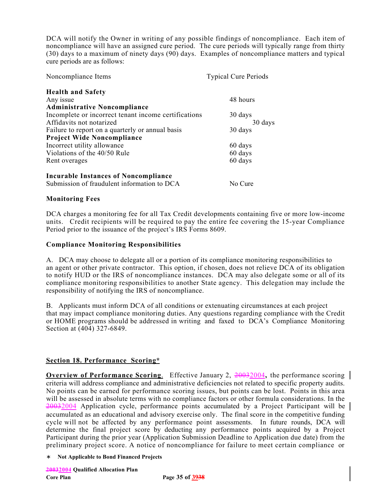DCA will notify the Owner in writing of any possible findings of noncompliance. Each item of noncompliance will have an assigned cure period. The cure periods will typically range from thirty (30) days to a maximum of ninety days (90) days. Examples of noncompliance matters and typical cure periods are as follows:

| Noncompliance Items                                  | <b>Typical Cure Periods</b> |
|------------------------------------------------------|-----------------------------|
| <b>Health and Safety</b>                             |                             |
| Any issue                                            | 48 hours                    |
| <b>Administrative Noncompliance</b>                  |                             |
| Incomplete or incorrect tenant income certifications | 30 days                     |
| Affidavits not notarized                             | 30 days                     |
| Failure to report on a quarterly or annual basis     | 30 days                     |
| <b>Project Wide Noncompliance</b>                    |                             |
| Incorrect utility allowance                          | 60 days                     |
| Violations of the 40/50 Rule                         | 60 days                     |
| Rent overages                                        | 60 days                     |
| <b>Incurable Instances of Noncompliance</b>          |                             |
| Submission of fraudulent information to DCA          | No Cure                     |

### **Monitoring Fees**

DCA charges a monitoring fee for all Tax Credit developments containing five or more low-income units. Credit recipients will be required to pay the entire fee covering the 15-year Compliance Period prior to the issuance of the project's IRS Forms 8609.

### **Compliance Monitoring Responsibilities**

A. DCA may choose to delegate all or a portion of its compliance monitoring responsibilities to an agent or other private contractor. This option, if chosen, does not relieve DCA of its obligation to notify HUD or the IRS of noncompliance instances. DCA may also delegate some or all of its compliance monitoring responsibilities to another State agency. This delegation may include the responsibility of notifying the IRS of noncompliance.

B. Applicants must inform DCA of all conditions or extenuating circumstances at each project that may impact compliance monitoring duties. Any questions regarding compliance with the Credit or HOME programs should be addressed in writing and faxed to DCA's Compliance Monitoring Section at (404) 327-6849.

# **Section 18. Performance Scoring\***

**Overview of Performance Scoring.** Effective January 2, 20032004, the performance scoring | criteria will address compliance and administrative deficiencies not related to specific property audits. No points can be earned for performance scoring issues, but points can be lost. Points in this area will be assessed in absolute terms with no compliance factors or other formula considerations. In the  $20032004$  Application cycle, performance points accumulated by a Project Participant will be accumulated as an educational and advisory exercise only. The final score in the competitive funding cycle will not be affected by any performance point assessments. In future rounds, DCA will determine the final project score by deducting any performance points acquired by a Project Participant during the prior year (Application Submission Deadline to Application due date) from the preliminary project score. A notice of noncompliance for failure to meet certain compliance or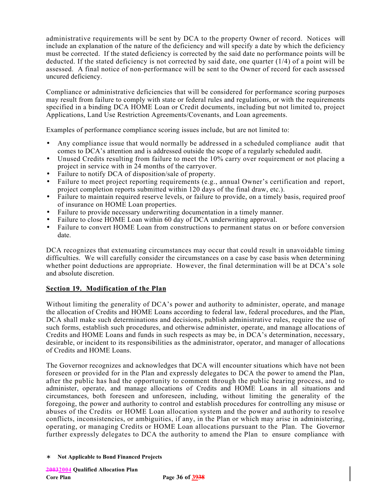administrative requirements will be sent by DCA to the property Owner of record. Notices will include an explanation of the nature of the deficiency and will specify a date by which the deficiency must be corrected. If the stated deficiency is corrected by the said date no performance points will be deducted. If the stated deficiency is not corrected by said date, one quarter  $(1/4)$  of a point will be assessed. A final notice of non-performance will be sent to the Owner of record for each assessed uncured deficiency.

Compliance or administrative deficiencies that will be considered for performance scoring purposes may result from failure to comply with state or federal rules and regulations, or with the requirements specified in a binding DCA HOME Loan or Credit documents, including but not limited to, project Applications, Land Use Restriction Agreements/Covenants, and Loan agreements.

Examples of performance compliance scoring issues include, but are not limited to:

- Any compliance issue that would normally be addressed in a scheduled compliance audit that comes to DCA's attention and is addressed outside the scope of a regularly scheduled audit.
- Unused Credits resulting from failure to meet the 10% carry over requirement or not placing a project in service with in 24 months of the carryover.
- Failure to notify DCA of disposition/sale of property.
- Failure to meet project reporting requirements (e.g., annual Owner's certification and report, project completion reports submitted within 120 days of the final draw, etc.).
- Failure to maintain required reserve levels, or failure to provide, on a timely basis, required proof of insurance on HOME Loan properties.
- Failure to provide necessary underwriting documentation in a timely manner.
- Failure to close HOME Loan within 60 day of DCA underwriting approval.
- Failure to convert HOME Loan from constructions to permanent status on or before conversion date.

DCA recognizes that extenuating circumstances may occur that could result in unavoidable timing difficulties. We will carefully consider the circumstances on a case by case basis when determining whether point deductions are appropriate. However, the final determination will be at DCA's sole and absolute discretion.

# **Section 19. Modification of the Plan**

Without limiting the generality of DCA's power and authority to administer, operate, and manage the allocation of Credits and HOME Loans according to federal law, federal procedures, and the Plan, DCA shall make such determinations and decisions, publish administrative rules, require the use of such forms, establish such procedures, and otherwise administer, operate, and manage allocations of Credits and HOME Loans and funds in such respects as may be, in DCA's determination, necessary, desirable, or incident to its responsibilities as the administrator, operator, and manager of allocations of Credits and HOME Loans.

The Governor recognizes and acknowledges that DCA will encounter situations which have not been foreseen or provided for in the Plan and expressly delegates to DCA the power to amend the Plan, after the public has had the opportunity to comment through the public hearing process, and to administer, operate, and manage allocations of Credits and HOME Loans in all situations and circumstances, both foreseen and unforeseen, including, without limiting the generality of the foregoing, the power and authority to control and establish procedures for controlling any misuse or abuses of the Credits or HOME Loan allocation system and the power and authority to resolve conflicts, inconsistencies, or ambiguities, if any, in the Plan or which may arise in administering, operating, or managing Credits or HOME Loan allocations pursuant to the Plan. The Governor further expressly delegates to DCA the authority to amend the Plan to ensure compliance with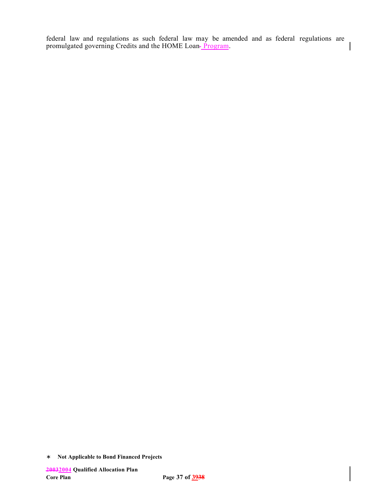federal law and regulations as such federal law may be amended and as federal regulations are promulgated governing Credits and the HOME Loan-Program.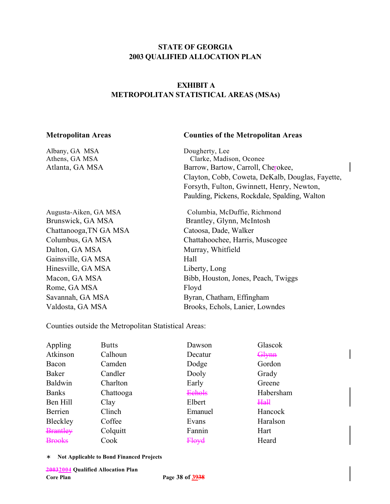## **STATE OF GEORGIA 2003 QUALIFIED ALLOCATION PLAN**

# **EXHIBIT A METROPOLITAN STATISTICAL AREAS (MSAs)**

## **Metropolitan Areas Counties of the Metropolitan Areas**

Albany, GA MSA Dougherty, Lee Athens, GA MSA Clarke, Madison, Oconee Atlanta, GA MSA Barrow, Bartow, Carroll, Cherokee, Clayton, Cobb, Coweta, DeKalb, Douglas, Fayette, Forsyth, Fulton, Gwinnett, Henry, Newton, Paulding, Pickens, Rockdale, Spalding, Walton

Augusta-Aiken, GA MSA Columbia, McDuffie, Richmond Brunswick, GA MSA Brantley, Glynn, McIntosh Chattanooga,TN GA MSA Catoosa, Dade, Walker Columbus, GA MSA Chattahoochee, Harris, Muscogee Dalton, GA MSA Murray, Whitfield Gainsville, GA MSA Hall Hinesville, GA MSA Liberty, Long Macon, GA MSA Bibb, Houston, Jones, Peach, Twiggs Rome, GA MSA Floyd Savannah, GA MSA Byran, Chatham, Effingham Valdosta, GA MSA Brooks, Echols, Lanier, Lowndes

Counties outside the Metropolitan Statistical Areas:

| Appling         | <b>Butts</b> | Dawson        | Glascok          |
|-----------------|--------------|---------------|------------------|
| Atkinson        | Calhoun      | Decatur       | Glynn            |
| Bacon           | Camden       | Dodge         | Gordon           |
| Baker           | Candler      | Dooly         | Grady            |
| <b>Baldwin</b>  | Charlton     | Early         | Greene           |
| <b>Banks</b>    | Chattooga    | <b>Echols</b> | Habersham        |
| Ben Hill        | Clay         | Elbert        | H <sub>all</sub> |
| Berrien         | Clinch       | Emanuel       | Hancock          |
| Bleckley        | Coffee       | Evans         | Haralson         |
| <b>Brantley</b> | Colquitt     | Fannin        | Hart             |
| <b>Brooks</b>   | Cook         | Floyd         | Heard            |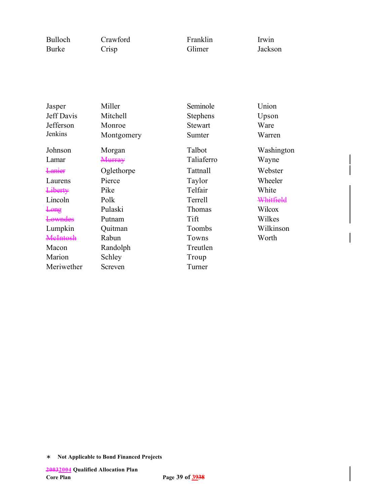| <b>Bulloch</b> | Crawford | Franklin | Irwin   |
|----------------|----------|----------|---------|
| <b>Burke</b>   | Crisp    | Glimer   | Jackson |

| Jasper            | Miller        | Seminole        | Union      |
|-------------------|---------------|-----------------|------------|
| <b>Jeff Davis</b> | Mitchell      | <b>Stephens</b> | Upson      |
| Jefferson         | Monroe        | Stewart         | Ware       |
| Jenkins           | Montgomery    | Sumter          | Warren     |
| Johnson           | Morgan        | Talbot          | Washington |
| Lamar             | <b>Murray</b> | Taliaferro      | Wayne      |
| <del>Lanier</del> | Oglethorpe    | Tattnall        | Webster    |
| Laurens           | Pierce        | Taylor          | Wheeler    |
| Liberty           | Pike          | Telfair         | White      |
| Lincoln           | Polk          | Terrell         | Whitfield  |
| <del>Long</del>   | Pulaski       | Thomas          | Wilcox     |
| I ayındes         | Putnam        | Tift            | Wilkes     |
| Lumpkin           | Quitman       | Toombs          | Wilkinson  |
| MeIntosh          | Rabun         | Towns           | Worth      |
| Macon             | Randolph      | Treutlen        |            |
| Marion            | Schley        | Troup           |            |
| Meriwether        | Screven       | Turner          |            |
|                   |               |                 |            |

 $\overline{\phantom{a}}$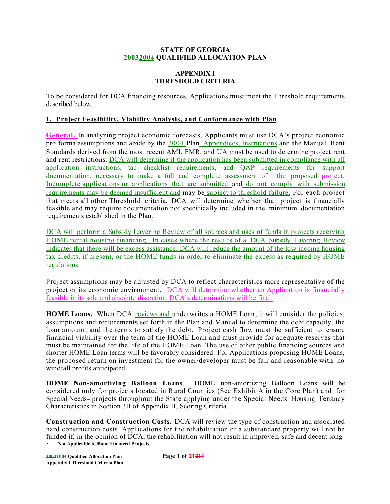#### **STATE OF GEORGIA 20032004 QUALIFIED ALLOCATION PLAN**

## **APPENDIX I THRESHOLD CRITERIA**

To be considered for DCA financing resources, Applications must meet the Threshold requirements described below.

### **1. Project Feasibility, Viability Analysis, and Conformance with Plan**

**General.** In analyzing project economic forecasts, Applicants must use DCA's project economic pro forma assumptions and abide by the 2004 Plan, Appendices, Instructions and the Manual. Rent Standards derived from the most recent AMI, FMR, and UA must be used to determine project rent and rent restrictions. DCA will determine if the application has been submitted in compliance with all application instructions, tab checklist requirements, and QAP requirements for support documentation, necessary to make a full and complete assessment of the proposed project. Incomplete applications or applications that are submitted and do not comply with submission requirements may be deemed insufficient and may be subject to threshold failure. For each project that meets all other Threshold criteria, DCA will determine whether that project is financially feasible and may require documentation not specifically included in the minimum documentation requirements established in the Plan.

DCA will perform a Subsidy Layering Review of all sources and uses of funds in projects receiving HOME rental housing financing. In cases where the results of a DCA Subsidy Layering Review indicates that there will be excess assistance, DCA will reduce the amount of the low income housing tax credits, if present, or the HOME funds in order to eliminate the excess as required by HOME regulations.

Project assumptions may be adjusted by DCA to reflect characteristics more representative of the project or its economic environment. DCA will determine whether an Application is financially feasible in its sole and absolute discretion. DCA's determinations will be final.

**HOME Loans.** When DCA reviews and underwrites a HOME Loan, it will consider the policies, assumptions and requirements set forth in the Plan and Manual to determine the debt capacity, the loan amount, and the terms to satisfy the debt. Project cash flow must be sufficient to ensure financial viability over the term of the HOME Loan and must provide for adequate reserves that must be maintained for the life of the HOME Loan. The use of other public financing sources and shorter HOME Loan terms will be favorably considered. For Applications proposing HOME Loans, the proposed return on investment for the owner/developer must be fair and reasonable with no windfall profits anticipated.

**HOME Non-amortizing Balloon Loans**. HOME non-amortizing Balloon Loans will be considered only for projects located in Rural Counties (See Exhibit A in the Core Plan) and for Special Needs- projects throughout the State applying under the Special Needs Housing Tenancy Characteristics in Section 3B of Appendix II, Scoring Criteria.

• **Not Applicable to Bond Financed Projects Construction and Construction Costs.** DCA will review the type of construction and associated hard construction costs. Applications for the rehabilitation of a substandard property will not be funded if, in the opinion of DCA, the rehabilitation will not result in improved, safe and decent long-

**20032004 Qualified Allocation Plan Page 1 of 21211 Appendix I Threshold Criteria Plan**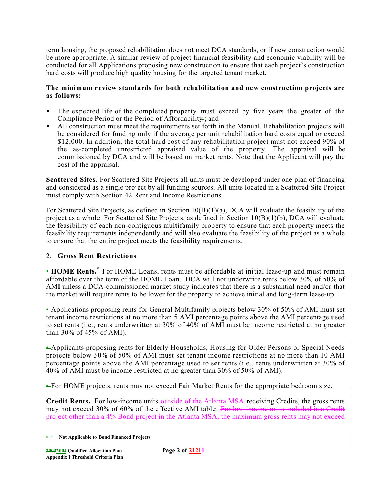term housing, the proposed rehabilitation does not meet DCA standards, or if new construction would be more appropriate. A similar review of project financial feasibility and economic viability will be conducted for all Applications proposing new construction to ensure that each project's construction hard costs will produce high quality housing for the targeted tenant market**.**

## **The minimum review standards for both rehabilitation and new construction projects are as follows:**

- The expected life of the completed property must exceed by five years the greater of the Compliance Period or the Period of Affordability ; and
- All construction must meet the requirements set forth in the Manual. Rehabilitation projects will be considered for funding only if the average per unit rehabilitation hard costs equal or exceed \$12,000. In addition, the total hard cost of any rehabilitation project must not exceed 90% of the as-completed unrestricted appraised value of the property. The appraisal will be commissioned by DCA and will be based on market rents. Note that the Applicant will pay the cost of the appraisal.

**Scattered Sites**. For Scattered Site Projects all units must be developed under one plan of financing and considered as a single project by all funding sources. All units located in a Scattered Site Project must comply with Section 42 Rent and Income Restrictions.

For Scattered Site Projects, as defined in Section 10(B)(1)(a), DCA will evaluate the feasibility of the project as a whole. For Scattered Site Projects, as defined in Section 10(B)(1)(b), DCA will evaluate the feasibility of each non-contiguous multifamily property to ensure that each property meets the feasibility requirements independently and will also evaluate the feasibility of the project as a whole to ensure that the entire project meets the feasibility requirements.

## 2. **Gross Rent Restrictions**

• **HOME Rents.\*** For HOME Loans, rents must be affordable at initial lease-up and must remain affordable over the term of the HOME Loan. DCA will not underwrite rents below 30% of 50% of AMI unless a DCA-commissioned market study indicates that there is a substantial need and/or that the market will require rents to be lower for the property to achieve initial and long-term lease-up.

 $\rightarrow$  Applications proposing rents for General Multifamily projects below 30% of 50% of AMI must set tenant income restrictions at no more than 5 AMI percentage points above the AMI percentage used to set rents (i.e., rents underwritten at 30% of 40% of AMI must be income restricted at no greater than 30% of 45% of AMI).

• Applicants proposing rents for Elderly Households, Housing for Older Persons or Special Needs projects below 30% of 50% of AMI must set tenant income restrictions at no more than 10 AMI percentage points above the AMI percentage used to set rents (i.e., rents underwritten at 30% of 40% of AMI must be income restricted at no greater than 30% of 50% of AMI).

 $\mathsf{I}$ 

 $\mathbf{I}$ 

• For HOME projects, rents may not exceed Fair Market Rents for the appropriate bedroom size.

**Credit Rents.** For low-income units outside of the Atlanta MSA-receiving Credits, the gross rents may not exceed 30% of 60% of the effective AMI table. For low-income units included in a Credit project other than a 4% Bond project in the Atlanta MSA, the maximum gross rents may not exceed

**<sup>•</sup> \* Not Applicable to Bond Financed Projects**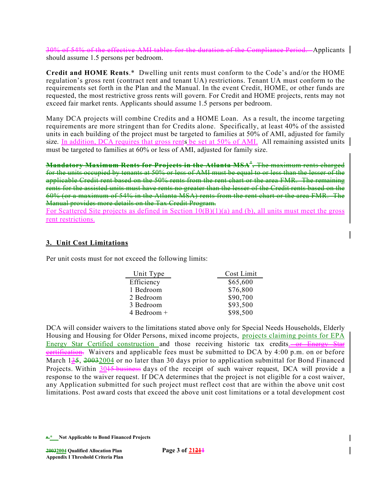30% of 54% of the effective AMI tables for the duration of the Compliance Period. Applicants should assume 1.5 persons per bedroom.

**Credit and HOME Rents**.\* Dwelling unit rents must conform to the Code's and/or the HOME regulation's gross rent (contract rent and tenant UA) restrictions. Tenant UA must conform to the requirements set forth in the Plan and the Manual. In the event Credit, HOME, or other funds are requested, the most restrictive gross rents will govern. For Credit and HOME projects, rents may not exceed fair market rents. Applicants should assume 1.5 persons per bedroom.

Many DCA projects will combine Credits and a HOME Loan. As a result, the income targeting requirements are more stringent than for Credits alone. Specifically, at least 40% of the assisted units in each building of the project must be targeted to families at 50% of AMI, adjusted for family size. In addition, DCA requires that gross rents be set at 50% of AMI. All remaining assisted units must be targeted to families at 60% or less of AMI, adjusted for family size.

**Mandatory Maximum Rents for Projects in the Atlanta MSA\* .** The maximum rents charged for the units occupied by tenants at 50% or less of AMI must be equal to or less than the lesser of the applicable Credit rent based on the 50% rents from the rent chart or the area FMR. The remaining rents for the assisted units must have rents no greater than the lesser of the Credit rents based on the 60% (or a maximum of 54% in the Atlanta MSA) rents from the rent chart or the area FMR. The Manual provides more details on the Tax Credit Program.

For Scattered Site projects as defined in Section  $10(B)(1)(a)$  and (b), all units must meet the gross rent restrictions.

## **3. Unit Cost Limitations**

Per unit costs must for not exceed the following limits:

| Unit Type   | Cost Limit |
|-------------|------------|
| Efficiency  | \$65,600   |
| 1 Bedroom   | \$76,800   |
| 2 Bedroom   | \$90,700   |
| 3 Bedroom   | \$93,500   |
| 4 Bedroom + | \$98,500   |

DCA will consider waivers to the limitations stated above only for Special Needs Households, Elderly Housing and Housing for Older Persons, mixed income projects, projects claiming points for EPA Energy Star Certified construction and those receiving historic tax credits. or Energy Star certification. Waivers and applicable fees must be submitted to DCA by 4:00 p.m. on or before March 135, 20032004 or no later than 30 days prior to application submittal for Bond Financed Projects. Within 30<del>15 business</del> days of the receipt of such waiver request, DCA will provide a response to the waiver request. If DCA determines that the project is not eligible for a cost waiver, any Application submitted for such project must reflect cost that are within the above unit cost limitations. Post award costs that exceed the above unit cost limitations or a total development cost

 $\mathbf{I}$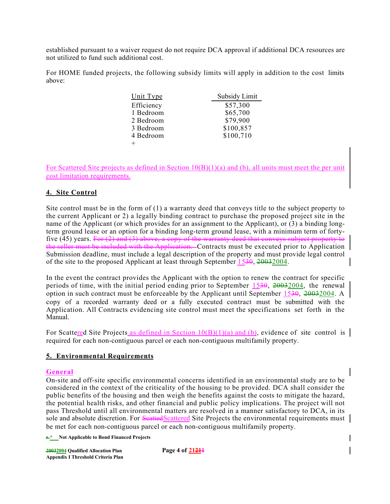established pursuant to a waiver request do not require DCA approval if additional DCA resources are not utilized to fund such additional cost.

For HOME funded projects, the following subsidy limits will apply in addition to the cost limits above:

| Unit Type  | Subsidy Limit |
|------------|---------------|
| Efficiency | \$57,300      |
| 1 Bedroom  | \$65,700      |
| 2 Bedroom  | \$79,900      |
| 3 Bedroom  | \$100,857     |
| 4 Bedroom  | \$100,710     |
|            |               |

For Scattered Site projects as defined in Section 10(B)(1)(a) and (b), all units must meet the per unit cost limitation requirements.

## **4. Site Control**

Site control must be in the form of (1) a warranty deed that conveys title to the subject property to the current Applicant or 2) a legally binding contract to purchase the proposed project site in the name of the Applicant (or which provides for an assignment to the Applicant), or (3) a binding longterm ground lease or an option for a binding long-term ground lease, with a minimum term of fortyfive  $(45)$  years. For  $(2)$  and  $(3)$  above, a copy of the warranty deed that c the seller must be included with the Application. Contracts must be executed prior to Application Submission deadline, must include a legal description of the property and must provide legal control of the site to the proposed Applicant at least through September 1530, 20032004.

In the event the contract provides the Applicant with the option to renew the contract for specific periods of time, with the initial period ending prior to September  $1530$ ,  $20032004$ , the renewal option in such contract must be enforceable by the Applicant until September 1530, 20032004. A copy of a recorded warranty deed or a fully executed contract must be submitted with the Application. All Contracts evidencing site control must meet the specifications set forth in the Manual.

For Scattered Site Projects as defined in Section  $10(B)(1)(a)$  and (b), evidence of site control is required for each non-contiguous parcel or each non-contiguous multifamily property.

## **5. Environmental Requirements**

#### **General**

On-site and off-site specific environmental concerns identified in an environmental study are to be considered in the context of the criticality of the housing to be provided. DCA shall consider the public benefits of the housing and then weigh the benefits against the costs to mitigate the hazard, the potential health risks, and other financial and public policy implications. The project will not pass Threshold until all environmental matters are resolved in a manner satisfactory to DCA, in its sole and absolute discretion. For Seatted Scattered Site Projects the environmental requirements must be met for each non-contiguous parcel or each non-contiguous multifamily property.

 $\mathbf{I}$ 

**• \* Not Applicable to Bond Financed Projects**

**20032004 Qualified Allocation Plan Page 4 of 21211 Appendix I Threshold Criteria Plan**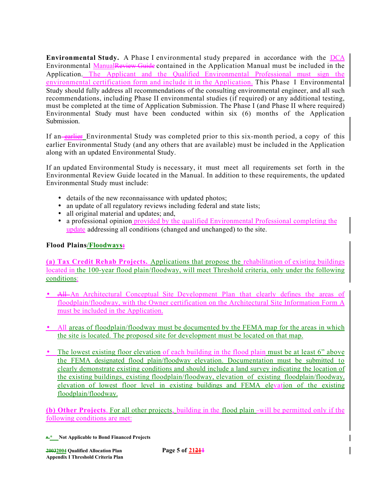**Environmental Study.** A Phase I environmental study prepared in accordance with the DCA Environmental ManualReview Guide contained in the Application Manual must be included in the Application. The Applicant and the Qualified Environmental Professional must sign the environmental certification form and include it in the Application. This Phase I Environmental Study should fully address all recommendations of the consulting environmental engineer, and all such recommendations, including Phase II environmental studies (if required) or any additional testing, must be completed at the time of Application Submission. The Phase I (and Phase II where required) Environmental Study must have been conducted within six (6) months of the Application Submission.

If an-earlier Environmental Study was completed prior to this six-month period, a copy of this earlier Environmental Study (and any others that are available) must be included in the Application along with an updated Environmental Study.

If an updated Environmental Study is necessary, it must meet all requirements set forth in the Environmental Review Guide located in the Manual. In addition to these requirements, the updated Environmental Study must include:

- details of the new reconnaissance with updated photos;
- an update of all regulatory reviews including federal and state lists;
- all original material and updates; and,
- a professional opinion provided by the qualified Environmental Professional completing the update addressing all conditions (changed and unchanged) to the site.

## **Flood Plains/Floodways:**

**(a) Tax Credit Rehab Projects.** Applications that propose the rehabilitation of existing buildings located in the 100-year flood plain/floodway, will meet Threshold criteria, only under the following conditions:

- All An Architectural Conceptual Site Development Plan that clearly defines the areas of floodplain/floodway, with the Owner certification on the Architectural Site Information Form A must be included in the Application.
- All areas of floodplain/floodway must be documented by the FEMA map for the areas in which the site is located. The proposed site for development must be located on that map.
- The lowest existing floor elevation of each building in the flood plain must be at least 6" above the FEMA designated flood plain/floodway elevation. Documentation must be submitted to clearly demonstrate existing conditions and should include a land survey indicating the location of the existing buildings, existing floodplain/floodway, elevation of existing floodplain/floodway, elevation of lowest floor level in existing buildings and FEMA elevation of the existing floodplain/floodway.

**(b) Other Projects**. For all other projects, building in the flood plain will be permitted only if the following conditions are met: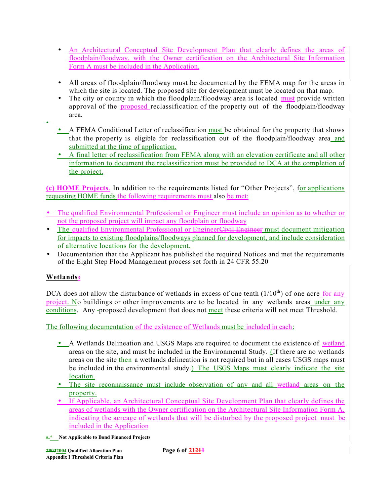- An Architectural Conceptual Site Development Plan that clearly defines the areas of floodplain/floodway, with the Owner certification on the Architectural Site Information Form A must be included in the Application.
- All areas of floodplain/floodway must be documented by the FEMA map for the areas in which the site is located. The proposed site for development must be located on that map.
- The city or county in which the floodplain/floodway area is located must provide written approval of the proposed reclassification of the property out of the floodplain/floodway area.
- •
- A FEMA Conditional Letter of reclassification must be obtained for the property that shows that the property is eligible for reclassification out of the floodplain/floodway area and submitted at the time of application.
- A final letter of reclassification from FEMA along with an elevation certificate and all other information to document the reclassification must be provided to DCA at the completion of the project.

**(c) HOME Projects**. In addition to the requirements listed for "Other Projects", for applications requesting HOME funds the following requirements must also be met:

- The qualified Environmental Professional or Engineer must include an opinion as to whether or not the proposed project will impact any floodplain or floodway
- The qualified Environmental Professional or EngineerCivil Engineer must document mitigation for impacts to existing floodplains/floodways planned for development, and include consideration of alternative locations for the development.
- Documentation that the Applicant has published the required Notices and met the requirements of the Eight Step Flood Management process set forth in 24 CFR 55.20

# **Wetlands:**

DCA does not allow the disturbance of wetlands in excess of one tenth  $(1/10<sup>th</sup>)$  of one acre for any project. No buildings or other improvements are to be located in any wetlands areas under any conditions. Any proposed development that does not meet these criteria will not meet Threshold.

The following documentation of the existence of Wetlands must be included in each:

- A Wetlands Delineation and USGS Maps are required to document the existence of wetland areas on the site, and must be included in the Environmental Study. (If there are no wetlands areas on the site then a wetlands delineation is not required but in all cases USGS maps must be included in the environmental study.) The USGS Maps must clearly indicate the site location.
- The site reconnaissance must include observation of any and all wetland areas on the property.
- If Applicable, an Architectural Conceptual Site Development Plan that clearly defines the areas of wetlands with the Owner certification on the Architectural Site Information Form A, indicating the acreage of wetlands that will be disturbed by the proposed project must be included in the Application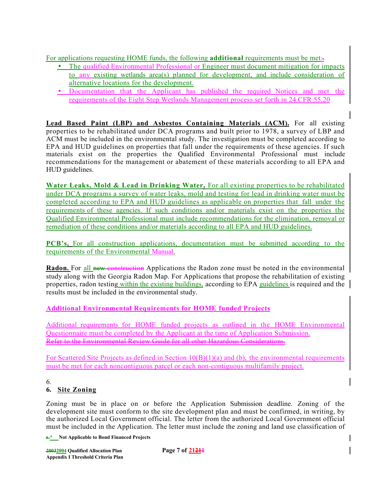For applications requesting HOME funds, the following **additional** requirements must be met:.

- The qualified Environmental Professional or Engineer must document mitigation for impacts to any existing wetlands area(s) planned for development, and include consideration of alternative locations for the development.
- Documentation that the Applicant has published the required Notices and met the requirements of the Eight Step Wetlands Management process set forth in 24 CFR 55.20

**Lead Based Paint (LBP) and Asbestos Containing Materials (ACM).** For all existing properties to be rehabilitated under DCA programs and built prior to 1978, a survey of LBP and ACM must be included in the environmental study. The investigation must be completed according to EPA and HUD guidelines on properties that fall under the requirements of these agencies. If such materials exist on the properties the Qualified Environmental Professional must include recommendations for the management or abatement of these materials according to all EPA and HUD guidelines.

**Water Leaks, Mold & Lead in Drinking Water.** For all existing properties to be rehabilitated under DCA programs a survey of water leaks, mold and testing for lead in drinking water must be completed according to EPA and HUD guidelines as applicable on properties that fall under the requirements of these agencies. If such conditions and/or materials exist on the properties the Qualified Environmental Professional must include recommendations for the elimination, removal or remediation of these conditions and/or materials according to all EPA and HUD guidelines.

**PCB's.** For all construction applications, documentation must be submitted according to the requirements of the Environmental Manual.

**Radon.** For all new construction Applications the Radon zone must be noted in the environmental study along with the Georgia Radon Map. For Applications that propose the rehabilitation of existing properties, radon testing within the existing buildings, according to EPA guidelines is required and the results must be included in the environmental study.

## **Additional Environmental Requirements for HOME funded Projects**

Additional requirements for HOME funded projects as outlined in the HOME Environmental Questionnaire must be completed by the Applicant at the time of Application Submission. Refer to the Environmental Review Guide for all other Hazardous Considerations.

For Scattered Site Projects as defined in Section  $10(B)(1)(a)$  and (b), the environmental requirements must be met for each noncontiguous parcel or each non-contiguous multifamily project.

## 6.

## **6. Site Zoning**

Zoning must be in place on or before the Application Submission deadline. Zoning of the development site must conform to the site development plan and must be confirmed, in writing, by the authorized Local Government official. The letter from the authorized Local Government official must be included in the Application. The letter must include the zoning and land use classification of

 $\mathbf{I}$ 

**• \* Not Applicable to Bond Financed Projects**

**20032004 Qualified Allocation Plan Page 7 of 21211 Appendix I Threshold Criteria Plan**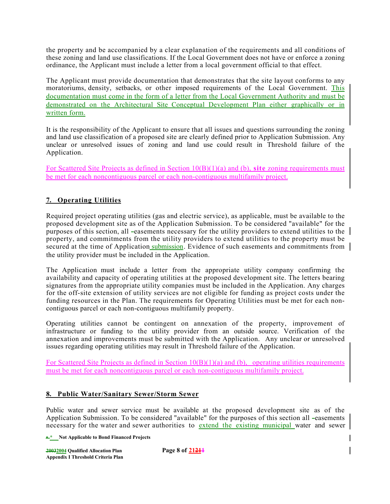the property and be accompanied by a clear explanation of the requirements and all conditions of these zoning and land use classifications. If the Local Government does not have or enforce a zoning ordinance, the Applicant must include a letter from a local government official to that effect.

The Applicant must provide documentation that demonstrates that the site layout conforms to any moratoriums, density, setbacks, or other imposed requirements of the Local Government. This documentation must come in the form of a letter from the Local Government Authority and must be demonstrated on the Architectural Site Conceptual Development Plan either graphically or in written form.

It is the responsibility of the Applicant to ensure that all issues and questions surrounding the zoning and land use classification of a proposed site are clearly defined prior to Application Submission. Any unclear or unresolved issues of zoning and land use could result in Threshold failure of the Application.

For Scattered Site Projects as defined in Section 10(B)(1)(a) and (b), **site** zoning requirements must be met for each noncontiguous parcel or each non-contiguous multifamily project.

## **7. Operating Utilities**

Required project operating utilities (gas and electric service), as applicable, must be available to the proposed development site as of the Application Submission. To be considered "available" for the purposes of this section, all easements necessary for the utility providers to extend utilities to the property, and commitments from the utility providers to extend utilities to the property must be secured at the time of Application submission. Evidence of such easements and commitments from the utility provider must be included in the Application.

The Application must include a letter from the appropriate utility company confirming the availability and capacity of operating utilities at the proposed development site. The letters bearing signatures from the appropriate utility companies must be included in the Application. Any charges for the off-site extension of utility services are not eligible for funding as project costs under the funding resources in the Plan. The requirements for Operating Utilities must be met for each noncontiguous parcel or each non-contiguous multifamily property.

Operating utilities cannot be contingent on annexation of the property, improvement of infrastructure or funding to the utility provider from an outside source. Verification of the annexation and improvements must be submitted with the Application. Any unclear or unresolved issues regarding operating utilities may result in Threshold failure of the Application.

For Scattered Site Projects as defined in Section 10(B)(1)(a) and (b),operating utilities requirements must be met for each noncontiguous parcel or each non-contiguous multifamily project.

#### **8. Public Water/Sanitary Sewer/Storm Sewer**

Public water and sewer service must be available at the proposed development site as of the Application Submission. To be considered "available" for the purposes of this section all -easements necessary for the water and sewer authorities to extend the existing municipal water and sewer

 $\mathbf{I}$ 

**• \* Not Applicable to Bond Financed Projects**

**20032004 Qualified Allocation Plan Page 8 of 21211 Appendix I Threshold Criteria Plan**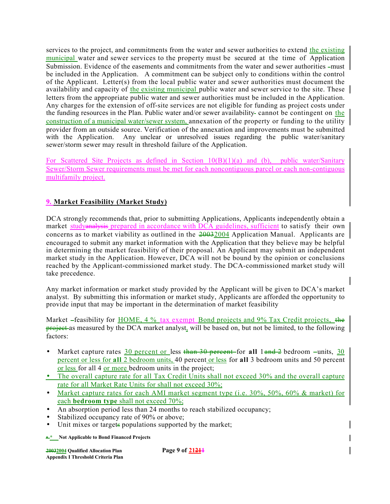services to the project, and commitments from the water and sewer authorities to extend the existing municipal water and sewer services to the property must be secured at the time of Application Submission. Evidence of the easements and commitments from the water and sewer authorities -must be included in the Application. A commitment can be subject only to conditions within the control of the Applicant. Letter(s) from the local public water and sewer authorities must document the availability and capacity of <u>the existing municipal</u> public water and sewer service to the site. These letters from the appropriate public water and sewer authorities must be included in the Application. Any charges for the extension of off-site services are not eligible for funding as project costs under the funding resources in the Plan. Public water and/or sewer availability cannot be contingent on the construction of a municipal water/sewer system, annexation of the property or funding to the utility provider from an outside source. Verification of the annexation and improvements must be submitted with the Application. Any unclear or unresolved issues regarding the public water/sanitary sewer/storm sewer may result in threshold failure of the Application.

For Scattered Site Projects as defined in Section  $10(B)(1)(a)$  and (b), public water/Sanitary Sewer/Storm Sewer requirements must be met for each noncontiguous parcel or each non-contiguous multifamily project.

## **9. Market Feasibility (Market Study)**

DCA strongly recommends that, prior to submitting Applications, Applicants independently obtain a market studyanalysis prepared in accordance with DCA guidelines, sufficient to satisfy their own concerns as to market viability as outlined in the  $20032004$  Application Manual. Applicants are encouraged to submit any market information with the Application that they believe may be helpful in determining the market feasibility of their proposal. An Applicant may submit an independent market study in the Application. However, DCA will not be bound by the opinion or conclusions reached by the Applicant-commissioned market study. The DCA-commissioned market study will take precedence.

Any market information or market study provided by the Applicant will be given to DCA's market analyst. By submitting this information or market study, Applicants are afforded the opportunity to provide input that may be important in the determination of market feasibility

Market -feasibility for **HOME**, 4 % tax exempt Bond projects and 9% Tax Credit projects, the project as measured by the DCA market analyst, will be based on, but not be limited, to the following factors:

- Market capture rates 30 percent or less than 30 percent for all 1 and 2 bedroom -units, 30 percent or less for **all** 2 bedroom units, 40 percent or less for **all** 3 bedroom units and 50 percent or less for all 4 or more bedroom units in the project:
- The overall capture rate for all Tax Credit Units shall not exceed 30% and the overall capture rate for all Market Rate Units for shall not exceed 30%;
- Market capture rates for each AMI market segment type (i.e. 30%, 50%, 60% & market) for each **bedroom type** shall not exceed 70%;

 $\mathbf{I}$ 

- An absorption period less than 24 months to reach stabilized occupancy;
- Stabilized occupancy rate of 90% or above;
- Unit mixes or targets populations supported by the market;

**<sup>•</sup> \* Not Applicable to Bond Financed Projects**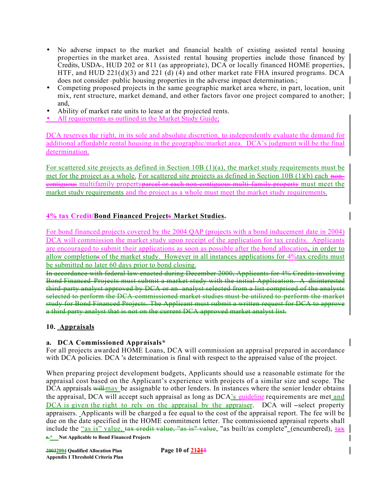- No adverse impact to the market and financial health of existing assisted rental housing properties in the market area. Assisted rental housing properties include those financed by Credits, USDA-, HUD 202 or 811 (as appropriate), DCA or locally financed HOME properties, HTF, and HUD 221(d)(3) and 221 (d) (4) and other market rate FHA insured programs. DCA does not consider -public housing properties in the adverse impact determination.
- Competing proposed projects in the same geographic market area where, in part, location, unit mix, rent structure, market demand, and other factors favor one project compared to another; and,
- Ability of market rate units to lease at the projected rents.
- All requirements as outlined in the Market Study Guide;

DCA reserves the right, in its sole and absolute discretion, to independently evaluate the demand for additional affordable rental housing in the geographic/market area. DCA's judgment will be the final determination.

For scattered site projects as defined in Section 10B (1)(a), the market study requirements must be met for the project as a whole. For scattered site projects as defined in Section 10B (1)(b) each noncontiguous multifamily propertyparcel or each non-contiguous multi-family property must meet the market study requirements and the project as a whole must meet the market study requirements.

## **4% tax Credit/Bond Financed Projects Market Studies.**

For bond financed projects covered by the 2004 QAP (projects with a bond inducement date in 2004) DCA will commission the market study upon receipt of the application for tax credits. Applicants are encouraged to submit their applications as soon as possible after the bond allocation**,** in order to allow completions of the market study. However in all instances applications for 4%tax credits must be submitted no later 60 days prior to bond closing.

In accordance with federal law enacted during December 2000, Applicants for 4% Credits involving Bond Financed Projects must submit a market study with the initial Application. A disinterested third-party analyst approved by DCA or an analyst selected from a list comprised of the analysts selected to perform the DCA-commissioned market studies must be utilized to perform the market study for Bond Financed Projects. The Applicant must submit a written request for DCA to approve a third party analyst that is not on the current DCA approved market analyst list.

## **10. Appraisals**

## **a. DCA Commissioned Appraisals\***

For all projects awarded HOME Loans, DCA will commission an appraisal prepared in accordance with DCA policies. DCA 's determination is final with respect to the appraised value of the project.

When preparing project development budgets, Applicants should use a reasonable estimate for the appraisal cost based on the Applicant's experience with projects of a similar size and scope. The DCA appraisals will may be assignable to other lenders. In instances where the senior lender obtains the appraisal, DCA will accept such appraisal as long as DCA's guideline requirements are met and DCA is given the right to rely on the appraisal by the appraiser. DCA will  $-$ select property appraisers. Applicants will be charged a fee equal to the cost of the appraisal report. The fee will be due on the date specified in the HOME commitment letter. The commissioned appraisal reports shall include the "as is" value,  $\frac{\text{tax}}{\text{tax}}$  credit value, "as is" value, "as built/as complete" (encumbered),  $\frac{\text{tax}}{\text{tax}}$ 

 $\mathbf{I}$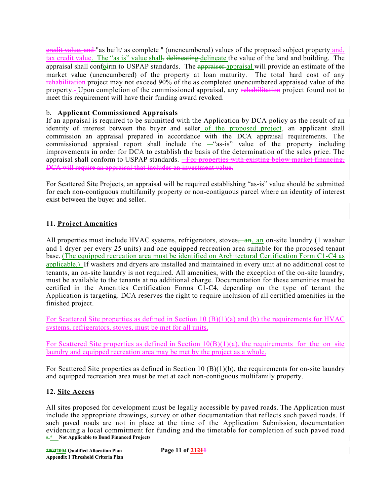eredit value, and "as built/ as complete " (unencumbered) values of the proposed subject property and, tax credit value. The "as is" value shall, delineating delineate the value of the land and building. The appraisal shall conform to USPAP standards. The appraiser appraisal will provide an estimate of the market value (unencumbered) of the property at loan maturity. The total hard cost of any rehabilitation project may not exceed 90% of the as completed unencumbered appraised value of the property. Upon completion of the commissioned appraisal, any rehabilitation project found not to meet this requirement will have their funding award revoked.

## b. **Applicant Commissioned Appraisals**

If an appraisal is required to be submitted with the Application by DCA policy as the result of an identity of interest between the buyer and seller of the proposed project, an applicant shall commission an appraisal prepared in accordance with the DCA appraisal requirements. The commissioned appraisal report shall include the  $-$ "as-is" value of the property including  $|$ improvements in order for DCA to establish the basis of the determination of the sales price. The appraisal shall conform to USPAP standards. <del>For properties with existing below market financing</del> DCA will require an appraisal that includes an investment value.

For Scattered Site Projects, an appraisal will be required establishing "as-is" value should be submitted for each non-contiguous multifamily property or non-contiguous parcel where an identity of interest exist between the buyer and seller.

## **11. Project Amenities**

All properties must include HVAC systems, refrigerators, stoves,  $\frac{a_n}{a_n}$  and on-site laundry (1 washer and 1 dryer per every 25 units) and one equipped recreation area suitable for the proposed tenant base. (The equipped recreation area must be identified on Architectural Certification Form C1-C4 as applicable.) If washers and dryers are installed and maintained in every unit at no additional cost to tenants, an on-site laundry is not required. All amenities, with the exception of the on-site laundry, must be available to the tenants at no additional charge. Documentation for these amenities must be certified in the Amenities Certification Forms C1-C4, depending on the type of tenant the Application is targeting. DCA reserves the right to require inclusion of all certified amenities in the finished project.

For Scattered Site properties as defined in Section 10  $(B)(1)(a)$  and (b) the requirements for HVAC systems, refrigerators, stoves, must be met for all units.

For Scattered Site properties as defined in Section  $10(B)(1)(a)$ , the requirements for the on site laundry and equipped recreation area may be met by the project as a whole.

For Scattered Site properties as defined in Section 10 (B)(1)(b), the requirements for on-site laundry and equipped recreation area must be met at each non-contiguous multifamily property.

#### **12. Site Access**

**• \* Not Applicable to Bond Financed Projects** All sites proposed for development must be legally accessible by paved roads. The Application must include the appropriate drawings, survey or other documentation that reflects such paved roads. If such paved roads are not in place at the time of the Application Submission, documentation evidencing a local commitment for funding and the timetable for completion of such paved road

 $\mathbf{I}$  $\mathsf{l}$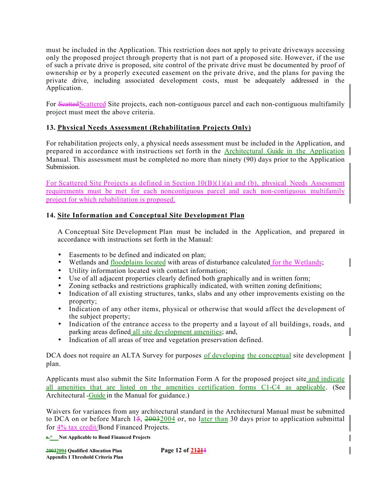must be included in the Application. This restriction does not apply to private driveways accessing only the proposed project through property that is not part of a proposed site. However, if the use of such a private drive is proposed, site control of the private drive must be documented by proof of ownership or by a properly executed easement on the private drive, and the plans for paving the private drive, including associated development costs, must be adequately addressed in the Application.

For Seatted Scattered Site projects, each non-contiguous parcel and each non-contiguous multifamily project must meet the above criteria.

## **13. Physical Needs Assessment (Rehabilitation Projects Only)**

For rehabilitation projects only, a physical needs assessment must be included in the Application, and prepared in accordance with instructions set forth in the Architectural Guide in the Application Manual. This assessment must be completed no more than ninety (90) days prior to the Application Submission.

For Scattered Site Projects as defined in Section 10(B)(1)(a) and (b), physical Needs Assessment requirements must be met for each noncontiguous parcel and each non-contiguous multifamily project for which rehabilitation is proposed.

## **14. Site Information and Conceptual Site Development Plan**

A Conceptual Site Development Plan must be included in the Application, and prepared in accordance with instructions set forth in the Manual:

- Easements to be defined and indicated on plan;
- Wetlands and floodplains located with areas of disturbance calculated for the Wetlands;
- Utility information located with contact information:
- Use of all adjacent properties clearly defined both graphically and in written form;
- Zoning setbacks and restrictions graphically indicated, with written zoning definitions;<br>• Indication of all existing structures, tanks, slabs and any other improvements existing
- Indication of all existing structures, tanks, slabs and any other improvements existing on the property;
- Indication of any other items, physical or otherwise that would affect the development of the subject property;
- Indication of the entrance access to the property and a layout of all buildings, roads, and parking areas defined all site development amenities; and,
- Indication of all areas of tree and vegetation preservation defined.

DCA does not require an ALTA Survey for purposes of developing the conceptual site development | plan.

Applicants must also submit the Site Information Form A for the proposed project site and indicate all amenities that are listed on the amenities certification forms C1-C4 as applicable. (See Architectural -Guide in the Manual for guidance.)

Waivers for variances from any architectural standard in the Architectural Manual must be submitted to DCA on or before March 15, 20032004 or, no later than 30 days prior to application submittal for 4% tax credit/Bond Financed Projects.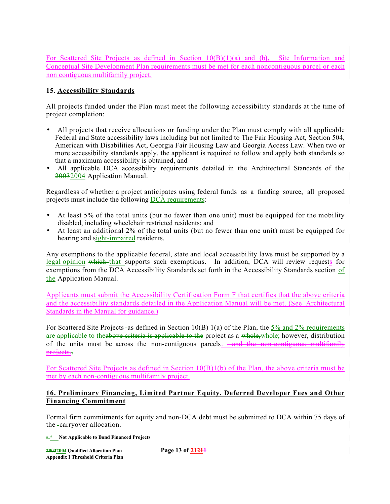For Scattered Site Projects as defined in Section 10(B)(1)(a) and (b**),** Site Information and Conceptual Site Development Plan requirements must be met for each noncontiguous parcel or each non contiguous multifamily project.

## **15. Accessibility Standards**

All projects funded under the Plan must meet the following accessibility standards at the time of project completion:

- All projects that receive allocations or funding under the Plan must comply with all applicable Federal and State accessibility laws including but not limited to The Fair Housing Act, Section 504, American with Disabilities Act, Georgia Fair Housing Law and Georgia Access Law. When two or more accessibility standards apply, the applicant is required to follow and apply both standards so that a maximum accessibility is obtained, and
- All applicable DCA accessibility requirements detailed in the Architectural Standards of the 20032004 Application Manual.

Regardless of whether a project anticipates using federal funds as a funding source, all proposed projects must include the following DCA requirements:

- At least 5% of the total units (but no fewer than one unit) must be equipped for the mobility disabled, including wheelchair restricted residents; and
- At least an additional 2% of the total units (but no fewer than one unit) must be equipped for hearing and sight-impaired residents.

Any exemptions to the applicable federal, state and local accessibility laws must be supported by a legal opinion which that supports such exemptions. In addition, DCA will review requests for exemptions from the DCA Accessibility Standards set forth in the Accessibility Standards section of the Application Manual.

Applicants must submit the Accessibility Certification Form F that certifies that the above criteria and the accessibility standards detailed in the Application Manual will be met. (See Architectural Standards in the Manual for guidance.)

For Scattered Site Projects -as defined in Section 10(B) 1(a) of the Plan, the  $5\%$  and  $2\%$  requirements are applicable to theabove criteria is applicable to the project as a whole, whole; however, distribution of the units must be across the non-contiguous parcels. <del>and the non-contiguous multifamily</del> projects.

For Scattered Site Projects as defined in Section 10(B)1(b) of the Plan, the above criteria must be met by each non-contiguous multifamily project.

## **16. Preliminary Financing, Limited Partner Equity, Deferred Developer Fees and Other Financing Commitment**

Formal firm commitments for equity and non-DCA debt must be submitted to DCA within 75 days of the carryover allocation.

**• \* Not Applicable to Bond Financed Projects**

**20032004 Qualified Allocation Plan Page 13 of 21211 Appendix I Threshold Criteria Plan**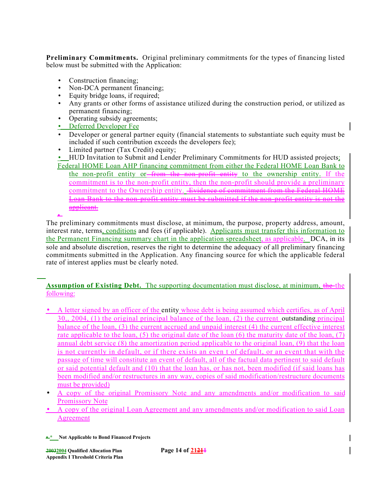**Preliminary Commitments.** Original preliminary commitments for the types of financing listed below must be submitted with the Application:

- Construction financing;
- Non-DCA permanent financing;
- Equity bridge loans, if required;
- Any grants or other forms of assistance utilized during the construction period, or utilized as permanent financing;
- Operating subsidy agreements;
- Deferred Developer Fee
- Developer or general partner equity (financial statements to substantiate such equity must be included if such contribution exceeds the developers fee);
- Limited partner (Tax Credit) equity;

• HUD Invitation to Submit and Lender Preliminary Commitments for HUD assisted projects; Federal HOME Loan AHP financing commitment from either the Federal HOME Loan Bank to the non-profit entity or from the non-profit entity to the ownership entity. If the commitment is to the non-profit entity, then the non-profit should provide a preliminary commitment to the Ownership entity. Evidence of commitment from the Federal HOME Loan Bank to the non-profit entity must be submitted if the non-profit entity is not the applicant.

• The preliminary commitments must disclose, at minimum, the purpose, property address, amount, interest rate, terms, conditions and fees (if applicable). Applicants must transfer this information to the Permanent Financing summary chart in the application spreadsheet, as applicable. DCA, in its sole and absolute discretion, reserves the right to determine the adequacy of all preliminary financing commitments submitted in the Application. Any financing source for which the applicable federal rate of interest applies must be clearly noted.

**Assumption of Existing Debt.** The supporting documentation must disclose, at minimum, the-the following:

- A letter signed by an officer of the entity whose debt is being assumed which certifies, as of April 30,, 2004, (1) the original principal balance of the loan, (2) the current outstanding principal balance of the loan, (3) the current accrued and unpaid interest (4) the current effective interest rate applicable to the loan, (5) the original date of the loan (6) the maturity date of the loan, (7) annual debt service (8) the amortization period applicable to the original loan, (9) that the loan is not currently in default, or if there exists an even t of default, or an event that with the passage of time will constitute an event of default, all of the factual data pertinent to said default or said potential default and (10) that the loan has, or has not, been modified (if said loans has been modified and/or restructures in any way, copies of said modification/restructure documents must be provided)
- A copy of the original Promissory Note and any amendments and/or modification to said Promissory Note
- A copy of the original Loan Agreement and any amendments and/or modification to said Loan Agreement

 $\mathbf{I}$ 

 $\overline{a}$ 

**<sup>•</sup> \* Not Applicable to Bond Financed Projects**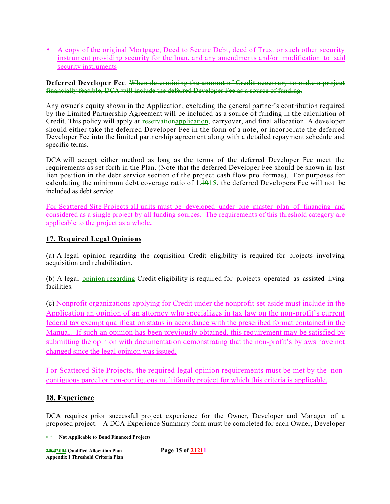• A copy of the original Mortgage, Deed to Secure Debt, deed of Trust or such other security instrument providing security for the loan, and any amendments and/or modification to said security instruments

#### **Deferred Developer Fee**. When determining the amount of Credit necessary to make a project financially feasible, DCA will include the deferred Developer Fee as a source of funding.

Any owner's equity shown in the Application, excluding the general partner's contribution required by the Limited Partnership Agreement will be included as a source of funding in the calculation of Credit. This policy will apply at reservationapplication, carryover, and final allocation. A developer should either take the deferred Developer Fee in the form of a note, or incorporate the deferred Developer Fee into the limited partnership agreement along with a detailed repayment schedule and specific terms.

DCA will accept either method as long as the terms of the deferred Developer Fee meet the requirements as set forth in the Plan. (Note that the deferred Developer Fee should be shown in last lien position in the debt service section of the project cash flow pro-formas). For purposes for calculating the minimum debt coverage ratio of 1. $\frac{1}{4}$ , the deferred Developers Fee will not be included as debt service.

For Scattered Site Projects all units must be developed under one master plan of financing and considered as a single project by all funding sources. The requirements of this threshold category are applicable to the project as a whole**.**

## **17. Required Legal Opinions**

(a) A legal opinion regarding the acquisition Credit eligibility is required for projects involving acquisition and rehabilitation.

(b) A legal opinion regarding Credit eligibility is required for projects operated as assisted living facilities.

(c) Nonprofit organizations applying for Credit under the nonprofit set-aside must include in the Application an opinion of an attorney who specializes in tax law on the non-profit's current federal tax exempt qualification status in accordance with the prescribed format contained in the Manual. If such an opinion has been previously obtained, this requirement may be satisfied by submitting the opinion with documentation demonstrating that the non-profit's bylaws have not changed since the legal opinion was issued.

For Scattered Site Projects, the required legal opinion requirements must be met by the noncontiguous parcel or non-contiguous multifamily project for which this criteria is applicable.

## **18. Experience**

DCA requires prior successful project experience for the Owner, Developer and Manager of a proposed project. A DCA Experience Summary form must be completed for each Owner, Developer

 $\mathbf{I}$ 

**20032004 Qualified Allocation Plan Page 15 of 21211 Appendix I Threshold Criteria Plan**

**<sup>•</sup> \* Not Applicable to Bond Financed Projects**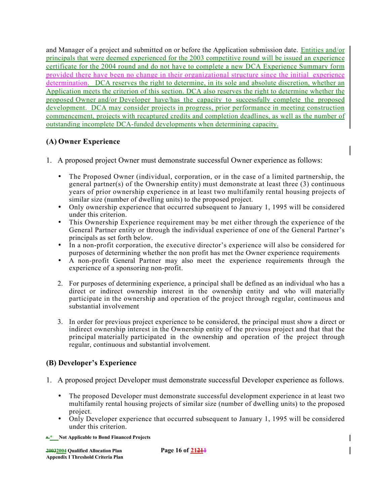and Manager of a project and submitted on or before the Application submission date. Entities and/or principals that were deemed experienced for the 2003 competitive round will be issued an experience certificate for the 2004 round and do not have to complete a new DCA Experience Summary form provided there have been no change in their organizational structure since the initial experience determination.DCA reserves the right to determine, in its sole and absolute discretion, whether an Application meets the criterion of this section. DCA also reserves the right to determine whether the proposed Owner and/or Developer have/has the capacity to successfully complete the proposed development. DCA may consider projects in progress, prior performance in meeting construction commencement, projects with recaptured credits and completion deadlines, as well as the number of outstanding incomplete DCA-funded developments when determining capacity.

# **(A) Owner Experience**

- 1. A proposed project Owner must demonstrate successful Owner experience as follows:
	- The Proposed Owner (individual, corporation, or in the case of a limited partnership, the general partner(s) of the Ownership entity) must demonstrate at least three  $(3)$  continuous years of prior ownership experience in at least two multifamily rental housing projects of similar size (number of dwelling units) to the proposed project.
	- Only ownership experience that occurred subsequent to January 1, 1995 will be considered under this criterion.
	- This Ownership Experience requirement may be met either through the experience of the General Partner entity or through the individual experience of one of the General Partner's principals as set forth below.
	- In a non-profit corporation, the executive director's experience will also be considered for purposes of determining whether the non profit has met the Owner experience requirements
	- A non-profit General Partner may also meet the experience requirements through the experience of a sponsoring non-profit.
	- 2. For purposes of determining experience, a principal shall be defined as an individual who has a direct or indirect ownership interest in the ownership entity and who will materially participate in the ownership and operation of the project through regular, continuous and substantial involvement
	- 3. In order for previous project experience to be considered, the principal must show a direct or indirect ownership interest in the Ownership entity of the previous project and that that the principal materially participated in the ownership and operation of the project through regular, continuous and substantial involvement.

## **(B) Developer's Experience**

- 1. A proposed project Developer must demonstrate successful Developer experience as follows.
	- The proposed Developer must demonstrate successful development experience in at least two multifamily rental housing projects of similar size (number of dwelling units) to the proposed project.
	- Only Developer experience that occurred subsequent to January 1, 1995 will be considered under this criterion.

 $\overline{1}$  $\mathsf{I}$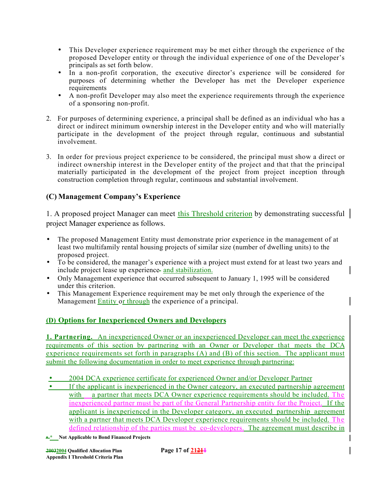- This Developer experience requirement may be met either through the experience of the proposed Developer entity or through the individual experience of one of the Developer's principals as set forth below.
- In a non-profit corporation, the executive director's experience will be considered for purposes of determining whether the Developer has met the Developer experience requirements
- A non-profit Developer may also meet the experience requirements through the experience of a sponsoring non-profit.
- 2. For purposes of determining experience, a principal shall be defined as an individual who has a direct or indirect minimum ownership interest in the Developer entity and who will materially participate in the development of the project through regular, continuous and substantial involvement.
- 3. In order for previous project experience to be considered, the principal must show a direct or indirect ownership interest in the Developer entity of the project and that that the principal materially participated in the development of the project from project inception through construction completion through regular, continuous and substantial involvement.

# **(C) Management Company's Experience**

1. A proposed project Manager can meet this Threshold criterion by demonstrating successful project Manager experience as follows.

- The proposed Management Entity must demonstrate prior experience in the management of at least two multifamily rental housing projects of similar size (number of dwelling units) to the proposed project.
- To be considered, the manager's experience with a project must extend for at least two years and include project lease up experience and stabilization.
- Only Management experience that occurred subsequent to January 1, 1995 will be considered under this criterion.
- This Management Experience requirement may be met only through the experience of the Management Entity or through the experience of a principal.

## **(D) Options for Inexperienced Owners and Developers**

**1. Partnering.** An inexperienced Owner or an inexperienced Developer can meet the experience requirements of this section by partnering with an Owner or Developer that meets the DCA experience requirements set forth in paragraphs (A) and (B) of this section. The applicant must submit the following documentation in order to meet experience through partnering:

- 2004 DCA experience certificate for experienced Owner and/or Developer Partner
- If the applicant is inexperienced in the Owner category, an executed partnership agreement with a partner that meets DCA Owner experience requirements should be included. The inexperienced partner must be part of the General Partnership entity for the Project. If the applicant is inexperienced in the Developer category, an executed partnership agreement with a partner that meets DCA Developer experience requirements should be included. The defined relationship of the parties must be co-developers. The agreement must describe in
- **• \* Not Applicable to Bond Financed Projects**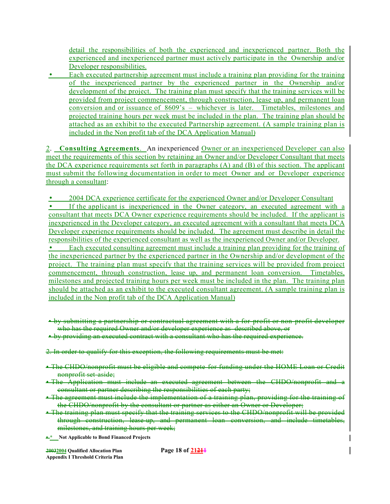detail the responsibilities of both the experienced and inexperienced partner. Both the experienced and inexperienced partner must actively participate in the Ownership and/or Developer responsibilities.

• Each executed partnership agreement must include a training plan providing for the training of the inexperienced partner by the experienced partner in the Ownership and/or development of the project. The training plan must specify that the training services will be provided from project commencement, through construction, lease up, and permanent loan conversion and or issuance of 8609's – whichever is later. Timetables, milestones and projected training hours per week must be included in the plan. The training plan should be attached as an exhibit to the executed Partnership agreement. (A sample training plan is included in the Non profit tab of the DCA Application Manual)

2. **Consulting Agreements**. An inexperienced Owner or an inexperienced Developer can also meet the requirements of this section by retaining an Owner and/or Developer Consultant that meets the DCA experience requirements set forth in paragraphs (A) and (B) of this section. The applicant must submit the following documentation in order to meet Owner and or Developer experience through a consultant:

• 2004 DCA experience certificate for the experienced Owner and/or Developer Consultant

If the applicant is inexperienced in the Owner category, an executed agreement with a consultant that meets DCA Owner experience requirements should be included. If the applicant is inexperienced in the Developer category, an executed agreement with a consultant that meets DCA Developer experience requirements should be included. The agreement must describe in detail the responsibilities of the experienced consultant as well as the inexperienced Owner and/or Developer.

• Each executed consulting agreement must include a training plan providing for the training of the inexperienced partner by the experienced partner in the Ownership and/or development of the project. The training plan must specify that the training services will be provided from project commencement, through construction, lease up, and permanent loan conversion. Timetables, milestones and projected training hours per week must be included in the plan. The training plan should be attached as an exhibit to the executed consultant agreement. (A sample training plan is included in the Non profit tab of the DCA Application Manual)

• by submitting a partnership or contractual agreement with a for-profit or non-profit developer who has the required Owner and/or developer experience as described above, or

• by providing an executed contract with a consultant who has the required experience.

2. In order to qualify for this exception, the following requirements must be met:

• The CHDO/nonprofit must be eligible and compete for funding under the HOME Loan or Credit nonprofit set-aside;

The Application must include an executed agreement between the CHDO/nonprofit consultant or partner describing the responsibilities of each party;

 $\triangle$  The agreement must include the implementation of a training plan, providing for the training the CHDO/nonprofit by the consultant or partner as either an Owner or Developer;

• The training plan must specify that the training services to the CHDO/nonprofit will be provided through construction, lease-up, and permanent loan conversion, and include timetables, milestones, and training hours per week;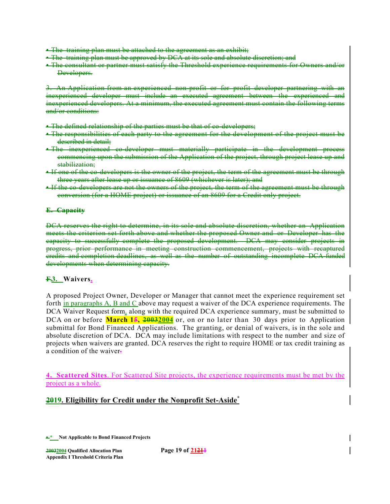• The training plan must be attached to the agreement as an exhibit;

- The training plan must be approved by DCA at its sole and absolute discretion; and
- The consultant or partner must satisfy the Threshold experience requirements for Owners and/or Developers.

An Application from an experienced non-profit or for profit developer partnering inexperienced developer must include an executed agreement between the experienced inexperienced developers. At a minimum, the executed agreement must contain the following and/or conditions:

• The defined relationship of the parties must be that of co-developers;

- The responsibilities of each party to the agreement for the development of the project must be described in detail;
- The inexperienced co-developer must materially participate in the development process commencing upon the submission of the Application of the project, through project lease up and stabilization;
- If one of the co-developers is the owner of the project, the term of the agreement must be through three years after lease up or issuance of 8609 (whichever is later); and
- If the co-developers are not the owners of the project, the term of the agreement must be through conversion (for a HOME project) or issuance of an 8609 for a Credit only project.

#### **E. Capacity**

DCA reserves the right to determine, in its sole and absolute discretion, whether an Application meets the criterion set forth above and whether the proposed Owner and or Developer has the capacity to successfully complete the proposed development. DCA may consider projects in progress, prior performance in meeting construction commencement, projects with recaptured credits and completion deadlines, as well as the number of outstanding incomplete DCA-funded developments when determining capacity.

#### **F.3. Waivers.**

A proposed Project Owner, Developer or Manager that cannot meet the experience requirement set forth  $\frac{1}{2}$  paragraphs A, B and C above may request a waiver of the DCA experience requirements. The DCA Waiver Request form, along with the required DCA experience summary, must be submitted to DCA on or before **March 15, 20032004** or, on or no later than 30 days prior to Application submittal for Bond Financed Applications. The granting, or denial of waivers, is in the sole and absolute discretion of DCA. DCA may include limitations with respect to the number and size of projects when waivers are granted. DCA reserves the right to require HOME or tax credit training as a condition of the waiver.

**4. Scattered Sites**. For Scattered Site projects, the experience requirements must be met by the project as a whole.

 $\mathbf{I}$ 

## **2019. Eligibility for Credit under the Nonprofit Set-Aside\***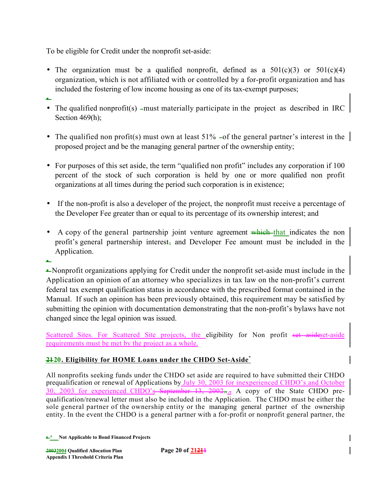To be eligible for Credit under the nonprofit set-aside:

•

•

- The organization must be a qualified nonprofit, defined as a  $501(c)(3)$  or  $501(c)(4)$ organization, which is not affiliated with or controlled by a for-profit organization and has included the fostering of low income housing as one of its tax-exempt purposes;
- The qualified nonprofit(s) –must materially participate in the project as described in IRC Section 469(h);
- The qualified non profit(s) must own at least  $51\%$  –of the general partner's interest in the proposed project and be the managing general partner of the ownership entity;
- For purposes of this set aside, the term "qualified non profit" includes any corporation if 100 percent of the stock of such corporation is held by one or more qualified non profit organizations at all times during the period such corporation is in existence;
- If the non-profit is also a developer of the project, the nonprofit must receive a percentage of the Developer Fee greater than or equal to its percentage of its ownership interest; and
- A copy of the general partnership joint venture agreement which that indicates the non profit's general partnership interest, and Developer Fee amount must be included in the Application.

• Nonprofit organizations applying for Credit under the nonprofit set-aside must include in the Application an opinion of an attorney who specializes in tax law on the non-profit's current federal tax exempt qualification status in accordance with the prescribed format contained in the Manual. If such an opinion has been previously obtained, this requirement may be satisfied by submitting the opinion with documentation demonstrating that the non-profit's bylaws have not changed since the legal opinion was issued.

Scattered Sites. For Scattered Site projects, the eligibility for Non profit set asideset-aside requirements must be met by the project as a whole.

## **2120. Eligibility for HOME Loans under the CHDO Set-Aside\***

All nonprofits seeking funds under the CHDO set aside are required to have submitted their CHDO prequalification or renewal of Applications by July 30, 2003 for inexperienced CHDO's and October 30, 2003 for experienced CHDO's September 13, 2002... A copy of the State CHDO prequalification/renewal letter must also be included in the Application. The CHDO must be either the sole general partner of the ownership entity or the managing general partner of the ownership entity. In the event the CHDO is a general partner with a for-profit or nonprofit general partner, the

**<sup>•</sup> \* Not Applicable to Bond Financed Projects**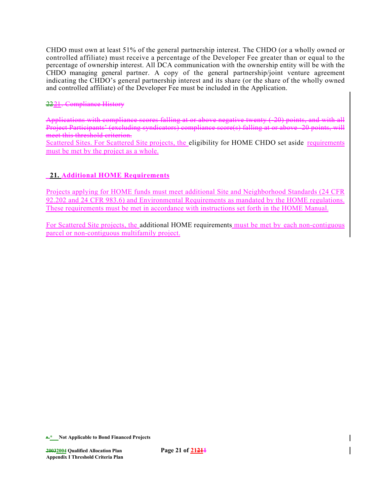CHDO must own at least 51% of the general partnership interest. The CHDO (or a wholly owned or controlled affiliate) must receive a percentage of the Developer Fee greater than or equal to the percentage of ownership interest. All DCA communication with the ownership entity will be with the CHDO managing general partner. A copy of the general partnership/joint venture agreement indicating the CHDO's general partnership interest and its share (or the share of the wholly owned and controlled affiliate) of the Developer Fee must be included in the Application.

### 2221. Compliance History

Applications with compliance scores falling at or above negative twenty (-20) points, and with Project Participants' (excluding syndicators) compliance score(s) falling at or above -20 points, will meet this threshold criterion.

Scattered Sites. For Scattered Site projects, the eligibility for HOME CHDO set aside requirements must be met by the project as a whole.

## **21. Additional HOME Requirements**

Projects applying for HOME funds must meet additional Site and Neighborhood Standards (24 CFR 92.202 and 24 CFR 983.6) and Environmental Requirements as mandated by the HOME regulations. These requirements must be met in accordance with instructions set forth in the HOME Manual.

For Scattered Site projects, the additional HOME requirements must be met by each non-contiguous parcel or non-contiguous multifamily project.

**• \* Not Applicable to Bond Financed Projects**

 $\overline{1}$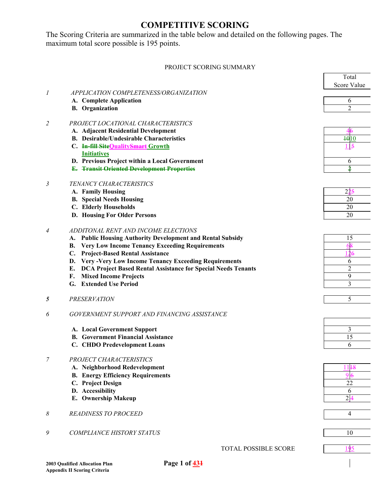# **COMPETITIVE SCORING**

The Scoring Criteria are summarized in the table below and detailed on the following pages. The maximum total score possible is 195 points.

## PROJECT SCORING SUMMARY

|   |                                                                      | Total          |
|---|----------------------------------------------------------------------|----------------|
|   |                                                                      | Score Value    |
| 1 | APPLICATION COMPLETENESS/ORGANIZATION                                |                |
|   | A. Complete Application                                              | 6              |
|   | <b>B.</b> Organization                                               | $\overline{2}$ |
| 2 | PROJECT LOCATIONAL CHARACTERISTICS                                   |                |
|   | A. Adjacent Residential Development                                  |                |
|   | <b>B.</b> Desirable/Undesirable Characteristics                      | 4010           |
|   | C. In-fill SiteQualitySmart Growth                                   |                |
|   | <b>Initiatives</b>                                                   |                |
|   | D. Previous Project within a Local Government                        | 6              |
|   | <b>E.</b> Transit Oriented Development Properties                    |                |
|   |                                                                      |                |
| 3 | TENANCY CHARACTERISTICS                                              |                |
|   | A. Family Housing                                                    | 2 <sup>2</sup> |
|   | <b>B.</b> Special Needs Housing                                      | 20             |
|   | C. Elderly Households                                                | 20             |
|   | D. Housing For Older Persons                                         | 20             |
| 4 | ADDITONAL RENT AND INCOME ELECTIONS                                  |                |
|   | <b>Public Housing Authority Development and Rental Subsidy</b><br>А. | 15             |
|   | <b>Very Low Income Tenancy Exceeding Requirements</b><br>В.          |                |
|   | <b>Project-Based Rental Assistance</b><br>$\mathbf{C}$ .             |                |
|   | <b>Very-Very Low Income Tenancy Exceeding Requirements</b><br>D.     | 6              |
|   | DCA Project Based Rental Assistance for Special Needs Tenants<br>E.  | $\overline{2}$ |
|   | <b>Mixed Income Projects</b><br>F.                                   | 9              |
|   | G. Extended Use Period                                               | 3              |
| 5 | <b>PRESERVATION</b>                                                  | 5              |
|   |                                                                      |                |
| 6 | GOVERNMENT SUPPORT AND FINANCING ASSISTANCE                          |                |
|   | A. Local Government Support                                          | 3              |
|   | <b>B.</b> Government Financial Assistance                            | 15             |
|   | C. CHDO Predevelopment Loans                                         | 6              |
|   | PROJECT CHARACTERISTICS                                              |                |
|   | A. Neighborhood Redevelopment                                        |                |
|   | <b>B. Energy Efficiency Requirements</b>                             | $\mathbf Q$    |
|   | C. Project Design                                                    | 22             |
|   | D. Accessibility                                                     | 6              |
|   | E. Ownership Makeup                                                  | 2.4            |
|   |                                                                      |                |
| 8 | <b>READINESS TO PROCEED</b>                                          | 4              |
|   |                                                                      |                |
| 9 | <b>COMPLIANCE HISTORY STATUS</b>                                     | 10             |

TOTAL POSSIBLE SCORE 19

 $\blacksquare$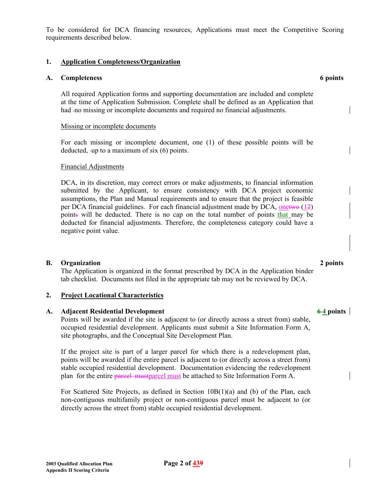To be considered for DCA financing resources, Applications must meet the Competitive Scoring requirements described below.

## **1. Application Completeness/Organization**

#### **A. Completeness 6 points**

All required Application forms and supporting documentation are included and complete at the time of Application Submission. Complete shall be defined as an Application that had -no missing or incomplete documents and required no financial adjustments.

#### Missing or incomplete documents

For each missing or incomplete document, one (1) of these possible points will be deducted, -up to a maximum of six  $(6)$  points.

#### Financial Adjustments

DCA, in its discretion, may correct errors or make adjustments, to financial information submitted by the Applicant, to ensure consistency with DCA project economic assumptions, the Plan and Manual requirements and to ensure that the project is feasible per DCA financial guidelines. For each financial adjustment made by DCA, one two  $(12)$ points will be deducted. There is no cap on the total number of points that may be deducted for financial adjustments. Therefore, the completeness category could have a negative point value.

#### **B. Organization 2 points**

The Application is organized in the format prescribed by DCA in the Application binder tab checklist. Documents not filed in the appropriate tab may not be reviewed by DCA.

#### **2. Project Locational Characteristics**

#### **A. Adjacent Residential Development 6 4 points**

Points will be awarded if the site is adjacent to (or directly across a street from) stable, occupied residential development. Applicants must submit a Site Information Form A, site photographs, and the Conceptual Site Development Plan.

If the project site is part of a larger parcel for which there is a redevelopment plan, points will be awarded if the entire parcel is adjacent to (or directly across a street from) stable occupied residential development. Documentation evidencing the redevelopment plan for the entire parcel mustparcel must be attached to Site Information Form A.

For Scattered Site Projects, as defined in Section  $10B(1)(a)$  and (b) of the Plan, each non-contiguous multifamily project or non-contiguous parcel must be adjacent to (or directly across the street from) stable occupied residential development.

**2003 Qualified Allocation Plan Page 2 of 439 Appendix II Scoring Criteria**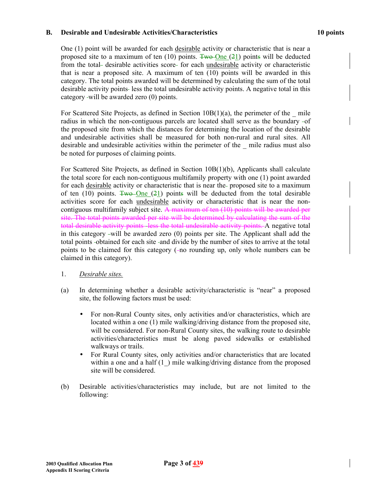#### **B. Desirable and Undesirable Activities/Characteristics 10 points**

One (1) point will be awarded for each desirable activity or characteristic that is near a proposed site to a maximum of ten  $(10)$  points. Two-One  $(21)$  points will be deducted from the total- desirable activities score- for each undesirable activity or characteristic that is near a proposed site. A maximum of ten (10) points will be awarded in this category. The total points awarded will be determined by calculating the sum of the total desirable activity points-less the total undesirable activity points. A negative total in this category will be awarded zero (0) points.

For Scattered Site Projects, as defined in Section  $10B(1)(a)$ , the perimeter of the \_ mile radius in which the non-contiguous parcels are located shall serve as the boundary -of the proposed site from which the distances for determining the location of the desirable and undesirable activities shall be measured for both non-rural and rural sites. All desirable and undesirable activities within the perimeter of the \_ mile radius must also be noted for purposes of claiming points.

For Scattered Site Projects, as defined in Section 10B(1)(b), Applicants shall calculate the total score for each non-contiguous multifamily property with one (1) point awarded for each desirable activity or characteristic that is near the-proposed site to a maximum of ten  $(10)$  points. Two-One  $(21)$  points will be deducted from the total desirable activities score for each undesirable activity or characteristic that is near the noncontiguous multifamily subject site. A maximum of ten (10) points will be awarded per site. The total points awarded per site will be determined by calculating the sum of the total desirable activity points less the total undesirable activity points. A negative total in this category will be awarded zero (0) points per site. The Applicant shall add the total points -obtained for each site -and divide by the number of sites to arrive at the total points to be claimed for this category (-no rounding up, only whole numbers can be claimed in this category).

- 1. *Desirable sites.*
- (a) In determining whether a desirable activity/characteristic is "near" a proposed site, the following factors must be used:
	- For non-Rural County sites, only activities and/or characteristics, which are located within a one (1) mile walking/driving distance from the proposed site, will be considered. For non-Rural County sites, the walking route to desirable activities/characteristics must be along paved sidewalks or established walkways or trails.
	- For Rural County sites, only activities and/or characteristics that are located within a one and a half  $(1 \cdot)$  mile walking/driving distance from the proposed site will be considered.
- (b) Desirable activities/characteristics may include, but are not limited to the following: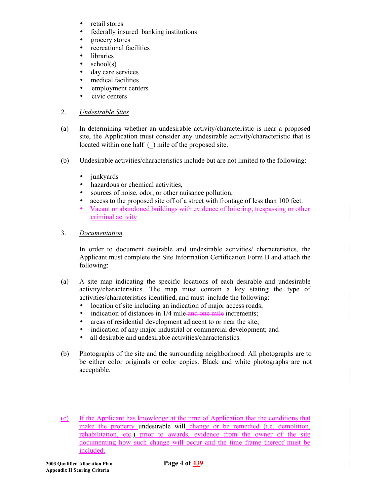- retail stores
- federally insured banking institutions
- grocery stores
- recreational facilities
- libraries
- school(s)
- day care services
- medical facilities
- employment centers
- civic centers

## 2. *Undesirable Sites*

- (a) In determining whether an undesirable activity/characteristic is near a proposed site, the Application must consider any undesirable activity/characteristic that is located within one half () mile of the proposed site.
- (b) Undesirable activities/characteristics include but are not limited to the following:
	- junkyards
	- hazardous or chemical activities,
	- sources of noise, odor, or other nuisance pollution,
	- access to the proposed site off of a street with frontage of less than 100 feet.
	- Vacant or abandoned buildings with evidence of loitering, trespassing or other criminal activity
- 3. *Documentation*

In order to document desirable and undesirable activities/-characteristics, the Applicant must complete the Site Information Certification Form B and attach the following:

- (a) A site map indicating the specific locations of each desirable and undesirable activity/characteristics. The map must contain a key stating the type of activities/characteristics identified, and must -include the following:
	- location of site including an indication of major access roads:
	- indication of distances in 1/4 mile and one mile increments;
	- areas of residential development adjacent to or near the site;
	- indication of any major industrial or commercial development; and
	- all desirable and undesirable activities/characteristics.
- (b) Photographs of the site and the surrounding neighborhood. All photographs are to be either color originals or color copies. Black and white photographs are not acceptable.
- (c) If the Applicant has knowledge at the time of Application that the conditions that make the property undesirable will change or be remedied (i.e. demolition, rehabilitation, etc.) prior to awards, evidence from the owner of the site documenting how such change will occur and the time frame thereof must be included.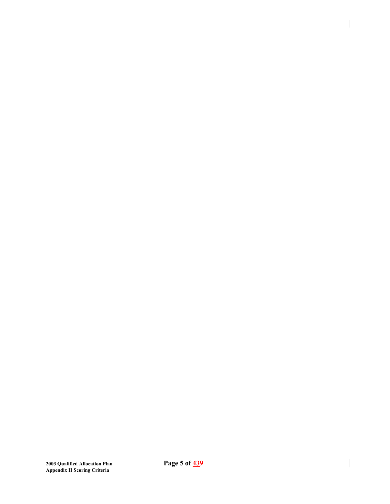$\overline{\phantom{a}}$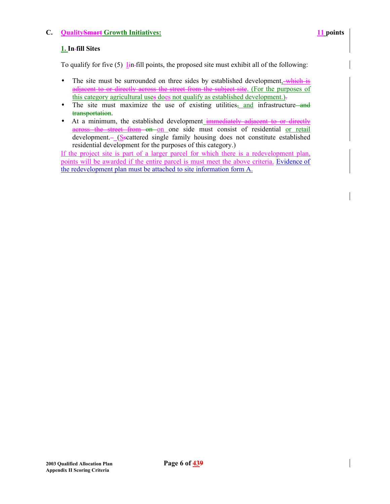## **C. QualitySmart Growth Initiatives:**

## **1. In fill Sites**

To qualify for five  $(5)$  Lin-fill points, the proposed site must exhibit all of the following:

- The site must be surrounded on three sides by established development, which is adjacent to or directly across the street from the subject site. (For the purposes of this category agricultural uses does not qualify as established development.).
- The site must maximize the use of existing utilities<sub>7</sub> and infrastructure and transportation.
- At a minimum, the established development *immediately adjacent to or directly* across the street from on on one side must consist of residential or retail development. (Sscattered single family housing does not constitute established residential development for the purposes of this category.)

If the project site is part of a larger parcel for which there is a redevelopment plan, points will be awarded if the entire parcel is must meet the above criteria. Evidence of the redevelopment plan must be attached to site information form A.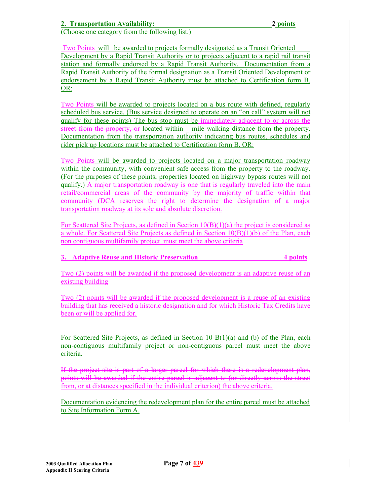#### **2. Transportation Availability: 2 points**

(Choose one category from the following list.)

 Two Points will be awarded to projects formally designated as a Transit Oriented Development by a Rapid Transit Authority or to projects adjacent to a rapid rail transit station and formally endorsed by a Rapid Transit Authority. Documentation from a Rapid Transit Authority of the formal designation as a Transit Oriented Development or endorsement by a Rapid Transit Authority must be attached to Certification form B. OR:

Two Points will be awarded to projects located on a bus route with defined, regularly scheduled bus service. (Bus service designed to operate on an "on call" system will not qualify for these points) The bus stop must be immediately adjacent to or across the street from the property, or located within \_ mile walking distance from the property. Documentation from the transportation authority indicating bus routes, schedules and rider pick up locations must be attached to Certification form B. OR:

Two Points will be awarded to projects located on a major transportation roadway within the community, with convenient safe access from the property to the roadway. (For the purposes of these points, properties located on highway bypass routes will not qualify.) A major transportation roadway is one that is regularly traveled into the main retail/commercial areas of the community by the majority of traffic within that community (DCA reserves the right to determine the designation of a major transportation roadway at its sole and absolute discretion.

For Scattered Site Projects, as defined in Section 10(B)(1)(a) the project is considered as a whole. For Scattered Site Projects as defined in Section  $10(B)(1)(b)$  of the Plan, each non contiguous multifamily project must meet the above criteria

#### **3. Adaptive Reuse and Historic Preservation 4 points**

Two (2) points will be awarded if the proposed development is an adaptive reuse of an existing building

Two (2) points will be awarded if the proposed development is a reuse of an existing building that has received a historic designation and for which Historic Tax Credits have been or will be applied for.

For Scattered Site Projects, as defined in Section 10 B(1)(a) and (b) of the Plan, each non-contiguous multifamily project or non-contiguous parcel must meet the above criteria.

If the project site is part of a larger parcel for which there is a redevelopment plan, points will be awarded if the entire parcel is adjacent to (or directly across the street from, or at distances specified in the individual criterion) the above criteria.

Documentation evidencing the redevelopment plan for the entire parcel must be attached to Site Information Form A.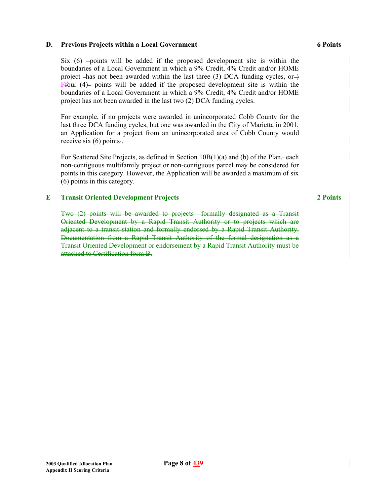#### **D. Previous Projects within a Local Government**

Six  $(6)$  -points will be added if the proposed development site is within the boundaries of a Local Government in which a 9% Credit, 4% Credit and/or HOME project – has not been awarded within the last three (3) DCA funding cycles, or  $\rightarrow$ Ffour  $(4)$ - points will be added if the proposed development site is within the boundaries of a Local Government in which a 9% Credit, 4% Credit and/or HOME project has not been awarded in the last two (2) DCA funding cycles.

For example, if no projects were awarded in unincorporated Cobb County for the last three DCA funding cycles, but one was awarded in the City of Marietta in 2001, an Application for a project from an unincorporated area of Cobb County would receive six  $(6)$  points-.

For Scattered Site Projects, as defined in Section 10B(1)(a) and (b) of the Plan, each non-contiguous multifamily project or non-contiguous parcel may be considered for points in this category. However, the Application will be awarded a maximum of six (6) points in this category.

## **E Transit Oriented Development Projects**

Two (2) points will be awarded to projects formally designated as a Transit Oriented Development by a Rapid Transit Authority or to projects which are adjacent to a transit station and formally endorsed by a Rapid Transit Authority. Documentation from a Rapid Transit Authority of the formal designation as a Transit Oriented Development or endorsement by a Rapid Transit Authority must be attached to Certification form B.

#### **6 Points**

**2 Points**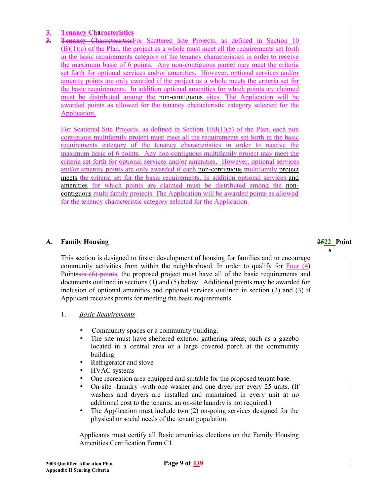## **3. Tenancy Characteristics**

**3. Tenancy CharacteristicsFor Scattered Site Projects, as defined in Section 10**  $(B)(1)(a)$  of the Plan, the project as a whole must meet all the requirements set forth in the basic requirements category of the tenancy characteristics in order to receive the maximum basic of 6 points. Any non-contiguous parcel may meet the criteria set forth for optional services and/or amenities. However, optional services and/or amenity points are only awarded if the project as a whole meets the criteria set for the basic requirements. In addition optional amenities for which points are claimed must be distributed among the non-contiguous sites. The Application will be awarded points as allowed for the tenancy characteristic category selected for the Application.

For Scattered Site Projects, as defined in Section 10B(1)(b) of the Plan, each non contiguous multifamily project must meet all the requirements set forth in the basic requirements category of the tenancy characteristics in order to receive the maximum basic of 6 points. Any non-contiguous multifamily project may meet the criteria set forth for optional services and/or amenities. However, optional services and/or amenity points are only awarded if each non-contiguous multifamily project meets the criteria set for the basic requirements. In addition optional services and amenities for which points are claimed must be distributed among the noncontiguous multi family projects. The Application will be awarded points as allowed for the tenancy characteristic category selected for the Application.

## **A. Family Housing 2522 Point**

This section is designed to foster development of housing for families and to encourage community activities from within the neighborhood. In order to qualify for  $\frac{Four(4)}{4}$ Pointssix (6) points, the proposed project must have all of the basic requirements and documents outlined in sections (1) and (5) below. Additional points may be awarded for inclusion of optional amenities and optional services outlined in section (2) and (3) if Applicant receives points for meeting the basic requirements.

#### 1. *Basic Requirements*

- Community spaces or a community building.
- The site must have sheltered exterior gathering areas, such as a gazebo located in a central area or a large covered porch at the community building.
- Refrigerator and stove
- HVAC systems
- One recreation area equipped and suitable for the proposed tenant base.
- On-site -laundry -with one washer and one dryer per every 25 units. (If washers and dryers are installed and maintained in every unit at no additional cost to the tenants, an on-site laundry is not required.)
- The Application must include two (2) on-going services designed for the physical or social needs of the tenant population.

Applicants must certify all Basic amenities elections on the Family Housing Amenities Certification Form C1.

**s**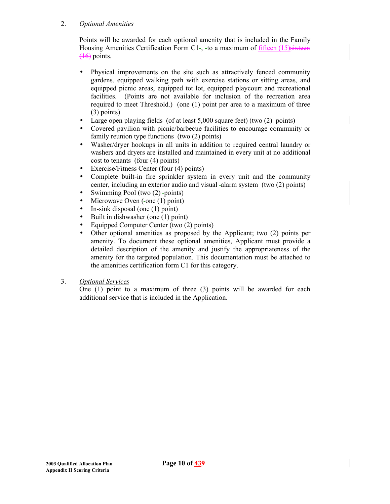## 2. *Optional Amenities*

Points will be awarded for each optional amenity that is included in the Family Housing Amenities Certification Form C1-, -to a maximum of fifteen (15) sixteen  $(16)$  points.

- Physical improvements on the site such as attractively fenced community gardens, equipped walking path with exercise stations or sitting areas, and equipped picnic areas, equipped tot lot, equipped playcourt and recreational facilities. (Points are not available for inclusion of the recreation area required to meet Threshold.) (one (1) point per area to a maximum of three (3) points)
- Large open playing fields (of at least  $5,000$  square feet) (two  $(2)$ -points)
- Covered pavilion with picnic/barbecue facilities to encourage community or family reunion type functions (two (2) points)
- Washer/dryer hookups in all units in addition to required central laundry or washers and dryers are installed and maintained in every unit at no additional cost to tenants (four (4) points)
- Exercise/Fitness Center (four (4) points)
- Complete built-in fire sprinkler system in every unit and the community center, including an exterior audio and visual alarm system (two (2) points)
- Swimming Pool (two  $(2)$  -points)
- Microwave Oven (-one (1) point)
- In-sink disposal (one  $(1)$  point)
- Built in dishwasher (one (1) point)
- Equipped Computer Center (two (2) points)
- Other optional amenities as proposed by the Applicant; two (2) points per amenity. To document these optional amenities, Applicant must provide a detailed description of the amenity and justify the appropriateness of the amenity for the targeted population. This documentation must be attached to the amenities certification form C1 for this category.

#### 3. *Optional Services*

One (1) point to a maximum of three (3) points will be awarded for each additional service that is included in the Application.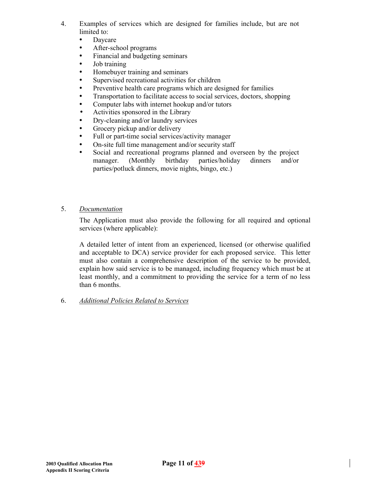- 4. Examples of services which are designed for families include, but are not limited to:
	- Daycare
	- After-school programs
	- Financial and budgeting seminars
	- Job training
	- Homebuyer training and seminars
	- Supervised recreational activities for children
	- Preventive health care programs which are designed for families
	- Transportation to facilitate access to social services, doctors, shopping
	- Computer labs with internet hookup and/or tutors
	- Activities sponsored in the Library
	- Dry-cleaning and/or laundry services
	- Grocery pickup and/or delivery
	- Full or part-time social services/activity manager
	- On-site full time management and/or security staff
	- Social and recreational programs planned and overseen by the project manager. (Monthly birthday parties/holiday dinners and/or parties/potluck dinners, movie nights, bingo, etc.)
- 5. *Documentation*

The Application must also provide the following for all required and optional services (where applicable):

A detailed letter of intent from an experienced, licensed (or otherwise qualified and acceptable to DCA) service provider for each proposed service. This letter must also contain a comprehensive description of the service to be provided, explain how said service is to be managed, including frequency which must be at least monthly, and a commitment to providing the service for a term of no less than 6 months.

## 6. *Additional Policies Related to Services*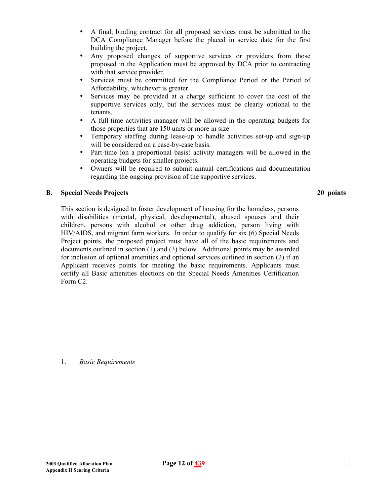- A final, binding contract for all proposed services must be submitted to the DCA Compliance Manager before the placed in service date for the first building the project.
- Any proposed changes of supportive services or providers from those proposed in the Application must be approved by DCA prior to contracting with that service provider.
- Services must be committed for the Compliance Period or the Period of Affordability, whichever is greater.
- Services may be provided at a charge sufficient to cover the cost of the supportive services only, but the services must be clearly optional to the tenants.
- A full-time activities manager will be allowed in the operating budgets for those properties that are 150 units or more in size
- Temporary staffing during lease-up to handle activities set-up and sign-up will be considered on a case-by-case basis.
- Part-time (on a proportional basis) activity managers will be allowed in the operating budgets for smaller projects.
- Owners will be required to submit annual certifications and documentation regarding the ongoing provision of the supportive services.

## **B. Special Needs Projects**

**20 points**

This section is designed to foster development of housing for the homeless, persons with disabilities (mental, physical, developmental), abused spouses and their children, persons with alcohol or other drug addiction, person living with HIV/AIDS, and migrant farm workers. In order to qualify for six (6) Special Needs Project points, the proposed project must have all of the basic requirements and documents outlined in section (1) and (3) below. Additional points may be awarded for inclusion of optional amenities and optional services outlined in section (2) if an Applicant receives points for meeting the basic requirements. Applicants must certify all Basic amenities elections on the Special Needs Amenities Certification Form C2.

1. *Basic Requirements*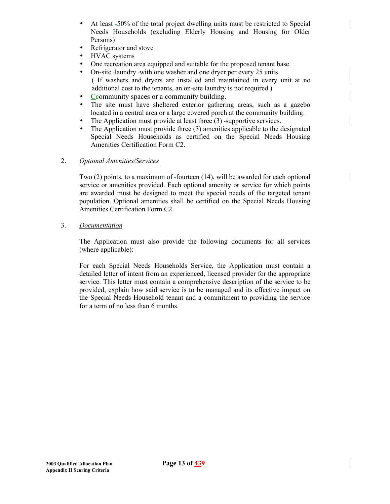- At least -50% of the total project dwelling units must be restricted to Special Needs Households (excluding Elderly Housing and Housing for Older Persons)
- Refrigerator and stove
- HVAC systems
- One recreation area equipped and suitable for the proposed tenant base.
- On-site laundry with one washer and one dryer per every 25 units. ( If washers and dryers are installed and maintained in every unit at no additional cost to the tenants, an on-site laundry is not required.)
- Ceommunity spaces or a community building.
- The site must have sheltered exterior gathering areas, such as a gazebo located in a central area or a large covered porch at the community building.
- The Application must provide at least three (3) -supportive services.
- The Application must provide three (3) amenities applicable to the designated Special Needs Households as certified on the Special Needs Housing Amenities Certification Form C2.

#### 2. *Optional Amenities/Services*

Two  $(2)$  points, to a maximum of -fourteen  $(14)$ , will be awarded for each optional service or amenities provided. Each optional amenity or service for which points are awarded must be designed to meet the special needs of the targeted tenant population. Optional amenities shall be certified on the Special Needs Housing Amenities Certification Form C2.

3. *Documentation*

The Application must also provide the following documents for all services (where applicable):

For each Special Needs Households Service, the Application must contain a detailed letter of intent from an experienced, licensed provider for the appropriate service. This letter must contain a comprehensive description of the service to be provided, explain how said service is to be managed and its effective impact on the Special Needs Household tenant and a commitment to providing the service for a term of no less than 6 months.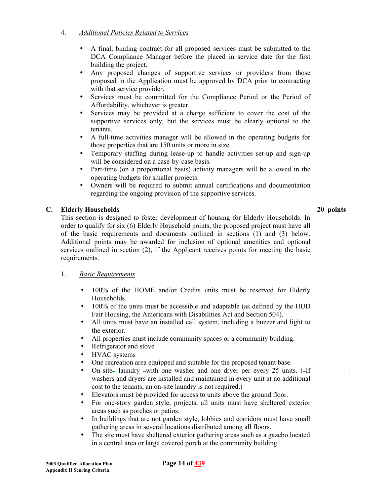- 4. *Additional Policies Related to Services*
	- A final, binding contract for all proposed services must be submitted to the DCA Compliance Manager before the placed in service date for the first building the project.
	- Any proposed changes of supportive services or providers from those proposed in the Application must be approved by DCA prior to contracting with that service provider.
	- Services must be committed for the Compliance Period or the Period of Affordability, whichever is greater.
	- Services may be provided at a charge sufficient to cover the cost of the supportive services only, but the services must be clearly optional to the tenants.
	- A full-time activities manager will be allowed in the operating budgets for those properties that are 150 units or more in size
	- Temporary staffing during lease-up to handle activities set-up and sign-up will be considered on a case-by-case basis.
	- Part-time (on a proportional basis) activity managers will be allowed in the operating budgets for smaller projects.
	- Owners will be required to submit annual certifications and documentation regarding the ongoing provision of the supportive services.

# **C. Elderly Households 20 points**

This section is designed to foster development of housing for Elderly Households. In order to qualify for six (6) Elderly Household points, the proposed project must have all of the basic requirements and documents outlined in sections (1) and (3) below. Additional points may be awarded for inclusion of optional amenities and optional services outlined in section (2), if the Applicant receives points for meeting the basic requirements.

# 1. *Basic Requirements*

- 100% of the HOME and/or Credits units must be reserved for Elderly Households.
- 100% of the units must be accessible and adaptable (as defined by the HUD Fair Housing, the Americans with Disabilities Act and Section 504).
- All units must have an installed call system, including a buzzer and light to the exterior.
- All properties must include community spaces or a community building.
- Refrigerator and stove
- HVAC systems
- One recreation area equipped and suitable for the proposed tenant base.
- On-site- laundry -with one washer and one dryer per every 25 units. (-If washers and dryers are installed and maintained in every unit at no additional cost to the tenants, an on-site laundry is not required.)
- Elevators must be provided for access to units above the ground floor.
- For one-story garden style, projects, all units must have sheltered exterior areas such as porches or patios.
- In buildings that are not garden style, lobbies and corridors must have small gathering areas in several locations distributed among all floors.
- The site must have sheltered exterior gathering areas such as a gazebo located in a central area or large covered porch at the community building.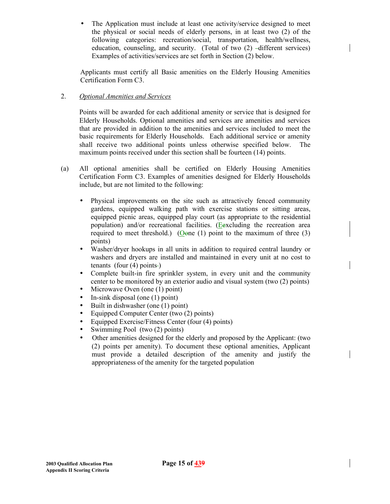• The Application must include at least one activity/service designed to meet the physical or social needs of elderly persons, in at least two (2) of the following categories: recreation/social, transportation, health/wellness, education, counseling, and security. (Total of two  $(2)$  -different services) Examples of activities/services are set forth in Section (2) below.

Applicants must certify all Basic amenities on the Elderly Housing Amenities Certification Form C3.

# 2. *Optional Amenities and Services*

Points will be awarded for each additional amenity or service that is designed for Elderly Households. Optional amenities and services are amenities and services that are provided in addition to the amenities and services included to meet the basic requirements for Elderly Households. Each additional service or amenity shall receive two additional points unless otherwise specified below. The maximum points received under this section shall be fourteen (14) points.

- (a) All optional amenities shall be certified on Elderly Housing Amenities Certification Form C3. Examples of amenities designed for Elderly Households include, but are not limited to the following:
	- Physical improvements on the site such as attractively fenced community gardens, equipped walking path with exercise stations or sitting areas, equipped picnic areas, equipped play court (as appropriate to the residential population) and/or recreational facilities. (Eexcluding the recreation area required to meet threshold.) (Oone  $(1)$  point to the maximum of three  $(3)$ ) points)
	- Washer/dryer hookups in all units in addition to required central laundry or washers and dryers are installed and maintained in every unit at no cost to tenants (four  $(4)$  points)
	- Complete built-in fire sprinkler system, in every unit and the community center to be monitored by an exterior audio and visual system (two (2) points)
	- Microwave Oven (one (1) point)
	- In-sink disposal (one (1) point)
	- Built in dishwasher (one (1) point)
	- Equipped Computer Center (two (2) points)
	- Equipped Exercise/Fitness Center (four (4) points)
	- Swimming Pool (two (2) points)
	- Other amenities designed for the elderly and proposed by the Applicant: (two (2) points per amenity). To document these optional amenities, Applicant must provide a detailed description of the amenity and justify the appropriateness of the amenity for the targeted population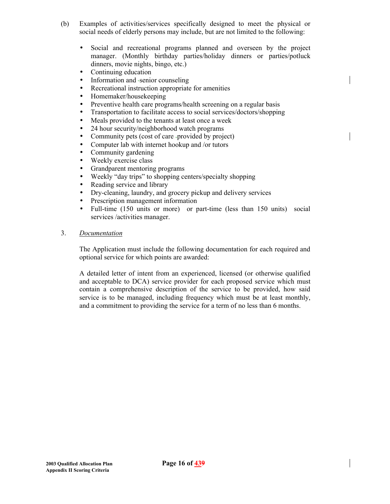- (b) Examples of activities/services specifically designed to meet the physical or social needs of elderly persons may include, but are not limited to the following:
	- Social and recreational programs planned and overseen by the project manager. (Monthly birthday parties/holiday dinners or parties/potluck dinners, movie nights, bingo, etc.)
	- Continuing education
	- Information and -senior counseling
	- Recreational instruction appropriate for amenities
	- Homemaker/housekeeping
	- Preventive health care programs/health screening on a regular basis
	- Transportation to facilitate access to social services/doctors/shopping
	- Meals provided to the tenants at least once a week
	- 24 hour security/neighborhood watch programs
	- Community pets (cost of care -provided by project)
	- Computer lab with internet hookup and /or tutors
	- Community gardening
	- Weekly exercise class
	- Grandparent mentoring programs
	- Weekly "day trips" to shopping centers/specialty shopping
	- Reading service and library
	- Dry-cleaning, laundry, and grocery pickup and delivery services
	- Prescription management information
	- Full-time (150 units or more) or part-time (less than 150 units) social services /activities manager.
- 3. *Documentation*

The Application must include the following documentation for each required and optional service for which points are awarded:

A detailed letter of intent from an experienced, licensed (or otherwise qualified and acceptable to DCA) service provider for each proposed service which must contain a comprehensive description of the service to be provided, how said service is to be managed, including frequency which must be at least monthly, and a commitment to providing the service for a term of no less than 6 months.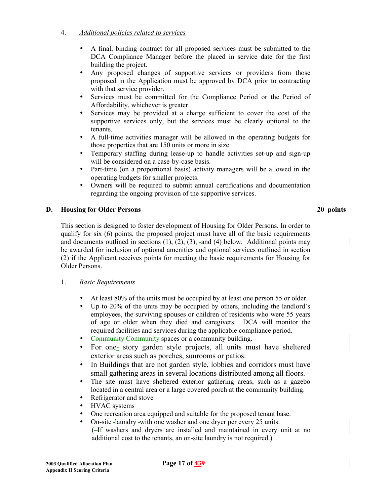- 4. *Additional policies related to services*
	- A final, binding contract for all proposed services must be submitted to the DCA Compliance Manager before the placed in service date for the first building the project.
	- Any proposed changes of supportive services or providers from those proposed in the Application must be approved by DCA prior to contracting with that service provider.
	- Services must be committed for the Compliance Period or the Period of Affordability, whichever is greater.
	- Services may be provided at a charge sufficient to cover the cost of the supportive services only, but the services must be clearly optional to the tenants.
	- A full-time activities manager will be allowed in the operating budgets for those properties that are 150 units or more in size
	- Temporary staffing during lease-up to handle activities set-up and sign-up will be considered on a case-by-case basis.
	- Part-time (on a proportional basis) activity managers will be allowed in the operating budgets for smaller projects.
	- Owners will be required to submit annual certifications and documentation regarding the ongoing provision of the supportive services.

# **D. Housing for Older Persons 20 points**

This section is designed to foster development of Housing for Older Persons. In order to qualify for six (6) points, the proposed project must have all of the basic requirements and documents outlined in sections  $(1)$ ,  $(2)$ ,  $(3)$ , -and  $(4)$  below. Additional points may be awarded for inclusion of optional amenities and optional services outlined in section (2) if the Applicant receives points for meeting the basic requirements for Housing for Older Persons.

# 1. *Basic Requirements*

- At least 80% of the units must be occupied by at least one person 55 or older.
- Up to 20% of the units may be occupied by others, including the landlord's employees, the surviving spouses or children of residents who were 55 years of age or older when they died and caregivers. DCA will monitor the required facilities and services during the applicable compliance period.
- Community Community spaces or a community building.
- For one-story garden style projects, all units must have sheltered exterior areas such as porches, sunrooms or patios.
- In Buildings that are not garden style, lobbies and corridors must have small gathering areas in several locations distributed among all floors.
- The site must have sheltered exterior gathering areas, such as a gazebo located in a central area or a large covered porch at the community building.
- Refrigerator and stove
- HVAC systems
- One recreation area equipped and suitable for the proposed tenant base.
- On-site laundry with one washer and one dryer per every 25 units. ( If washers and dryers are installed and maintained in every unit at no additional cost to the tenants, an on-site laundry is not required.)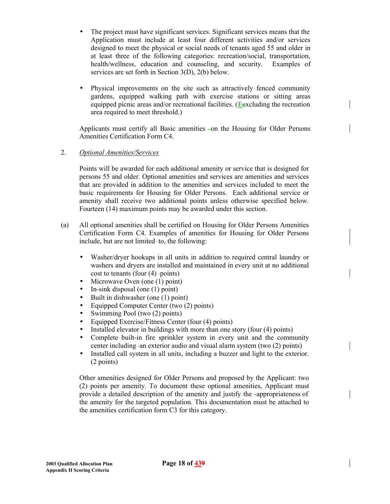- The project must have significant services. Significant services means that the Application must include at least four different activities and/or services designed to meet the physical or social needs of tenants aged 55 and older in at least three of the following categories: recreation/social, transportation, health/wellness, education and counseling, and security. Examples of services are set forth in Section 3(D), 2(b) below.
- Physical improvements on the site such as attractively fenced community gardens, equipped walking path with exercise stations or sitting areas equipped picnic areas and/or recreational facilities. (Eexcluding the recreation area required to meet threshold.)

Applicants must certify all Basic amenities -on the Housing for Older Persons Amenities Certification Form C4.

# 2. *Optional Amenities/Services*

Points will be awarded for each additional amenity or service that is designed for persons 55 and older. Optional amenities and services are amenities and services that are provided in addition to the amenities and services included to meet the basic requirements for Housing for Older Persons. Each additional service or amenity shall receive two additional points unless otherwise specified below. Fourteen (14) maximum points may be awarded under this section.

- (a) All optional amenities shall be certified on Housing for Older Persons Amenities Certification Form C4. Examples of amenities for Housing for Older Persons include, but are not limited -to, the following:
	- Washer/dryer hookups in all units in addition to required central laundry or washers and dryers are installed and maintained in every unit at no additional cost to tenants (four  $(4)$ -points)
	- Microwave Oven (one (1) point)
	- In-sink disposal (one  $(1)$  point)
	- Built in dishwasher (one (1) point)
	- Equipped Computer Center (two (2) points)
	- Swimming Pool (two (2) points)
	- Equipped Exercise/Fitness Center (four (4) points)
	- Installed elevator in buildings with more than one story (four (4) points)
	- Complete built-in fire sprinkler system in every unit and the community center including -an exterior audio and visual alarm system (two (2) points)
	- Installed call system in all units, including a buzzer and light to the exterior. (2 points)

Other amenities designed for Older Persons and proposed by the Applicant: two (2) points per amenity. To document these optional amenities, Applicant must provide a detailed description of the amenity and justify the -appropriateness of the amenity for the targeted population. This documentation must be attached to the amenities certification form C3 for this category.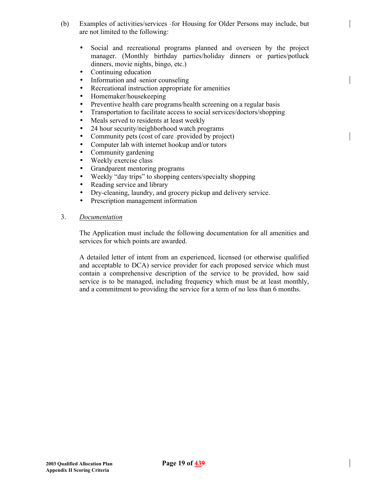- (b) Examples of activities/services -for Housing for Older Persons may include, but are not limited to the following:
	- Social and recreational programs planned and overseen by the project manager. (Monthly birthday parties/holiday dinners or parties/potluck dinners, movie nights, bingo, etc.)
	- Continuing education
	- Information and -senior counseling
	- Recreational instruction appropriate for amenities
	- Homemaker/housekeeping
	- Preventive health care programs/health screening on a regular basis
	- Transportation to facilitate access to social services/doctors/shopping
	- Meals served to residents at least weekly
	- 24 hour security/neighborhood watch programs
	- Community pets (cost of care -provided by project)
	- Computer lab with internet hookup and/or tutors
	- Community gardening
	- Weekly exercise class
	- Grandparent mentoring programs
	- Weekly "day trips" to shopping centers/specialty shopping
	- Reading service and library
	- Dry-cleaning, laundry, and grocery pickup and delivery service.
	- Prescription management information
- 3. *Documentation*

The Application must include the following documentation for all amenities and services for which points are awarded.

A detailed letter of intent from an experienced, licensed (or otherwise qualified and acceptable to DCA) service provider for each proposed service which must contain a comprehensive description of the service to be provided, how said service is to be managed, including frequency which must be at least monthly, and a commitment to providing the service for a term of no less than 6 months.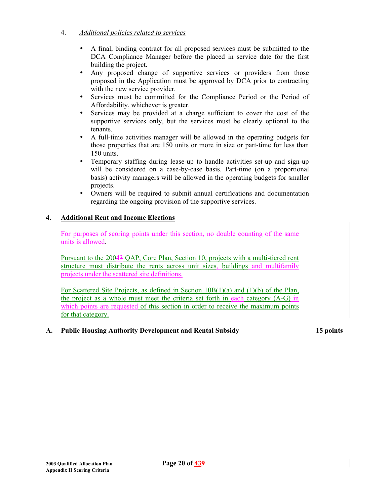- 4. *Additional policies related to services*
	- A final, binding contract for all proposed services must be submitted to the DCA Compliance Manager before the placed in service date for the first building the project.
	- Any proposed change of supportive services or providers from those proposed in the Application must be approved by DCA prior to contracting with the new service provider.
	- Services must be committed for the Compliance Period or the Period of Affordability, whichever is greater.
	- Services may be provided at a charge sufficient to cover the cost of the supportive services only, but the services must be clearly optional to the tenants.
	- A full-time activities manager will be allowed in the operating budgets for those properties that are 150 units or more in size or part-time for less than 150 units.
	- Temporary staffing during lease-up to handle activities set-up and sign-up will be considered on a case-by-case basis. Part-time (on a proportional basis) activity managers will be allowed in the operating budgets for smaller projects.
	- Owners will be required to submit annual certifications and documentation regarding the ongoing provision of the supportive services.

# **4. Additional Rent and Income Elections**

For purposes of scoring points under this section, no double counting of the same units is allowed.

Pursuant to the 20043 QAP, Core Plan, Section 10, projects with a multi-tiered rent structure must distribute the rents across unit sizes, buildings and multifamily projects under the scattered site definitions.

For Scattered Site Projects, as defined in Section 10B(1)(a) and (1)(b) of the Plan, the project as a whole must meet the criteria set forth in each category (A-G) in which points are requested of this section in order to receive the maximum points for that category.

# **A. Public Housing Authority Development and Rental Subsidy 15 points**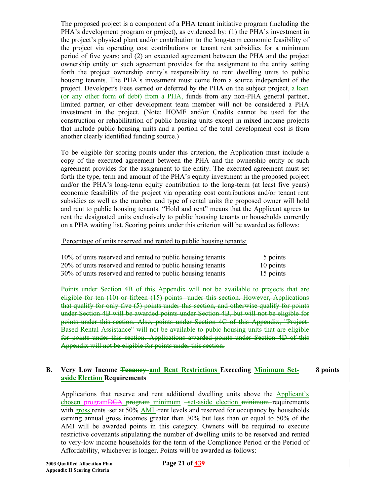The proposed project is a component of a PHA tenant initiative program (including the PHA's development program or project), as evidenced by: (1) the PHA's investment in the project's physical plant and/or contribution to the long-term economic feasibility of the project via operating cost contributions or tenant rent subsidies for a minimum period of five years; and (2) an executed agreement between the PHA and the project ownership entity or such agreement provides for the assignment to the entity setting forth the project ownership entity's responsibility to rent dwelling units to public housing tenants. The PHA's investment must come from a source independent of the project. Developer's Fees earned or deferred by the PHA on the subject project, a loan (or any other form of debt) from a PHA, funds from any non-PHA general partner, limited partner, or other development team member will not be considered a PHA investment in the project. (Note: HOME and/or Credits cannot be used for the construction or rehabilitation of public housing units except in mixed income projects that include public housing units and a portion of the total development cost is from another clearly identified funding source.)

To be eligible for scoring points under this criterion, the Application must include a copy of the executed agreement between the PHA and the ownership entity or such agreement provides for the assignment to the entity. The executed agreement must set forth the type, term and amount of the PHA's equity investment in the proposed project and/or the PHA's long-term equity contribution to the long-term (at least five years) economic feasibility of the project via operating cost contributions and/or tenant rent subsidies as well as the number and type of rental units the proposed owner will hold and rent to public housing tenants. "Hold and rent" means that the Applicant agrees to rent the designated units exclusively to public housing tenants or households currently on a PHA waiting list. Scoring points under this criterion will be awarded as follows:

Percentage of units reserved and rented to public housing tenants:

| 10% of units reserved and rented to public housing tenants | 5 points  |
|------------------------------------------------------------|-----------|
| 20% of units reserved and rented to public housing tenants | 10 points |
| 30% of units reserved and rented to public housing tenants | 15 points |

Points under Section 4B of this Appendix will not be available to projects that are eligible for ten (10) or fifteen (15) points under this section. However, Applications that qualify for only five (5) points under this section, and otherwise qualify for points under Section 4B will be awarded points under Section 4B, but will not be eligible for points under this section. Also, points under Section 4C of this Appendix, "Project-Based Rental Assistance" will not be available to pubic housing units that are eligible for points under this section. Applications awarded points under Section 4D of this Appendix will not be eligible for points under this section.

#### **B.** Very Low Income Tenancy and Rent Restrictions Exceeding Minimum Set**aside Election Requirements 8 points**

Applications that reserve and rent additional dwelling units above the Applicant's chosen program<del>DCA program</del> minimum -set-aside election minimum requirements with gross rents -set at 50% AMI -rent levels and reserved for occupancy by households earning annual gross incomes greater than 30% but less than or equal to 50% of the AMI will be awarded points in this category. Owners will be required to execute restrictive covenants stipulating the number of dwelling units to be reserved and rented to very-low income households for the term of the Compliance Period or the Period of Affordability, whichever is longer. Points will be awarded as follows: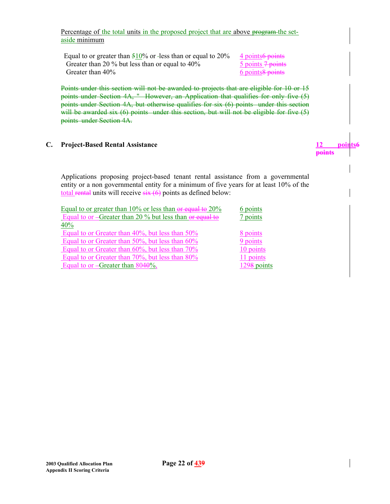Percentage of the total units in the proposed project that are above program the setaside minimum

Equal to or greater than  $\frac{510}{%}$  or -less than or equal to 20%  $\frac{4 \text{ points}6 \text{ points}}{4 \text{ points}}$ Greater than 20 % but less than or equal to  $40\%$  5 points  $\frac{7 \text{ points}}{2}$ Greater than 40% 6 points are set of the set of the set of the set of the set of the set of the set of the set of the set of the set of the set of the set of the set of the set of the set of the set of the set of the set o

Points under this section will not be awarded to projects that are eligible for 10 or 15 points under Section 4A, " However, an Application that qualifies for only five (5) points under Section 4A, but otherwise qualifies for six (6) points under this section will be awarded six  $(6)$  points under this section, but will not be eligible for five  $(5)$ points under Section 4A.

#### **C.** Project-Based Rental Assistance

**points**

Applications proposing project-based tenant rental assistance from a governmental entity or a non governmental entity for a minimum of five years for at least 10% of the total rental units will receive  $six(\theta)$  points as defined below:

| Equal to or greater than $10\%$ or less than $\theta$ <b>r</b> equal to $20\%$ | 6 points    |
|--------------------------------------------------------------------------------|-------------|
| Equal to or $-$ Greater than 20 % but less than $\Theta$ equal to              | 7 points    |
| 40%                                                                            |             |
| Equal to or Greater than $40\%$ , but less than $50\%$                         | 8 points    |
| Equal to or Greater than 50%, but less than 60%                                | 9 points    |
| Equal to or Greater than 60%, but less than 70%                                | 10 points   |
| Equal to or Greater than 70%, but less than 80%                                | 11 points   |
| Equal to or –Greater than $8040\%$ ,                                           | 1298 points |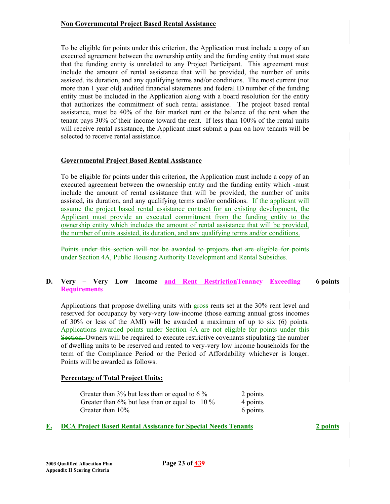### **Non Governmental Project Based Rental Assistance**

To be eligible for points under this criterion, the Application must include a copy of an executed agreement between the ownership entity and the funding entity that must state that the funding entity is unrelated to any Project Participant. This agreement must include the amount of rental assistance that will be provided, the number of units assisted, its duration, and any qualifying terms and/or conditions. The most current (not more than 1 year old) audited financial statements and federal ID number of the funding entity must be included in the Application along with a board resolution for the entity that authorizes the commitment of such rental assistance. The project based rental assistance, must be 40% of the fair market rent or the balance of the rent when the tenant pays 30% of their income toward the rent. If less than 100% of the rental units will receive rental assistance, the Applicant must submit a plan on how tenants will be selected to receive rental assistance.

#### **Governmental Project Based Rental Assistance**

To be eligible for points under this criterion, the Application must include a copy of an executed agreement between the ownership entity and the funding entity which -must include the amount of rental assistance that will be provided, the number of units assisted, its duration, and any qualifying terms and/or conditions. If the applicant will assume the project based rental assistance contract for an existing development, the Applicant must provide an executed commitment from the funding entity to the ownership entity which includes the amount of rental assistance that will be provided, the number of units assisted, its duration, and any qualifying terms and/or conditions.

Points under this section will not be awarded to projects that are eligible for points under Section 4A, Public Housing Authority Development and Rental Subsidies.

#### **D.** Very – Very Low Income and Rent Restriction Tenancy Exceeding **Requirements 6 points**

Applications that propose dwelling units with gross rents set at the 30% rent level and reserved for occupancy by very-very low-income (those earning annual gross incomes of 30% or less of the AMI) will be awarded a maximum of up to six (6) points. Applications awarded points under Section 4A are not eligible for points under this Section. Owners will be required to execute restrictive covenants stipulating the number of dwelling units to be reserved and rented to very-very low income households for the term of the Compliance Period or the Period of Affordability whichever is longer. Points will be awarded as follows.

# **Percentage of Total Project Units:**

| Greater than $3\%$ but less than or equal to 6 $\%$  | 2 points |
|------------------------------------------------------|----------|
| Greater than $6\%$ but less than or equal to 10 $\%$ | 4 points |
| Greater than 10%                                     | 6 points |

#### **E. DCA Project Based Rental Assistance for Special Needs Tenants 2 points**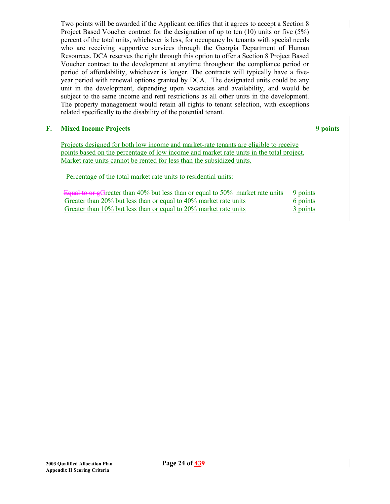Two points will be awarded if the Applicant certifies that it agrees to accept a Section 8 Project Based Voucher contract for the designation of up to ten (10) units or five (5%) percent of the total units, whichever is less, for occupancy by tenants with special needs who are receiving supportive services through the Georgia Department of Human Resources. DCA reserves the right through this option to offer a Section 8 Project Based Voucher contract to the development at anytime throughout the compliance period or period of affordability, whichever is longer. The contracts will typically have a fiveyear period with renewal options granted by DCA. The designated units could be any unit in the development, depending upon vacancies and availability, and would be subject to the same income and rent restrictions as all other units in the development. The property management would retain all rights to tenant selection, with exceptions related specifically to the disability of the potential tenant.

# **F. Mixed Income Projects 9 points**

Projects designed for both low income and market-rate tenants are eligible to receive points based on the percentage of low income and market rate units in the total project. Market rate units cannot be rented for less than the subsidized units.

Percentage of the total market rate units to residential units:

| Equal to or gG reater than 40% but less than or equal to 50% market rate units | 9 points |
|--------------------------------------------------------------------------------|----------|
| Greater than 20% but less than or equal to 40% market rate units               | 6 points |
| Greater than 10% but less than or equal to 20% market rate units               | 3 points |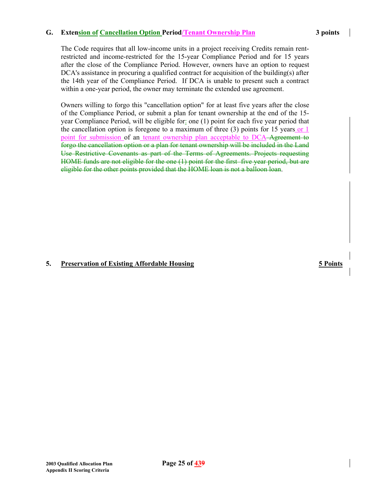#### **G. Extension of Cancellation Option Period/Tenant Ownership Plan 3 points**

The Code requires that all low-income units in a project receiving Credits remain rentrestricted and income-restricted for the 15-year Compliance Period and for 15 years after the close of the Compliance Period. However, owners have an option to request DCA's assistance in procuring a qualified contract for acquisition of the building(s) after the 14th year of the Compliance Period. If DCA is unable to present such a contract within a one-year period, the owner may terminate the extended use agreement.

Owners willing to forgo this "cancellation option" for at least five years after the close of the Compliance Period, or submit a plan for tenant ownership at the end of the 15 year Compliance Period, will be eligible for: one (1) point for each five year period that the cancellation option is foregone to a maximum of three  $(3)$  points for 15 years or 1 point for submission of an tenant ownership plan acceptable to DCA Agreement to forgo the cancellation option or a plan for tenant ownership will be included in the Land Use Restrictive Covenants as part of the Terms of Agreements. Projects requesting HOME funds are not eligible for the one (1) point for the first five year period, but are eligible for the other points provided that the HOME loan is not a balloon loan.

# **5. Preservation of Existing Affordable Housing 5 Points**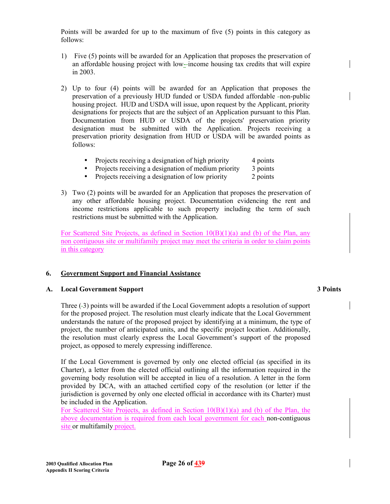Points will be awarded for up to the maximum of five (5) points in this category as follows:

- 1) Five (5) points will be awarded for an Application that proposes the preservation of an affordable housing project with low- income housing tax credits that will expire in 2003.
- 2) Up to four (4) points will be awarded for an Application that proposes the preservation of a previously HUD funded or USDA funded affordable -non-public housing project. HUD and USDA will issue, upon request by the Applicant, priority designations for projects that are the subject of an Application pursuant to this Plan. Documentation from HUD or USDA of the projects' preservation priority designation must be submitted with the Application. Projects receiving a preservation priority designation from HUD or USDA will be awarded points as follows:
	- Projects receiving a designation of high priority 4 points
	- Projects receiving a designation of medium priority 3 points
	- Projects receiving a designation of low priority 2 points
- 3) Two (2) points will be awarded for an Application that proposes the preservation of any other affordable housing project. Documentation evidencing the rent and income restrictions applicable to such property including the term of such restrictions must be submitted with the Application.

For Scattered Site Projects, as defined in Section  $10(B)(1)(a)$  and (b) of the Plan, any non contiguous site or multifamily project may meet the criteria in order to claim points in this category

# **6. Government Support and Financial Assistance**

#### **A. Local Government Support 3 Points**

Three (-3) points will be awarded if the Local Government adopts a resolution of support for the proposed project. The resolution must clearly indicate that the Local Government understands the nature of the proposed project by identifying at a minimum, the type of project, the number of anticipated units, and the specific project location. Additionally, the resolution must clearly express the Local Government's support of the proposed project, as opposed to merely expressing indifference.

If the Local Government is governed by only one elected official (as specified in its Charter), a letter from the elected official outlining all the information required in the governing body resolution will be accepted in lieu of a resolution. A letter in the form provided by DCA, with an attached certified copy of the resolution (or letter if the jurisdiction is governed by only one elected official in accordance with its Charter) must be included in the Application.

For Scattered Site Projects, as defined in Section  $10(B)(1)(a)$  and (b) of the Plan, the above documentation is required from each local government for each non-contiguous site or multifamily project.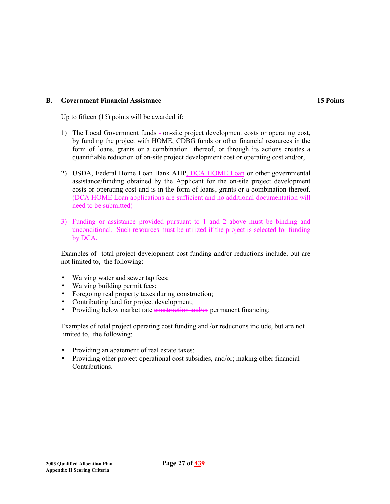#### **B. Government Financial Assistance 15 Points**

Up to fifteen (15) points will be awarded if:

- 1) The Local Government funds on-site project development costs or operating cost, by funding the project with HOME, CDBG funds or other financial resources in the form of loans, grants or a combination thereof, or through its actions creates a quantifiable reduction of on-site project development cost or operating cost and/or,
- 2) USDA, Federal Home Loan Bank AHP, DCA HOME Loan or other governmental assistance/funding obtained by the Applicant for the on-site project development costs or operating cost and is in the form of loans, grants or a combination thereof. (DCA HOME Loan applications are sufficient and no additional documentation will need to be submitted)
- 3) Funding or assistance provided pursuant to 1 and 2 above must be binding and unconditional. Such resources must be utilized if the project is selected for funding by DCA.

Examples of total project development cost funding and/or reductions include, but are not limited to, the following:

- Waiving water and sewer tap fees;
- Waiving building permit fees;
- Foregoing real property taxes during construction;
- Contributing land for project development;
- Providing below market rate construction and/or permanent financing;

Examples of total project operating cost funding and /or reductions include, but are not limited to, the following:

- Providing an abatement of real estate taxes;
- Providing other project operational cost subsidies, and/or; making other financial Contributions.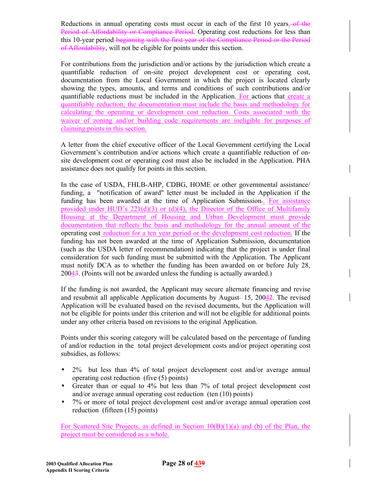Reductions in annual operating costs must occur in each of the first 10 years. Period of Affordability or Compliance Period. Operating cost reductions for less than this 10-year period beginning with the first year of the Compliance Period or the Period of Affordability, will not be eligible for points under this section.

For contributions from the jurisdiction and/or actions by the jurisdiction which create a quantifiable reduction of on-site project development cost or operating cost, documentation from the Local Government in which the project is located clearly showing the types, amounts, and terms and conditions of such contributions and/or quantifiable reductions must be included in the Application. For actions that create a quantifiable reduction, the documentation must include the basis and methodology for calculating the operating or development cost reduction. Costs associated with the waiver of zoning and/or building code requirements are ineligible for purposes of claiming points in this section.

A letter from the chief executive officer of the Local Government certifying the Local Government's contribution and/or actions which create a quantifiable reduction of onsite development cost or operating cost must also be included in the Application. PHA assistance does not qualify for points in this section.

In the case of USDA, FHLB-AHP, CDBG, HOME or other governmental assistance/ funding, a "notification of award" letter must be included in the Application if the funding has been awarded at the time of Application Submission. For assistance provided under HUD's  $221(d)(3)$  or  $(d)(4)$ , the Director of the Office of Multifamily Housing at the Department of Housing and Urban Development must provide documentation that reflects the basis and methodology for the annual amount of the operating cost reduction for a ten year period or the development cost reduction. If the funding has not been awarded at the time of Application Submission, documentation (such as the USDA letter of recommendation) indicating that the project is under final consideration for such funding must be submitted with the Application. The Applicant must notify DCA as to whether the funding has been awarded on or before July 28, 20043. (Points will not be awarded unless the funding is actually awarded.)

If the funding is not awarded, the Applicant may secure alternate financing and revise and resubmit all applicable Application documents by August $-15$ , 2004 $\overline{42}$ . The revised Application will be evaluated based on the revised documents, but the Application will not be eligible for points under this criterion and will not be eligible for additional points under any other criteria based on revisions to the original Application.

Points under this scoring category will be calculated based on the percentage of funding of and/or reduction in the total project development costs and/or project operating cost subsidies, as follows:

- 2% but less than 4% of total project development cost and/or average annual operating cost reduction (five (5) points)
- Greater than or equal to 4% but less than 7% of total project development cost and/or average annual operating cost reduction (ten (10) points)
- 7% or more of total project development cost and/or average annual operation cost reduction (fifteen (15) points)

For Scattered Site Projects, as defined in Section 10(B)(1)(a) and (b) of the Plan, the project must be considered as a whole.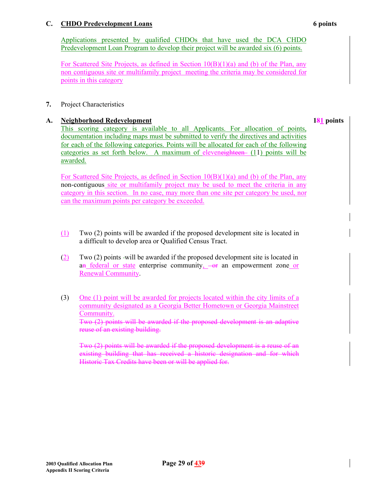# **C. CHDO Predevelopment Loans 6 points**

Applications presented by qualified CHDOs that have used the DCA CHDO Predevelopment Loan Program to develop their project will be awarded six (6) points.

For Scattered Site Projects, as defined in Section  $10(B)(1)(a)$  and (b) of the Plan, any non contiguous site or multifamily project meeting the criteria may be considered for points in this category

**7.** Project Characteristics

# **A. Neighborhood Redevelopment 181 points**

This scoring category is available to all Applicants. For allocation of points, documentation including maps must be submitted to verify the directives and activities for each of the following categories. Points will be allocated for each of the following categories as set forth below. A maximum of eleveneighteen (11) points will be awarded.

For Scattered Site Projects, as defined in Section  $10(B)(1)(a)$  and (b) of the Plan, any non-contiguous site or multifamily project may be used to meet the criteria in any category in this section. In no case, may more than one site per category be used, nor can the maximum points per category be exceeded.

- (1) Two (2) points will be awarded if the proposed development site is located in a difficult to develop area or Qualified Census Tract.
- $(2)$  Two (2) points -will be awarded if the proposed development site is located in an federal or state enterprise community, or an empowerment zone or Renewal Community.
- (3) One (1) point will be awarded for projects located within the city limits of a community designated as a Georgia Better Hometown or Georgia Mainstreet Community. Two (2) points will be awarded if the proposed development is an adaptive reuse of an existing building.

Two (2) points will be awarded if the proposed development is a reuse of an existing building that has received a historic designation and for which Historic Tax Credits have been or will be applied for.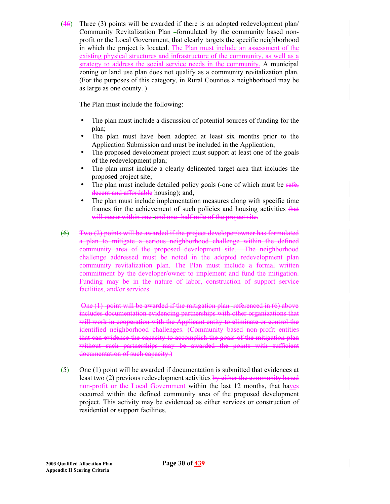$(46)$  Three (3) points will be awarded if there is an adopted redevelopment plan/ Community Revitalization Plan -formulated by the community based nonprofit or the Local Government, that clearly targets the specific neighborhood in which the project is located. The Plan must include an assessment of the existing physical structures and infrastructure of the community, as well as a strategy to address the social service needs in the community. A municipal zoning or land use plan does not qualify as a community revitalization plan. (For the purposes of this category, in Rural Counties a neighborhood may be as large as one county. )

The Plan must include the following:

- The plan must include a discussion of potential sources of funding for the plan;
- The plan must have been adopted at least six months prior to the Application Submission and must be included in the Application;
- The proposed development project must support at least one of the goals of the redevelopment plan;
- The plan must include a clearly delineated target area that includes the proposed project site;
- The plan must include detailed policy goals (-one of which must be safe, decent and affordable housing); and,
- The plan must include implementation measures along with specific time frames for the achievement of such policies and housing activities that will occur within one- and one-half mile of the project site.
- (6) Two (2) points will be awarded if the project developer/owner has formulated a plan to mitigate a serious neighborhood challenge within the defined community area of the proposed development site. The neighborhood challenge addressed must be noted in the adopted redevelopment plan community revitalization plan. The Plan must include a formal written commitment by the developer/owner to implement and fund the mitigation. Funding may be in the nature of labor, construction of support service facilities, and/or services.

One (1) point will be awarded if the mitigation plan referenced in (6) above includes documentation evidencing partnerships with other organizations that will work in cooperation with the Applicant entity to eliminate or control the identified neighborhood challenges. (Community based non-profit entities that can evidence the capacity to accomplish the goals of the mitigation plan without such partnerships may be awarded the points with sufficient documentation of such capacity.)

 $(5)$  One (1) point will be awarded if documentation is submitted that evidences at least two (2) previous redevelopment activities by either the community based non-profit or the Local Government-within the last 12 months, that haves occurred within the defined community area of the proposed development project. This activity may be evidenced as either services or construction of residential or support facilities.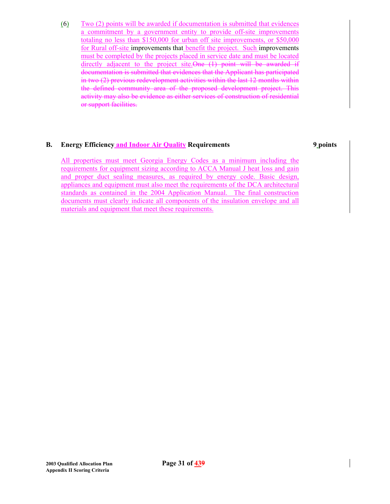(6) Two (2) points will be awarded if documentation is submitted that evidences a commitment by a government entity to provide off-site improvements totaling no less than \$150,000 for urban off site improvements, or \$50,000 for Rural off-site improvements that benefit the project. Such improvements must be completed by the projects placed in service date and must be located directly adjacent to the project site.One (1) point will be awarded if documentation is submitted that evidences that the Applicant has participated in two (2) previous redevelopment activities within the last 12 months within the defined community area of the proposed development project. This activity may also be evidence as either services of construction of residential or support facilities.

# **B. Energy Efficiency and Indoor Air Quality Requirements**

#### **9 points**

All properties must meet Georgia Energy Codes as a minimum including the requirements for equipment sizing according to ACCA Manual J heat loss and gain and proper duct sealing measures, as required by energy code. Basic design, appliances and equipment must also meet the requirements of the DCA architectural standards as contained in the 2004 Application Manual. The final construction documents must clearly indicate all components of the insulation envelope and all materials and equipment that meet these requirements.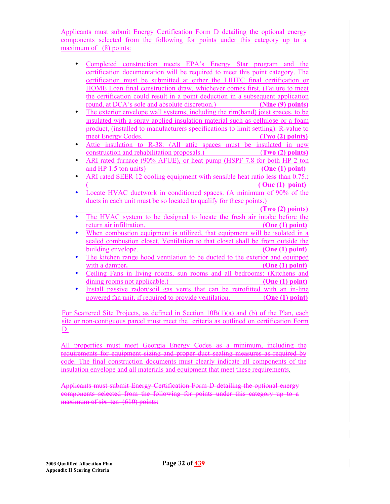Applicants must submit Energy Certification Form D detailing the optional energy components selected from the following for points under this category up to a maximum of (8) points:

- Completed construction meets EPA's Energy Star program and the certification documentation will be required to meet this point category. The certification must be submitted at either the LIHTC final certification or HOME Loan final construction draw, whichever comes first. (Failure to meet the certification could result in a point deduction in a subsequent application round, at DCA's sole and absolute discretion.) **(Nine (9) points)**
- The exterior envelope wall systems, including the rim(band) joist spaces, to be insulated with a spray applied insulation material such as cellulose or a foam product, (installed to manufacturers specifications to limit settling). R-value to meet Energy Codes. **(Two (2) points)**
- Attic insulation to R-38: (All attic spaces must be insulated in new construction and rehabilitation proposals.) (**Two (2) points)**
- ARI rated furnace (90% AFUE), or heat pump (HSPF 7.8 for both HP 2 ton and HP 1.5 ton units) **(One (1) point)**
- ARI rated SEER 12 cooling equipment with sensible heat ratio less than 0.75.: ( **( One (1) point)**
- Locate HVAC ductwork in conditioned spaces. (A minimum of 90% of the ducts in each unit must be so located to qualify for these points.)

**(Two (2) points)**

- The HVAC system to be designed to locate the fresh air intake before the return air infiltration. **(One (1) point)**
- When combustion equipment is utilized, that equipment will be isolated in a sealed combustion closet. Ventilation to that closet shall be from outside the building envelope. **(One (1) point)**
- The kitchen range hood ventilation to be ducted to the exterior and equipped with a damper. **(One (1) point) (One (1) point**)
- Ceiling Fans in living rooms, sun rooms and all bedrooms: (Kitchens and dining rooms not applicable.) **(One (1) point)**
- Install passive radon/soil gas vents that can be retrofitted with an in-line powered fan unit, if required to provide ventilation. (**One (1) point)**

For Scattered Site Projects, as defined in Section 10B(1)(a) and (b) of the Plan, each site or non-contiguous parcel must meet the criteria as outlined on certification Form D.

All properties must meet Georgia Energy Codes as a minimum, including the requirements for equipment sizing and proper duct sealing measures as required by code. The final construction documents must clearly indicate all components of the insulation envelope and all materials and equipment that meet these requirements.

Applicants must submit Energy Certification Form D detailing the optional energy components selected from the following for points under this category up to a maximum of six ten (610) points: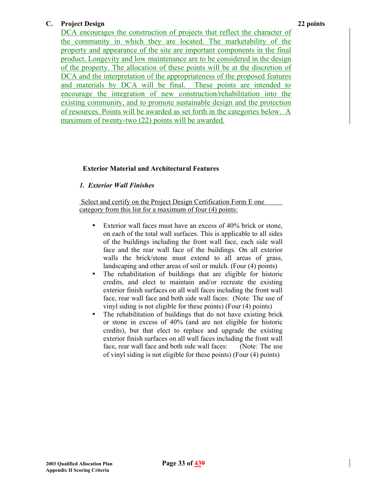# **C. Project Design 22 points**

DCA encourages the construction of projects that reflect the character of the community in which they are located. The marketability of the property and appearance of the site are important components in the final product. Longevity and low maintenance are to be considered in the design of the property. The allocation of these points will be at the discretion of DCA and the interpretation of the appropriateness of the proposed features and materials by DCA will be final. These points are intended to encourage the integration of new construction/rehabilitation into the existing community, and to promote sustainable design and the protection of resources. Points will be awarded as set forth in the categories below. A maximum of twenty-two (22) points will be awarded.

# **Exterior Material and Architectural Features**

# *1. Exterior Wall Finishes*

 Select and certify on the Project Design Certification Form E one category from this list for a maximum of four (4) points:

- Exterior wall faces must have an excess of 40% brick or stone, on each of the total wall surfaces. This is applicable to all sides of the buildings including the front wall face, each side wall face and the rear wall face of the buildings. On all exterior walls the brick/stone must extend to all areas of grass, landscaping and other areas of soil or mulch. (Four (4) points)
- The rehabilitation of buildings that are eligible for historic credits, and elect to maintain and/or recreate the existing exterior finish surfaces on all wall faces including the front wall face, rear wall face and both side wall faces: (Note: The use of vinyl siding is not eligible for these points) (Four (4) points)
- The rehabilitation of buildings that do not have existing brick or stone in excess of 40% (and are not eligible for historic credits), but that elect to replace and upgrade the existing exterior finish surfaces on all wall faces including the front wall face, rear wall face and both side wall faces: (Note: The use of vinyl siding is not eligible for these points) (Four (4) points)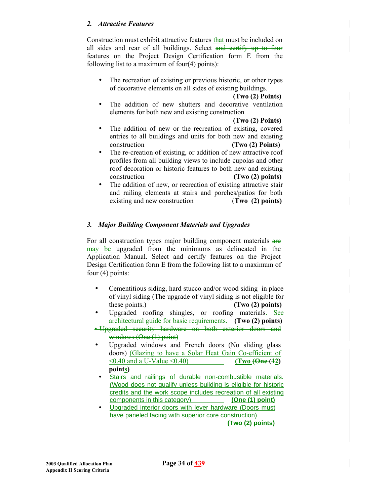# *2. Attractive Features*

Construction must exhibit attractive features that must be included on all sides and rear of all buildings. Select and certify up to four features on the Project Design Certification form E from the following list to a maximum of four $(4)$  points):

The recreation of existing or previous historic, or other types of decorative elements on all sides of existing buildings.

#### **(Two (2) Points)**

The addition of new shutters and decorative ventilation elements for both new and existing construction

#### **(Two (2) Points)**

- The addition of new or the recreation of existing, covered entries to all buildings and units for both new and existing construction **(Two (2) Points)**
- The re-creation of existing, or addition of new attractive roof profiles from all building views to include cupolas and other roof decoration or historic features to both new and existing construction **(Two (2) points)**
- The addition of new, or recreation of existing attractive stair and railing elements at stairs and porches/patios for both existing and new construction (**Two (2) points)**

#### *3. Major Building Component Materials and Upgrades*

For all construction types major building component materials are may be upgraded from the minimums as delineated in the Application Manual. Select and certify features on the Project Design Certification form E from the following list to a maximum of four (4) points:

- Cementitious siding, hard stucco and/or wood siding- in place of vinyl siding (The upgrade of vinyl siding is not eligible for these points.) **(Two (2) points)**
- Upgraded roofing shingles, or roofing materials. See architectural guide for basic requirements. **(Two (2) points)**
- Upgraded security hardware on both exterior doors and windows (One (1) point)
- Upgraded windows and French doors (No sliding glass doors) (Glazing to have a Solar Heat Gain Co-efficient of <0.40 and a U-Value <0.40) **(Two (One (12) points)**
- Stairs and railings of durable non-combustible materials. (Wood does not qualify unless building is eligible for historic credits and the work scope includes recreation of all existing<br>components in this category) (One (1) point) components in this category)
- Upgraded interior doors with lever hardware (Doors must have paneled facing with superior core construction)

 **(Two (2) points)**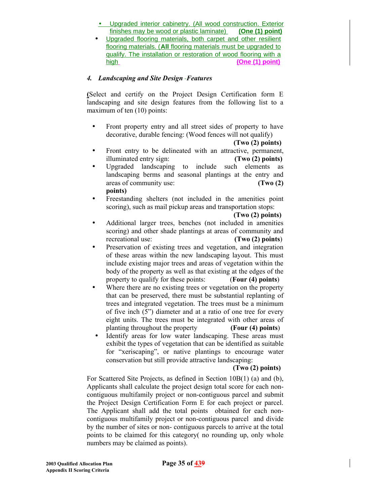- Upgraded interior cabinetry. (All wood construction. Exterior<br>finishes may be wood or plastic laminate) (One (1) point) finishes may be wood or plastic laminate)
- Upgraded flooring materials, both carpet and other resilient flooring materials. (**All** flooring materials must be upgraded to qualify. The installation or restoration of wood flooring with a high **(One (1) point)**

### *4. Landscaping and Site Design Features*

**(**Select and certify on the Project Design Certification form E landscaping and site design features from the following list to a maximum of ten (10) points:

• Front property entry and all street sides of property to have decorative, durable fencing: (Wood fences will not qualify)

**(Two (2) points)**

- Front entry to be delineated with an attractive, permanent, illuminated entry sign: **(Two (2) points)**
- Upgraded landscaping to include such elements as landscaping berms and seasonal plantings at the entry and areas of community use: **(Two (2) points)**
- Freestanding shelters (not included in the amenities point scoring), such as mail pickup areas and transportation stops:

#### **(Two (2) points)**

- Additional larger trees, benches (not included in amenities scoring) and other shade plantings at areas of community and recreational use: **(Two (2) points**)
- Preservation of existing trees and vegetation, and integration of these areas within the new landscaping layout. This must include existing major trees and areas of vegetation within the body of the property as well as that existing at the edges of the property to qualify for these points: (**Four (4) points**)
- Where there are no existing trees or vegetation on the property that can be preserved, there must be substantial replanting of trees and integrated vegetation. The trees must be a minimum of five inch (5") diameter and at a ratio of one tree for every eight units. The trees must be integrated with other areas of planting throughout the property **(Four (4) points**)
- Identify areas for low water landscaping. These areas must exhibit the types of vegetation that can be identified as suitable for "xeriscaping", or native plantings to encourage water conservation but still provide attractive landscaping:

#### **(Two (2) points)**

For Scattered Site Projects, as defined in Section 10B(1) (a) and (b), Applicants shall calculate the project design total score for each noncontiguous multifamily project or non-contiguous parcel and submit the Project Design Certification Form E for each project or parcel. The Applicant shall add the total points obtained for each noncontiguous multifamily project or non-contiguous parcel and divide by the number of sites or non- contiguous parcels to arrive at the total points to be claimed for this category( no rounding up, only whole numbers may be claimed as points).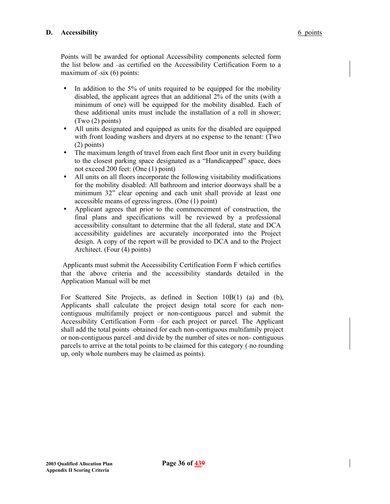Points will be awarded for optional Accessibility components selected form the list below and -as certified on the Accessibility Certification Form to a maximum of  $-six(6)$  points:

- In addition to the 5% of units required to be equipped for the mobility disabled, the applicant agrees that an additional 2% of the units (with a minimum of one) will be equipped for the mobility disabled. Each of these additional units must include the installation of a roll in shower; (Two (2) points)
- All units designated and equipped as units for the disabled are equipped with front loading washers and dryers at no expense to the tenant: (Two (2) points)
- The maximum length of travel from each first floor unit in every building to the closest parking space designated as a "Handicapped" space, does not exceed 200 feet: (One (1) point)
- All units on all floors incorporate the following visitability modifications for the mobility disabled: All bathroom and interior doorways shall be a minimum 32" clear opening and each unit shall provide at least one accessible means of egress/ingress. (One (1) point)
- Applicant agrees that prior to the commencement of construction, the final plans and specifications will be reviewed by a professional accessibility consultant to determine that the all federal, state and DCA accessibility guidelines are accurately incorporated into the Project design. A copy of the report will be provided to DCA and to the Project Architect. (Four (4) points)

 Applicants must submit the Accessibility Certification Form F which certifies that the above criteria and the accessibility standards detailed in the Application Manual will be met

For Scattered Site Projects, as defined in Section 10B(1) (a) and (b), Applicants shall calculate the project design total score for each noncontiguous multifamily project or non-contiguous parcel and submit the Accessibility Certification Form -for each project or parcel. The Applicant shall add the total points -obtained for each non-contiguous multifamily project or non-contiguous parcel and divide by the number of sites or non- contiguous parcels to arrive at the total points to be claimed for this category ( no rounding up, only whole numbers may be claimed as points).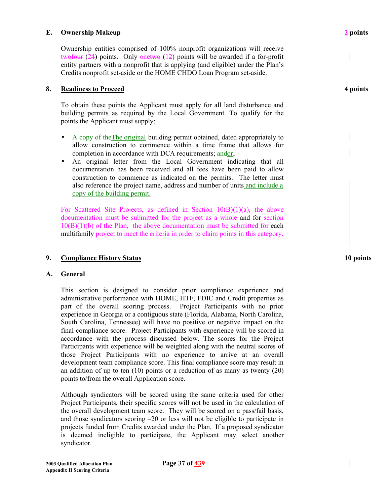#### **E. Ownership Makeup 2 points**

Ownership entities comprised of 100% nonprofit organizations will receive twofour  $(24)$  points. Only one two  $(12)$  points will be awarded if a for-profit entity partners with a nonprofit that is applying (and eligible) under the Plan's Credits nonprofit set-aside or the HOME CHDO Loan Program set-aside.

# **8. Readiness to Proceed 4 points**

To obtain these points the Applicant must apply for all land disturbance and building permits as required by the Local Government. To qualify for the points the Applicant must supply:

- A copy of theThe original building permit obtained, dated appropriately to allow construction to commence within a time frame that allows for completion in accordance with DCA requirements; andor,
- An original letter from the Local Government indicating that all documentation has been received and all fees have been paid to allow construction to commence as indicated on the permits. The letter must also reference the project name, address and number of units and include a copy of the building permit.

For Scattered Site Projects, as defined in Section  $10(B)(1)(a)$ , the above documentation must be submitted for the project as a whole and for section  $10(B)(1)(b)$  of the Plan, the above documentation must be submitted for each multifamily project to meet the criteria in order to claim points in this category.

# **9. Compliance History Status 10 points**

#### **A. General**

This section is designed to consider prior compliance experience and administrative performance with HOME, HTF, FDIC and Credit properties as part of the overall scoring process. Project Participants with no prior experience in Georgia or a contiguous state (Florida, Alabama, North Carolina, South Carolina, Tennessee) will have no positive or negative impact on the final compliance score. Project Participants with experience will be scored in accordance with the process discussed below. The scores for the Project Participants with experience will be weighted along with the neutral scores of those Project Participants with no experience to arrive at an overall development team compliance score. This final compliance score may result in an addition of up to ten (10) points or a reduction of as many as twenty (20) points to/from the overall Application score.

Although syndicators will be scored using the same criteria used for other Project Participants, their specific scores will not be used in the calculation of the overall development team score. They will be scored on a pass/fail basis, and those syndicators scoring –20 or less will not be eligible to participate in projects funded from Credits awarded under the Plan. If a proposed syndicator is deemed ineligible to participate, the Applicant may select another syndicator.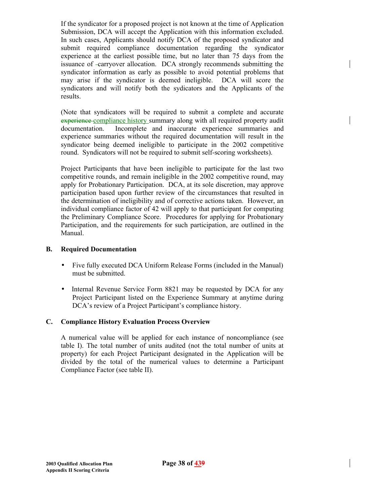If the syndicator for a proposed project is not known at the time of Application Submission, DCA will accept the Application with this information excluded. In such cases, Applicants should notify DCA of the proposed syndicator and submit required compliance documentation regarding the syndicator experience at the earliest possible time, but no later than 75 days from the issuance of -carryover allocation. DCA strongly recommends submitting the syndicator information as early as possible to avoid potential problems that may arise if the syndicator is deemed ineligible. DCA will score the syndicators and will notify both the sydicators and the Applicants of the results.

(Note that syndicators will be required to submit a complete and accurate experience compliance history summary along with all required property audit documentation. Incomplete and inaccurate experience summaries and experience summaries without the required documentation will result in the syndicator being deemed ineligible to participate in the 2002 competitive round. Syndicators will not be required to submit self-scoring worksheets).

Project Participants that have been ineligible to participate for the last two competitive rounds, and remain ineligible in the 2002 competitive round, may apply for Probationary Participation. DCA, at its sole discretion, may approve participation based upon further review of the circumstances that resulted in the determination of ineligibility and of corrective actions taken. However, an individual compliance factor of 42 will apply to that participant for computing the Preliminary Compliance Score. Procedures for applying for Probationary Participation, and the requirements for such participation, are outlined in the Manual.

#### **B. Required Documentation**

- Five fully executed DCA Uniform Release Forms (included in the Manual) must be submitted.
- Internal Revenue Service Form 8821 may be requested by DCA for any Project Participant listed on the Experience Summary at anytime during DCA's review of a Project Participant's compliance history.

#### **C. Compliance History Evaluation Process Overview**

A numerical value will be applied for each instance of noncompliance (see table I). The total number of units audited (not the total number of units at property) for each Project Participant designated in the Application will be divided by the total of the numerical values to determine a Participant Compliance Factor (see table II).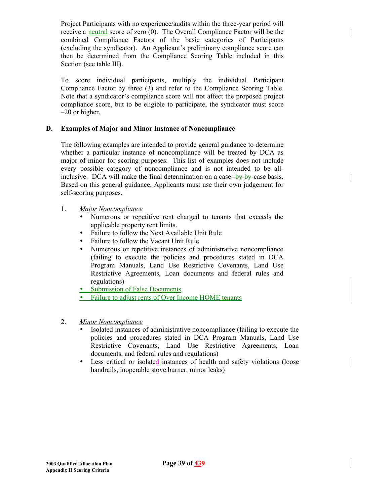Project Participants with no experience/audits within the three-year period will receive a neutral score of zero (0). The Overall Compliance Factor will be the combined Compliance Factors of the basic categories of Participants (excluding the syndicator). An Applicant's preliminary compliance score can then be determined from the Compliance Scoring Table included in this Section (see table III).

To score individual participants, multiply the individual Participant Compliance Factor by three (3) and refer to the Compliance Scoring Table. Note that a syndicator's compliance score will not affect the proposed project compliance score, but to be eligible to participate, the syndicator must score –20 or higher.

# **D. Examples of Major and Minor Instance of Noncompliance**

The following examples are intended to provide general guidance to determine whether a particular instance of noncompliance will be treated by DCA as major of minor for scoring purposes. This list of examples does not include every possible category of noncompliance and is not intended to be allinclusive. DCA will make the final determination on a case-by-by-case basis. Based on this general guidance, Applicants must use their own judgement for self-scoring purposes.

- 1. *Major Noncompliance*
	- Numerous or repetitive rent charged to tenants that exceeds the applicable property rent limits.
	- Failure to follow the Next Available Unit Rule
	- Failure to follow the Vacant Unit Rule
	- Numerous or repetitive instances of administrative noncompliance (failing to execute the policies and procedures stated in DCA Program Manuals, Land Use Restrictive Covenants, Land Use Restrictive Agreements, Loan documents and federal rules and regulations)
	- Submission of False Documents
	- Failure to adjust rents of Over Income HOME tenants
- 2. *Minor Noncompliance*
	- Isolated instances of administrative noncompliance (failing to execute the policies and procedures stated in DCA Program Manuals, Land Use Restrictive Covenants, Land Use Restrictive Agreements, Loan documents, and federal rules and regulations)
	- Less critical or isolated instances of health and safety violations (loose handrails, inoperable stove burner, minor leaks)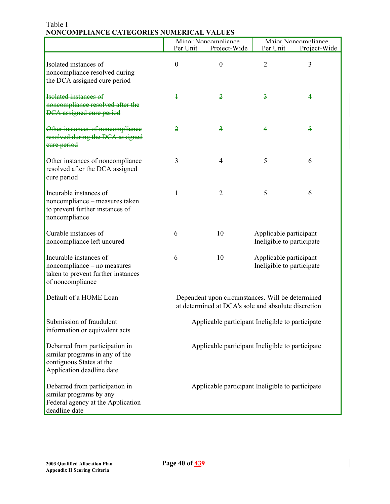|                                                                                                                           | Minor Noncompliance                                                                                     |                                                  |                                                     | Maior Noncompliance |
|---------------------------------------------------------------------------------------------------------------------------|---------------------------------------------------------------------------------------------------------|--------------------------------------------------|-----------------------------------------------------|---------------------|
|                                                                                                                           | Per Unit                                                                                                | Project-Wide                                     | Per Unit                                            | Project-Wide        |
| Isolated instances of<br>noncompliance resolved during<br>the DCA assigned cure period                                    | $\boldsymbol{0}$                                                                                        | $\boldsymbol{0}$                                 | $\overline{2}$                                      | 3                   |
| <b>Isolated instances of</b><br>noncompliance resolved after the<br><b>DCA</b> assigned cure period                       | $\ddagger$                                                                                              | $\overline{2}$                                   | $\overline{3}$                                      | 4                   |
| Other instances of noncompliance<br>resolved during the DCA assigned<br>eure period                                       | $\overline{2}$                                                                                          | $\overline{\mathbf{3}}$                          | $\overline{4}$                                      | $\overline{5}$      |
| Other instances of noncompliance<br>resolved after the DCA assigned<br>cure period                                        | 3                                                                                                       | $\overline{4}$                                   | 5                                                   | 6                   |
| Incurable instances of<br>noncompliance - measures taken<br>to prevent further instances of<br>noncompliance              | 1                                                                                                       | $\overline{2}$                                   | 5                                                   | 6                   |
| Curable instances of<br>noncompliance left uncured                                                                        | 6                                                                                                       | 10                                               | Applicable participant<br>Ineligible to participate |                     |
| Incurable instances of<br>noncompliance – no measures<br>taken to prevent further instances<br>of noncompliance           | 6                                                                                                       | 10                                               | Applicable participant<br>Ineligible to participate |                     |
| Default of a HOME Loan                                                                                                    | Dependent upon circumstances. Will be determined<br>at determined at DCA's sole and absolute discretion |                                                  |                                                     |                     |
| Submission of fraudulent<br>information or equivalent acts                                                                | Applicable participant Ineligible to participate                                                        |                                                  |                                                     |                     |
| Debarred from participation in<br>similar programs in any of the<br>contiguous States at the<br>Application deadline date | Applicable participant Ineligible to participate                                                        |                                                  |                                                     |                     |
| Debarred from participation in<br>similar programs by any<br>Federal agency at the Application<br>deadline date           |                                                                                                         | Applicable participant Ineligible to participate |                                                     |                     |

# Table I **NONCOMPLIANCE CATEGORIES NUMERICAL VALUES**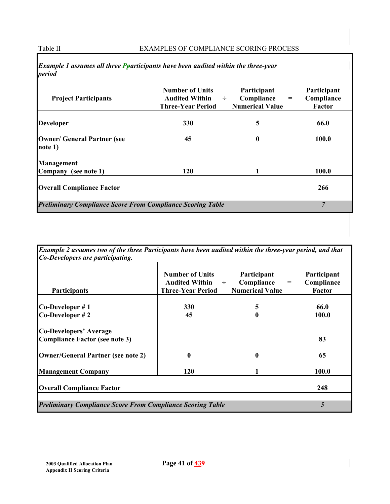### Table II EXAMPLES OF COMPLIANCE SCORING PROCESS

| <b>Project Participants</b>                                       | <b>Number of Units</b><br>Audited Within $\div$<br><b>Three-Year Period</b> | Participant<br>Compliance<br>$=$<br><b>Numerical Value</b> | Participant<br>Compliance<br>Factor |
|-------------------------------------------------------------------|-----------------------------------------------------------------------------|------------------------------------------------------------|-------------------------------------|
| <b>Developer</b>                                                  | <b>330</b>                                                                  | 5                                                          | 66.0                                |
| <b>Owner/ General Partner (see</b><br>note 1)                     | 45                                                                          | $\boldsymbol{0}$                                           | 100.0                               |
| <b>Management</b><br>Company (see note 1)                         | 120                                                                         |                                                            | 100.0                               |
| <b>Overall Compliance Factor</b>                                  |                                                                             |                                                            | 266                                 |
| <b>Preliminary Compliance Score From Compliance Scoring Table</b> |                                                                             |                                                            | 7                                   |

*Example 1 assumes all three <b>Pparticipants have been audited within the three-year* 

*Example 2 assumes two of the three Participants have been audited within the three-year period, and that Co-Developers are participating.*

|                                                                   | <b>Number of Units</b><br>Audited Within $\div$ | Participant<br>Compliance<br>$=$ | Participant<br>Compliance |
|-------------------------------------------------------------------|-------------------------------------------------|----------------------------------|---------------------------|
| <b>Participants</b>                                               | <b>Three-Year Period</b>                        | <b>Numerical Value</b>           | Factor                    |
| Co-Developer #1                                                   | <b>330</b>                                      | 5                                | 66.0                      |
| $Co-Developer \# 2$                                               | 45                                              | 0                                | <b>100.0</b>              |
| Co-Developers' Average                                            |                                                 |                                  |                           |
| Compliance Factor (see note 3)                                    |                                                 |                                  | 83                        |
| <b>Owner/General Partner (see note 2)</b>                         | 0                                               | $\boldsymbol{0}$                 | 65                        |
| <b>Management Company</b>                                         | 120                                             |                                  | 100.0                     |
| <b>Overall Compliance Factor</b>                                  |                                                 |                                  | 248                       |
| <b>Preliminary Compliance Score From Compliance Scoring Table</b> |                                                 |                                  | 5                         |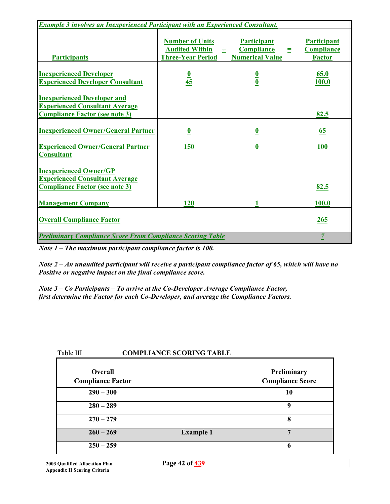| <b>Example 3 involves an Inexperienced Participant with an Experienced Consultant.</b>                               |                                                                             |                                                                                                             |                                                          |  |
|----------------------------------------------------------------------------------------------------------------------|-----------------------------------------------------------------------------|-------------------------------------------------------------------------------------------------------------|----------------------------------------------------------|--|
| <b>Participants</b>                                                                                                  | <b>Number of Units</b><br><b>Audited Within</b><br><b>Three-Year Period</b> | <b>Participant</b><br><b>Compliance</b><br>÷<br>$\hspace{1.6cm} = \hspace{1.6cm}$<br><b>Numerical Value</b> | <b>Participant</b><br><b>Compliance</b><br><b>Factor</b> |  |
| <b>Inexperienced Developer</b><br><b>Experienced Developer Consultant</b>                                            | $\frac{0}{45}$                                                              | $\frac{\bf 0}{\bf 0}$                                                                                       | 65.0<br><b>100.0</b>                                     |  |
| <b>Inexperienced Developer and</b><br><b>Experienced Consultant Average</b><br><b>Compliance Factor (see note 3)</b> |                                                                             |                                                                                                             | 82.5                                                     |  |
| <b>Inexperienced Owner/General Partner</b>                                                                           | $\overline{\mathbf{0}}$                                                     | $\overline{\mathbf{0}}$                                                                                     | 65                                                       |  |
| <b>Experienced Owner/General Partner</b><br><b>Consultant</b>                                                        | 150                                                                         | $\overline{\mathbf{0}}$                                                                                     | <b>100</b>                                               |  |
| <b>Inexperienced Owner/GP</b><br><b>Experienced Consultant Average</b><br><b>Compliance Factor (see note 3)</b>      |                                                                             |                                                                                                             | 82.5                                                     |  |
| <b>Management Company</b>                                                                                            | 120                                                                         |                                                                                                             | 100.0                                                    |  |
| <b>Overall Compliance Factor</b>                                                                                     |                                                                             |                                                                                                             | 265                                                      |  |
| <b>Preliminary Compliance Score From Compliance Scoring Table</b><br>$\overline{Z}$                                  |                                                                             |                                                                                                             |                                                          |  |

*Note 1 – The maximum participant compliance factor is 100.*

*Note 2 – An unaudited participant will receive a participant compliance factor of 65, which will have no Positive or negative impact on the final compliance score.*

*Note 3 – Co Participants – To arrive at the Co-Developer Average Compliance Factor, first determine the Factor for each Co-Developer, and average the Compliance Factors.*

| Table III      | <b>COMPLIANCE SCORING TABLE</b> |                  |                                        |
|----------------|---------------------------------|------------------|----------------------------------------|
| <b>Overall</b> | <b>Compliance Factor</b>        |                  | Preliminary<br><b>Compliance Score</b> |
| $290 - 300$    |                                 |                  | 10                                     |
| $280 - 289$    |                                 |                  | 9                                      |
| $270 - 279$    |                                 |                  | 8                                      |
| $260 - 269$    |                                 | <b>Example 1</b> | 7                                      |
| $250 - 259$    |                                 |                  | 6                                      |